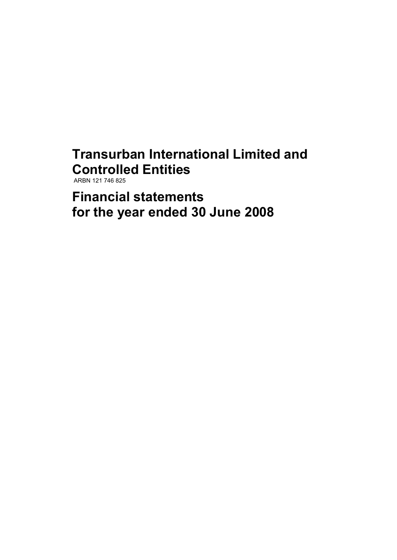# **Transurban International Limited and Controlled Entities**

ARBN 121 746 825

**Financial statements for the year ended 30 June 2008**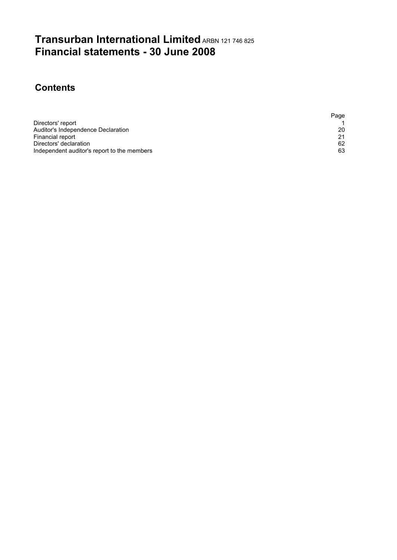# **Transurban International Limited ARBN 121 746 825 Financial statements - 30 June 2008**

## **Contents**

|                                             | Page |
|---------------------------------------------|------|
| Directors' report                           |      |
| Auditor's Independence Declaration          | 20   |
| Financial report                            | 21   |
| Directors' declaration                      | 62   |
| Independent auditor's report to the members | 63   |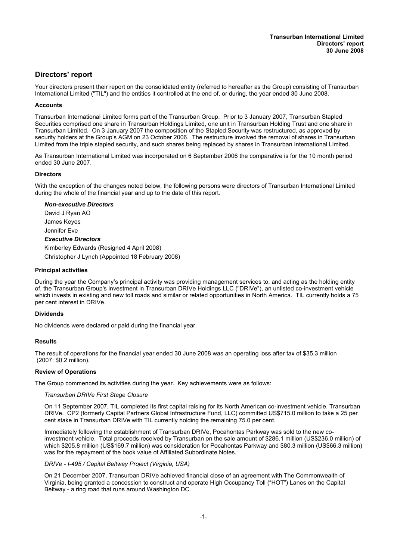## **Directors' report**

Your directors present their report on the consolidated entity (referred to hereafter as the Group) consisting of Transurban International Limited ("TIL") and the entities it controlled at the end of, or during, the year ended 30 June 2008.

#### **Accounts**

Transurban International Limited forms part of the Transurban Group. Prior to 3 January 2007, Transurban Stapled Securities comprised one share in Transurban Holdings Limited, one unit in Transurban Holding Trust and one share in Transurban Limited. On 3 January 2007 the composition of the Stapled Security was restructured, as approved by security holders at the Group's AGM on 23 October 2006. The restructure involved the removal of shares in Transurban Limited from the triple stapled security, and such shares being replaced by shares in Transurban International Limited.

As Transurban International Limited was incorporated on 6 September 2006 the comparative is for the 10 month period ended 30 June 2007.

#### **Directors**

With the exception of the changes noted below, the following persons were directors of Transurban International Limited during the whole of the financial year and up to the date of this report.

#### *Non-executive Directors*

David J Ryan AO James Keyes Jennifer Eve

#### *Executive Directors*

Kimberley Edwards (Resigned 4 April 2008) Christopher J Lynch (Appointed 18 February 2008)

#### **Principal activities**

During the year the Company's principal activity was providing management services to, and acting as the holding entity of, the Transurban Group's investment in Transurban DRIVe Holdings LLC ("DRIVe"), an unlisted co-investment vehicle which invests in existing and new toll roads and similar or related opportunities in North America. TIL currently holds a 75 per cent interest in DRIVe.

#### **Dividends**

No dividends were declared or paid during the financial year.

#### **Results**

The result of operations for the financial year ended 30 June 2008 was an operating loss after tax of \$35.3 million (2007: \$0.2 million).

#### **Review of Operations**

The Group commenced its activities during the year. Key achievements were as follows:

#### *Transurban DRIVe First Stage Closure*

On 11 September 2007, TIL completed its first capital raising for its North American co-investment vehicle, Transurban DRIVe. CP2 (formerly Capital Partners Global Infrastructure Fund, LLC) committed US\$715.0 million to take a 25 per cent stake in Transurban DRIVe with TIL currently holding the remaining 75.0 per cent.

Immediately following the establishment of Transurban DRIVe, Pocahontas Parkway was sold to the new coinvestment vehicle. Total proceeds received by Transurban on the sale amount of \$286.1 million (US\$236.0 million) of which \$205.8 million (US\$169.7 million) was consideration for Pocahontas Parkway and \$80.3 million (US\$66.3 million) was for the repayment of the book value of Affiliated Subordinate Notes.

#### *DRIVe - I-495 / Capital Beltway Project (Virginia, USA)*

On 21 December 2007, Transurban DRIVe achieved financial close of an agreement with The Commonwealth of Virginia, being granted a concession to construct and operate High Occupancy Toll ("HOT") Lanes on the Capital Beltway - a ring road that runs around Washington DC.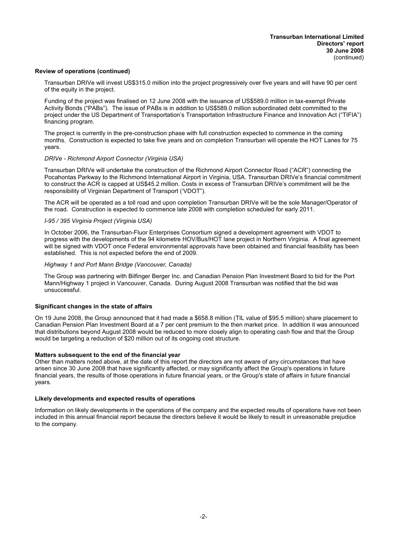#### **Review of operations (continued)**

Transurban DRIVe will invest US\$315.0 million into the project progressively over five years and will have 90 per cent of the equity in the project.

Funding of the project was finalised on 12 June 2008 with the issuance of US\$589.0 million in tax-exempt Private Activity Bonds ("PABs"). The issue of PABs is in addition to US\$589.0 million subordinated debt committed to the project under the US Department of Transportation's Transportation Infrastructure Finance and Innovation Act ("TIFIA") financing program.

The project is currently in the pre-construction phase with full construction expected to commence in the coming months. Construction is expected to take five years and on completion Transurban will operate the HOT Lanes for 75 years.

#### *DRIVe - Richmond Airport Connector (Virginia USA)*

Transurban DRIVe will undertake the construction of the Richmond Airport Connector Road ("ACR") connecting the Pocahontas Parkway to the Richmond International Airport in Virginia, USA. Transurban DRIVe's financial commitment to construct the ACR is capped at US\$45.2 million. Costs in excess of Transurban DRIVe's commitment will be the responsibility of Virginian Department of Transport ('VDOT").

The ACR will be operated as a toll road and upon completion Transurban DRIVe will be the sole Manager/Operator of the road. Construction is expected to commence late 2008 with completion scheduled for early 2011.

#### *I-95 / 395 Virginia Project (Virginia USA)*

In October 2006, the Transurban-Fluor Enterprises Consortium signed a development agreement with VDOT to progress with the developments of the 94 kilometre HOV/Bus/HOT lane project in Northern Virginia. A final agreement will be signed with VDOT once Federal environmental approvals have been obtained and financial feasibility has been established. This is not expected before the end of 2009.

#### *Highway 1 and Port Mann Bridge (Vancouver, Canada)*

The Group was partnering with Bilfinger Berger Inc. and Canadian Pension Plan Investment Board to bid for the Port Mann/Highway 1 project in Vancouver, Canada. During August 2008 Transurban was notified that the bid was unsuccessful.

#### **Significant changes in the state of affairs**

On 19 June 2008, the Group announced that it had made a \$658.8 million (TIL value of \$95.5 million) share placement to Canadian Pension Plan Investment Board at a 7 per cent premium to the then market price. In addition it was announced that distributions beyond August 2008 would be reduced to more closely align to operating cash flow and that the Group would be targeting a reduction of \$20 million out of its ongoing cost structure.

#### **Matters subsequent to the end of the financial year**

Other than matters noted above, at the date of this report the directors are not aware of any circumstances that have arisen since 30 June 2008 that have significantly affected, or may significantly affect the Group's operations in future financial years, the results of those operations in future financial years, or the Group's state of affairs in future financial years.

#### **Likely developments and expected results of operations**

Information on likely developments in the operations of the company and the expected results of operations have not been included in this annual financial report because the directors believe it would be likely to result in unreasonable prejudice to the company.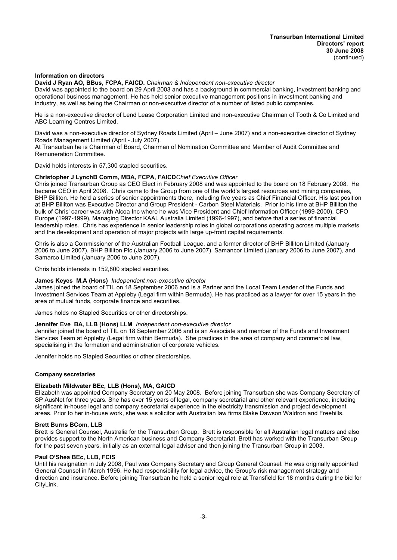#### **Information on directors**

**David J Ryan AO, BBus, FCPA, FAICD.** *Chairman & Independent non-executive director*

David was appointed to the board on 29 April 2003 and has a background in commercial banking, investment banking and operational business management. He has held senior executive management positions in investment banking and industry, as well as being the Chairman or non-executive director of a number of listed public companies.

He is a non-executive director of Lend Lease Corporation Limited and non-executive Chairman of Tooth & Co Limited and ABC Learning Centres Limited.

David was a non-executive director of Sydney Roads Limited (April – June 2007) and a non-executive director of Sydney Roads Management Limited (April - July 2007).

At Transurban he is Chairman of Board, Chairman of Nomination Committee and Member of Audit Committee and Remuneration Committee.

David holds interests in 57,300 stapled securities.

#### **Christopher J LynchB Comm, MBA, FCPA, FAICD***Chief Executive Officer*

Chris joined Transurban Group as CEO Elect in February 2008 and was appointed to the board on 18 February 2008. He became CEO in April 2008. Chris came to the Group from one of the world's largest resources and mining companies, BHP Billiton. He held a series of senior appointments there, including five years as Chief Financial Officer. His last position at BHP Billiton was Executive Director and Group President - Carbon Steel Materials. Prior to his time at BHP Billiton the bulk of Chris' career was with Alcoa Inc where he was Vice President and Chief Information Officer (1999-2000), CFO Europe (1997-1999), Managing Director KAAL Australia Limited (1996-1997), and before that a series of financial leadership roles. Chris has experience in senior leadership roles in global corporations operating across multiple markets and the development and operation of major projects with large up-front capital requirements.

Chris is also a Commissioner of the Australian Football League, and a former director of BHP Billiton Limited (January 2006 to June 2007), BHP Billiton Plc (January 2006 to June 2007), Samancor Limited (January 2006 to June 2007), and Samarco Limited (January 2006 to June 2007).

Chris holds interests in 152,800 stapled securities.

#### **James Keyes M.A (Hons)** *Independent non-executive director*

James joined the board of TIL on 18 September 2006 and is a Partner and the Local Team Leader of the Funds and Investment Services Team at Appleby (Legal firm within Bermuda). He has practiced as a lawyer for over 15 years in the area of mutual funds, corporate finance and securities.

James holds no Stapled Securities or other directorships.

#### **Jennifer Eve BA, LLB (Hons) LLM** *Independent non-executive director*

Jennifer joined the board of TIL on 18 September 2006 and is an Associate and member of the Funds and Investment Services Team at Appleby (Legal firm within Bermuda). She practices in the area of company and commercial law, specialising in the formation and administration of corporate vehicles.

Jennifer holds no Stapled Securities or other directorships.

#### **Company secretaries**

#### **Elizabeth Mildwater BEc, LLB (Hons), MA, GAICD**

Elizabeth was appointed Company Secretary on 20 May 2008. Before joining Transurban she was Company Secretary of SP AusNet for three years. She has over 15 years of legal, company secretarial and other relevant experience, including significant in-house legal and company secretarial experience in the electricity transmission and project development areas. Prior to her in-house work, she was a solicitor with Australian law firms Blake Dawson Waldron and Freehills.

#### **Brett Burns BCom, LLB**

Brett is General Counsel, Australia for the Transurban Group. Brett is responsible for all Australian legal matters and also provides support to the North American business and Company Secretariat. Brett has worked with the Transurban Group for the past seven years, initially as an external legal adviser and then joining the Transurban Group in 2003.

#### **Paul O'Shea BEc, LLB, FCIS**

Until his resignation in July 2008, Paul was Company Secretary and Group General Counsel. He was originally appointed General Counsel in March 1996. He had responsibility for legal advice, the Group's risk management strategy and direction and insurance. Before joining Transurban he held a senior legal role at Transfield for 18 months during the bid for CityLink.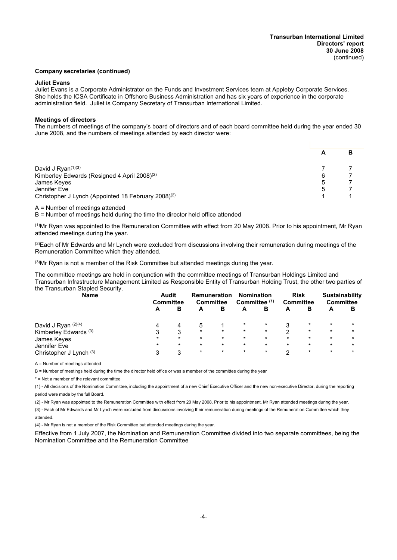#### **Company secretaries (continued)**

#### **Juliet Evans**

Juliet Evans is a Corporate Administrator on the Funds and Investment Services team at Appleby Corporate Services. She holds the ICSA Certificate in Offshore Business Administration and has six years of experience in the corporate administration field. Juliet is Company Secretary of Transurban International Limited.

#### **Meetings of directors**

The numbers of meetings of the company's board of directors and of each board committee held during the year ended 30 June 2008, and the numbers of meetings attended by each director were:

|                                                                 |   | в |
|-----------------------------------------------------------------|---|---|
| David J Ryan $(1)(3)$                                           |   |   |
| Kimberley Edwards (Resigned 4 April 2008) <sup>(2)</sup>        | 6 |   |
| James Keyes                                                     | 5 |   |
| Jennifer Eve                                                    | 5 |   |
| Christopher J Lynch (Appointed 18 February 2008) <sup>(2)</sup> |   |   |

A = Number of meetings attended

B = Number of meetings held during the time the director held office attended

(1)Mr Ryan was appointed to the Remuneration Committee with effect from 20 May 2008. Prior to his appointment, Mr Ryan attended meetings during the year.

(2)Each of Mr Edwards and Mr Lynch were excluded from discussions involving their remuneration during meetings of the Remuneration Committee which they attended.

(3)Mr Ryan is not a member of the Risk Committee but attended meetings during the year.

The committee meetings are held in conjunction with the committee meetings of Transurban Holdings Limited and Transurban Infrastructure Management Limited as Responsible Entity of Transurban Holding Trust, the other two parties of the Transurban Stapled Security.

| <b>Name</b>             |         | <b>Audit</b><br><b>Committee</b> |         | <b>Remuneration</b><br><b>Committee</b> |         | <b>Nomination</b><br>Committee <sup>(1)</sup> |         | <b>Risk</b><br>Committee |         | Sustainability<br><b>Committee</b> |  |
|-------------------------|---------|----------------------------------|---------|-----------------------------------------|---------|-----------------------------------------------|---------|--------------------------|---------|------------------------------------|--|
|                         | A       | в                                | А       | в                                       | A       | В                                             | A       | в                        | A       | в                                  |  |
| David J Ryan (2)(4)     |         |                                  | 5       |                                         | $\star$ |                                               |         | $\star$                  | $\star$ | $\star$                            |  |
| Kimberley Edwards (3)   |         | 3                                | $\star$ | $\star$                                 | $\star$ | $\star$                                       | າ       | $\star$                  | $\star$ | $\star$                            |  |
| James Keyes             | $\star$ | $\star$                          | $\star$ | $\star$                                 | $\star$ | $\star$                                       | $\star$ | $\star$                  | $\star$ | $\star$                            |  |
| Jennifer Eve            | $\star$ | $\star$                          | $\star$ | $\star$                                 | $\star$ | $\star$                                       | $\star$ | $\star$                  | $\star$ | $\star$                            |  |
| Christopher J Lynch (3) |         | 3                                | $\star$ | $\star$                                 | $\star$ | $\star$                                       | ົ       | $\star$                  | $\star$ | $\star$                            |  |

A = Number of meetings attended

B = Number of meetings held during the time the director held office or was a member of the committee during the year

\* = Not a member of the relevant committee

(1) - All decisions of the Nomination Committee, including the appointment of a new Chief Executive Officer and the new non-executive Director, during the reporting period were made by the full Board.

(2) - Mr Ryan was appointed to the Remuneration Committee with effect from 20 May 2008. Prior to his appointment, Mr Ryan attended meetings during the year.

(3) - Each of Mr Edwards and Mr Lynch were excluded from discussions involving their remuneration during meetings of the Remuneration Committee which they attended.

(4) - Mr Ryan is not a member of the Risk Committee but attended meetings during the year.

Effective from 1 July 2007, the Nomination and Remuneration Committee divided into two separate committees, being the Nomination Committee and the Remuneration Committee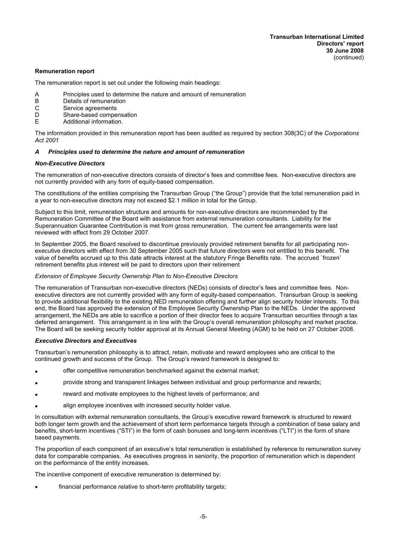#### **Remuneration report**

The remuneration report is set out under the following main headings:

- A Principles used to determine the nature and amount of remuneration<br>B Details of remuneration
- B Details of remuneration<br>C Service agreements
- Service agreements
- D Share-based compensation<br>F Additional information
- Additional information.

The information provided in this remuneration report has been audited as required by section 308(3C) of the *Corporations Act 2001*

#### *A Principles used to determine the nature and amount of remuneration*

#### *Non-Executive Directors*

The remuneration of non-executive directors consists of director's fees and committee fees. Non-executive directors are not currently provided with any form of equity-based compensation.

The constitutions of the entities comprising the Transurban Group ("the Group") provide that the total remuneration paid in a year to non-executive directors may not exceed \$2.1 million in total for the Group.

Subject to this limit, remuneration structure and amounts for non-executive directors are recommended by the Remuneration Committee of the Board with assistance from external remuneration consultants. Liability for the Superannuation Guarantee Contribution is met from gross remuneration. The current fee arrangements were last reviewed with effect from 29 October 2007.

In September 2005, the Board resolved to discontinue previously provided retirement benefits for all participating nonexecutive directors with effect from 30 September 2005 such that future directors were not entitled to this benefit. The value of benefits accrued up to this date attracts interest at the statutory Fringe Benefits rate. The accrued `frozen' retirement benefits plus interest will be paid to directors upon their retirement

#### *Extension of Employee Security Ownership Plan to Non-Executive Directors*

The remuneration of Transurban non-executive directors (NEDs) consists of director's fees and committee fees. Nonexecutive directors are not currently provided with any form of equity-based compensation. Transurban Group is seeking to provide additional flexibility to the existing NED remuneration offering and further align security holder interests. To this end, the Board has approved the extension of the Employee Security Ownership Plan to the NEDs. Under the approved arrangement, the NEDs are able to sacrifice a portion of their director fees to acquire Transurban securities through a tax deferred arrangement. This arrangement is in line with the Group's overall remuneration philosophy and market practice. The Board will be seeking security holder approval at its Annual General Meeting (AGM) to be held on 27 October 2008.

#### *Executive Directors and Executives*

Transurban's remuneration philosophy is to attract, retain, motivate and reward employees who are critical to the continued growth and success of the Group. The Group's reward framework is designed to:

- · offer competitive remuneration benchmarked against the external market;
- · provide strong and transparent linkages between individual and group performance and rewards;
- reward and motivate employees to the highest levels of performance; and
- align employee incentives with increased security holder value.

In consultation with external remuneration consultants, the Group's executive reward framework is structured to reward both longer term growth and the achievement of short term performance targets through a combination of base salary and benefits, short-term incentives ("STI") in the form of cash bonuses and long-term incentives ("LTI") in the form of share based payments.

The proportion of each component of an executive's total remuneration is established by reference to remuneration survey data for comparable companies. As executives progress in seniority, the proportion of remuneration which is dependent on the performance of the entity increases.

The incentive component of executive remuneration is determined by:

financial performance relative to short-term profitability targets;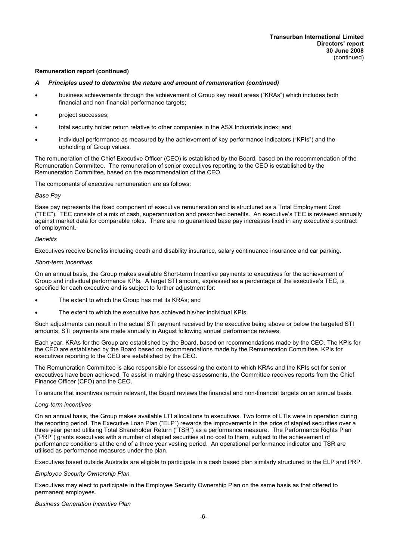- *A Principles used to determine the nature and amount of remuneration (continued)*
- business achievements through the achievement of Group key result areas ("KRAs") which includes both financial and non-financial performance targets;
- project successes;
- total security holder return relative to other companies in the ASX Industrials index: and
- individual performance as measured by the achievement of key performance indicators ("KPIs") and the upholding of Group values.

The remuneration of the Chief Executive Officer (CEO) is established by the Board, based on the recommendation of the Remuneration Committee. The remuneration of senior executives reporting to the CEO is established by the Remuneration Committee, based on the recommendation of the CEO.

The components of executive remuneration are as follows:

#### *Base Pay*

Base pay represents the fixed component of executive remuneration and is structured as a Total Employment Cost ("TEC"). TEC consists of a mix of cash, superannuation and prescribed benefits. An executive's TEC is reviewed annually against market data for comparable roles. There are no guaranteed base pay increases fixed in any executive's contract of employment.

#### *Benefits*

Executives receive benefits including death and disability insurance, salary continuance insurance and car parking.

#### *Short-term Incentives*

On an annual basis, the Group makes available Short-term Incentive payments to executives for the achievement of Group and individual performance KPIs. A target STI amount, expressed as a percentage of the executive's TEC, is specified for each executive and is subject to further adjustment for:

- The extent to which the Group has met its KRAs; and
- The extent to which the executive has achieved his/her individual KPIs

Such adjustments can result in the actual STI payment received by the executive being above or below the targeted STI amounts. STI payments are made annually in August following annual performance reviews.

Each year, KRAs for the Group are established by the Board, based on recommendations made by the CEO. The KPIs for the CEO are established by the Board based on recommendations made by the Remuneration Committee. KPIs for executives reporting to the CEO are established by the CEO.

The Remuneration Committee is also responsible for assessing the extent to which KRAs and the KPIs set for senior executives have been achieved. To assist in making these assessments, the Committee receives reports from the Chief Finance Officer (CFO) and the CEO.

To ensure that incentives remain relevant, the Board reviews the financial and non-financial targets on an annual basis.

#### *Long-term incentives*

On an annual basis, the Group makes available LTI allocations to executives. Two forms of LTIs were in operation during the reporting period. The Executive Loan Plan ("ELP") rewards the improvements in the price of stapled securities over a three year period utilising Total Shareholder Return ("TSR") as a performance measure. The Performance Rights Plan ("PRP") grants executives with a number of stapled securities at no cost to them, subject to the achievement of performance conditions at the end of a three year vesting period. An operational performance indicator and TSR are utilised as performance measures under the plan.

Executives based outside Australia are eligible to participate in a cash based plan similarly structured to the ELP and PRP.

#### *Employee Security Ownership Plan*

Executives may elect to participate in the Employee Security Ownership Plan on the same basis as that offered to permanent employees.

#### *Business Generation Incentive Plan*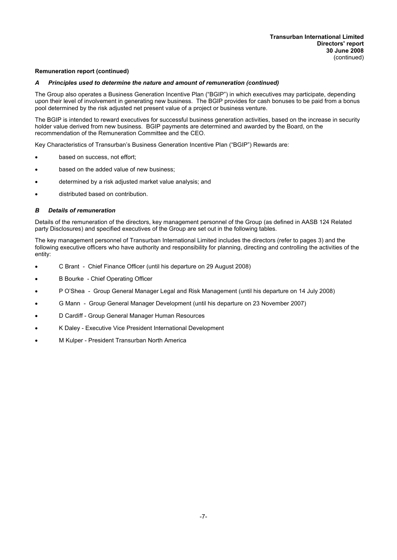#### *A Principles used to determine the nature and amount of remuneration (continued)*

The Group also operates a Business Generation Incentive Plan ("BGIP") in which executives may participate, depending upon their level of involvement in generating new business. The BGIP provides for cash bonuses to be paid from a bonus pool determined by the risk adjusted net present value of a project or business venture.

The BGIP is intended to reward executives for successful business generation activities, based on the increase in security holder value derived from new business. BGIP payments are determined and awarded by the Board, on the recommendation of the Remuneration Committee and the CEO.

Key Characteristics of Transurban's Business Generation Incentive Plan ("BGIP") Rewards are:

- based on success, not effort:
- based on the added value of new business;
- determined by a risk adjusted market value analysis; and
- distributed based on contribution.

#### *B Details of remuneration*

Details of the remuneration of the directors, key management personnel of the Group (as defined in AASB 124 Related party Disclosures) and specified executives of the Group are set out in the following tables.

The key management personnel of Transurban International Limited includes the directors (refer to pages 3) and the following executive officers who have authority and responsibility for planning, directing and controlling the activities of the entity:

- · C Brant Chief Finance Officer (until his departure on 29 August 2008)
- · B Bourke Chief Operating Officer
- · P O'Shea Group General Manager Legal and Risk Management (until his departure on 14 July 2008)
- · G Mann Group General Manager Development (until his departure on 23 November 2007)
- D Cardiff Group General Manager Human Resources
- · K Daley Executive Vice President International Development
- M Kulper President Transurban North America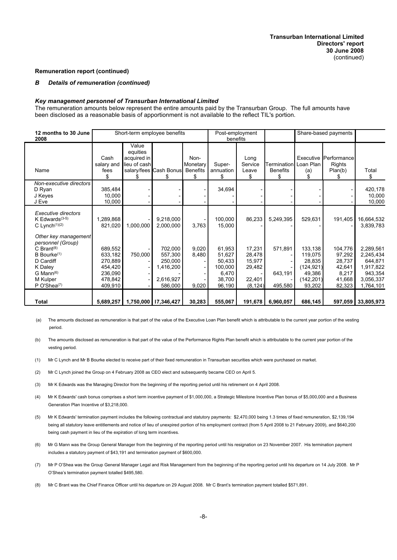#### *B Details of remuneration (continued)*

#### *Key management personnel of Transurban International Limited*

The remuneration amounts below represent the entire amounts paid by the Transurban Group. The full amounts have been disclosed as a reasonable basis of apportionment is not available to the reflect TIL's portion.

| 12 months to 30 June<br>2008                                                                                                             |                                                     |                                                       | Short-term employee benefits               |                                           | Post-employment<br>benefits                    |                                      |                                       |                                                      | Share-based payments                            |                                                           |
|------------------------------------------------------------------------------------------------------------------------------------------|-----------------------------------------------------|-------------------------------------------------------|--------------------------------------------|-------------------------------------------|------------------------------------------------|--------------------------------------|---------------------------------------|------------------------------------------------------|-------------------------------------------------|-----------------------------------------------------------|
| Name                                                                                                                                     | Cash<br>salary and<br>fees<br>\$.                   | Value<br>equities<br>acquired in<br>lieu of cash<br>S | salary/fees Cash Bonus<br>S                | Non-<br>Monetary<br><b>Benefits</b><br>\$ | Super-<br>annuation<br>\$                      | Long<br>Service<br>Leave<br>S.       | rermination ا<br><b>Benefits</b><br>S | Loan Plan<br>(a)                                     | Executive Performance<br>Rights<br>Plan(b)<br>S | Total<br>\$                                               |
| Non-executive directors<br>D Ryan<br>J Keyes<br>J Eve                                                                                    | 385,484<br>10.000<br>10,000                         |                                                       |                                            |                                           | 34,694                                         |                                      |                                       |                                                      |                                                 | 420,178<br>10,000<br>10,000                               |
| Executive directors<br>K Edwards $(3-5)$<br>C Lynch $(1)(2)$                                                                             | 1,289,868<br>821,020                                | 1,000,000                                             | 9,218,000<br>2,000,000                     | 3,763                                     | 100,000<br>15,000                              | 86,233                               | 5,249,395                             | 529,631                                              | 191,405                                         | 16,664,532<br>3,839,783                                   |
| Other key management<br>personnel (Group)<br>C Brant <sup>(8)</sup><br>$B$ Bourke $(1)$<br>D Cardiff<br>K Daley<br>G Mann <sup>(6)</sup> | 689,552<br>633,182<br>270,889<br>454,420<br>236,090 | 750,000                                               | 702,000<br>557,300<br>250,000<br>1,416,200 | 9,020<br>8,480                            | 61,953<br>51,627<br>50,433<br>100,000<br>6,470 | 17,231<br>28,478<br>15,977<br>29,482 | 571,891<br>643,191                    | 133,138<br>119,075<br>28,835<br>(124, 921)<br>49,386 | 104,776<br>97,292<br>28,737<br>42,641<br>8,217  | 2,289,561<br>2,245,434<br>644,871<br>1,917,822<br>943,354 |
| M Kulper<br>P O'Shea <sup>(7)</sup>                                                                                                      | 478.842<br>409,910                                  |                                                       | 2.616.927<br>586,000                       | 9,020                                     | 38.700<br>96,190                               | 22,401<br>(8, 124)                   | 495,580                               | (142, 201)<br>93,202                                 | 41,668<br>82,323                                | 3,056,337<br>1,764,101                                    |
| <b>Total</b>                                                                                                                             | 5,689,257                                           |                                                       | 1,750,000   17,346,427                     | 30,283                                    | 555,067                                        | 191,678                              | 6,960,057                             | 686,145                                              | 597,059                                         | 33,805,973                                                |

(a) The amounts disclosed as remuneration is that part of the value of the Executive Loan Plan benefit which is attributable to the current year portion of the vesting period.

- (b) The amounts disclosed as remuneration is that part of the value of the Performance Rights Plan benefit which is attributable to the current year portion of the vesting period.
- (1) Mr C Lynch and Mr B Bourke elected to receive part of their fixed remuneration in Transurban securities which were purchased on market.
- (2) Mr C Lynch joined the Group on 4 February 2008 as CEO elect and subsequently became CEO on April 5.
- (3) Mr K Edwards was the Managing Director from the beginning of the reporting period until his retirement on 4 April 2008.
- (4) Mr K Edwards' cash bonus comprises a short term incentive payment of \$1,000,000, a Strategic Milestone Incentive Plan bonus of \$5,000,000 and a Business Generation Plan Incentive of \$3,218,000.
- (5) Mr K Edwards' termination payment includes the following contractual and statutory payments: \$2,470,000 being 1.3 times of fixed remuneration, \$2,139,194 being all statutory leave entitlements and notice of lieu of unexpired portion of his employment contract (from 5 April 2008 to 21 February 2009), and \$640,200 being cash payment in lieu of the expiration of long term incentives.
- (6) Mr G Mann was the Group General Manager from the beginning of the reporting period until his resignation on 23 November 2007. His termination payment includes a statutory payment of \$43,191 and termination payment of \$600,000.
- (7) Mr P O'Shea was the Group General Manager Legal and Risk Management from the beginning of the reporting period until his departure on 14 July 2008. Mr P O'Shea's termination payment totalled \$495,580.
- (8) Mr C Brant was the Chief Finance Officer until his departure on 29 August 2008. Mr C Brant's termination payment totalled \$571,891.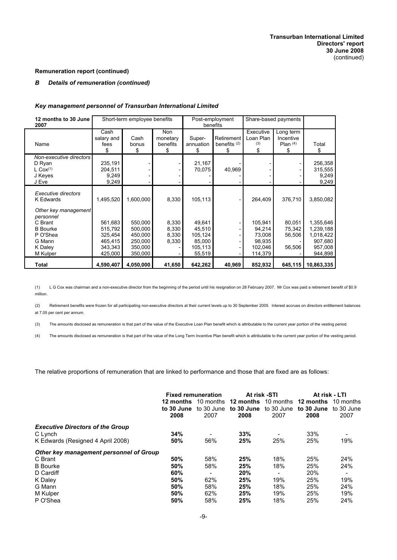## *B Details of remuneration (continued)*

#### *Key management personnel of Transurban International Limited*

| 12 months to 30 June<br>2007                                                                               | Short-term employee benefits<br>Post-employment<br>benefits |                                          |                                   |                                        | Share-based payments               |                                        |                                            |                                            |  |
|------------------------------------------------------------------------------------------------------------|-------------------------------------------------------------|------------------------------------------|-----------------------------------|----------------------------------------|------------------------------------|----------------------------------------|--------------------------------------------|--------------------------------------------|--|
| Name                                                                                                       | Cash<br>salary and<br>fees<br>\$                            | Cash<br>bonus<br>\$                      | Non<br>monetary<br>benefits<br>\$ | Super-<br>annuation<br>\$              | Retirement<br>benefits $(2)$<br>\$ | Executive<br>Loan Plan<br>(3)<br>\$    | Long term<br>Incentive<br>Plan $(4)$<br>\$ | Total<br>\$                                |  |
| Non-executive directors<br>D Ryan<br>$L \cos(1)$<br>J Keyes<br>J Eve                                       | 235,191<br>204,511<br>9,249<br>9,249                        |                                          |                                   | 21,167<br>70,075                       | 40,969                             |                                        |                                            | 256,358<br>315,555<br>9,249<br>9,249       |  |
| Executive directors<br><b>K</b> Edwards<br>Other key management<br>personnel<br>C Brant<br><b>B</b> Bourke | 1,495,520<br>561,683<br>515,792                             | 1,600,000<br>550,000<br>500,000          | 8,330<br>8,330<br>8,330           | 105,113<br>49,641<br>45,510            |                                    | 264,409<br>105,941<br>94,214           | 376,710<br>80,051<br>75,342                | 3,850,082<br>1,355,646<br>1,239,188        |  |
| P O'Shea<br>G Mann<br>K Daley<br>M Kulper                                                                  | 325,454<br>465,415<br>343,343<br>425,000                    | 450,000<br>250,000<br>350,000<br>350,000 | 8,330<br>8,330                    | 105,124<br>85,000<br>105,113<br>55,519 |                                    | 73,008<br>98,935<br>102,046<br>114,379 | 56,506<br>56,506                           | 1,018,422<br>907,680<br>957,008<br>944,898 |  |
| Total                                                                                                      | 4,590,407                                                   | 4,050,000                                | 41,650                            | 642,262                                | 40,969                             | 852,932                                |                                            | 645,115   10,863,335                       |  |

(1) L G Cox was chairman and a non-executive director from the beginning of the period until his resignation on 28 February 2007. Mr Cox was paid a retirement benefit of \$0.9 million.

(2) Retirement benefits were frozen for all participating non-executive directors at their current levels up to 30 September 2005. Interest accrues on directors entitlement balances at 7.05 per cent per annum.

(3) The amounts disclosed as remuneration is that part of the value of the Executive Loan Plan benefit which is attributable to the current year portion of the vesting period.

(4) The amounts disclosed as remuneration is that part of the value of the Long Term Incentive Plan benefit which is attributable to the current year portion of the vesting period.

The relative proportions of remuneration that are linked to performance and those that are fixed are as follows:

|                                                                                                                     | <b>Fixed remuneration</b><br>12 months<br>to 30 June<br>2008 | 10 months<br>to 30 June<br>2007      | At risk -STI<br>12 months<br>to 30 June<br>2008 | 10 months<br>to 30 June<br>2007      | 12 months<br>to 30 June<br>2008        | At risk - LTI<br>10 months<br>to 30 June<br>2007 |
|---------------------------------------------------------------------------------------------------------------------|--------------------------------------------------------------|--------------------------------------|-------------------------------------------------|--------------------------------------|----------------------------------------|--------------------------------------------------|
| <b>Executive Directors of the Group</b><br>C Lynch<br>K Edwards (Resigned 4 April 2008)                             | 34%<br>50%                                                   | $\overline{\phantom{a}}$<br>56%      | 33%<br>25%                                      | 25%                                  | 33%<br>25%                             | -<br>19%                                         |
| Other key management personnel of Group<br>C Brant<br><b>B</b> Bourke<br>D Cardiff<br>K Daley<br>G Mann<br>M Kulper | 50%<br>50%<br>60%<br>50%<br>50%<br>50%                       | 58%<br>58%<br>-<br>62%<br>58%<br>62% | 25%<br>25%<br>20%<br>25%<br>25%<br>25%          | 18%<br>18%<br>-<br>19%<br>18%<br>19% | 25%<br>25%<br>20%<br>25%<br>25%<br>25% | 24%<br>24%<br>-<br>19%<br>24%<br>19%             |
| P O'Shea                                                                                                            | 50%                                                          | 58%                                  | 25%                                             | 18%                                  | 25%                                    | 24%                                              |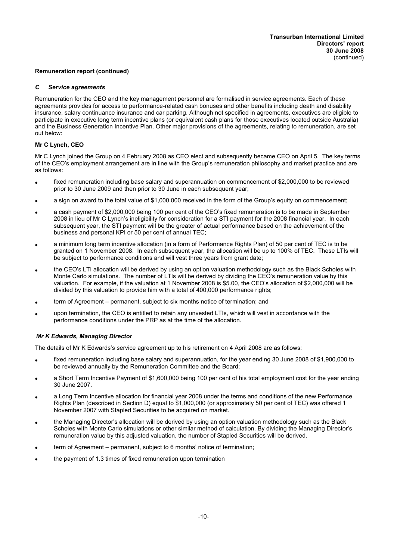#### *C Service agreements*

Remuneration for the CEO and the key management personnel are formalised in service agreements. Each of these agreements provides for access to performance-related cash bonuses and other benefits including death and disability insurance, salary continuance insurance and car parking. Although not specified in agreements, executives are eligible to participate in executive long term incentive plans (or equivalent cash plans for those executives located outside Australia) and the Business Generation Incentive Plan. Other major provisions of the agreements, relating to remuneration, are set out below:

#### **Mr C Lynch, CEO**

Mr C Lynch joined the Group on 4 February 2008 as CEO elect and subsequently became CEO on April 5. The key terms of the CEO's employment arrangement are in line with the Group's remuneration philosophy and market practice and are as follows:

- fixed remuneration including base salary and superannuation on commencement of \$2,000,000 to be reviewed prior to 30 June 2009 and then prior to 30 June in each subsequent year;
- a sign on award to the total value of \$1,000,000 received in the form of the Group's equity on commencement;
- a cash payment of \$2,000,000 being 100 per cent of the CEO's fixed remuneration is to be made in September 2008 in lieu of Mr C Lynch's ineligibility for consideration for a STI payment for the 2008 financial year. In each subsequent year, the STI payment will be the greater of actual performance based on the achievement of the business and personal KPI or 50 per cent of annual TEC;
- a minimum long term incentive allocation (in a form of Performance Rights Plan) of 50 per cent of TEC is to be granted on 1 November 2008. In each subsequent year, the allocation will be up to 100% of TEC. These LTIs will be subject to performance conditions and will vest three years from grant date;
- the CEO's LTI allocation will be derived by using an option valuation methodology such as the Black Scholes with Monte Carlo simulations. The number of LTIs will be derived by dividing the CEO's remuneration value by this valuation. For example, if the valuation at 1 November 2008 is \$5.00, the CEO's allocation of \$2,000,000 will be divided by this valuation to provide him with a total of 400,000 performance rights;
- term of Agreement permanent, subject to six months notice of termination; and
- upon termination, the CEO is entitled to retain any unvested LTIs, which will vest in accordance with the performance conditions under the PRP as at the time of the allocation.

#### *Mr K Edwards, Managing Director*

The details of Mr K Edwards's service agreement up to his retirement on 4 April 2008 are as follows:

- fixed remuneration including base salary and superannuation, for the year ending 30 June 2008 of \$1,900,000 to be reviewed annually by the Remuneration Committee and the Board;
- a Short Term Incentive Payment of \$1,600,000 being 100 per cent of his total employment cost for the year ending 30 June 2007.
- a Long Term Incentive allocation for financial year 2008 under the terms and conditions of the new Performance Rights Plan (described in Section D) equal to \$1,000,000 (or approximately 50 per cent of TEC) was offered 1 November 2007 with Stapled Securities to be acquired on market.
- · the Managing Director's allocation will be derived by using an option valuation methodology such as the Black Scholes with Monte Carlo simulations or other similar method of calculation. By dividing the Managing Director's remuneration value by this adjusted valuation, the number of Stapled Securities will be derived.
- term of Agreement permanent, subject to 6 months' notice of termination;
- the payment of 1.3 times of fixed remuneration upon termination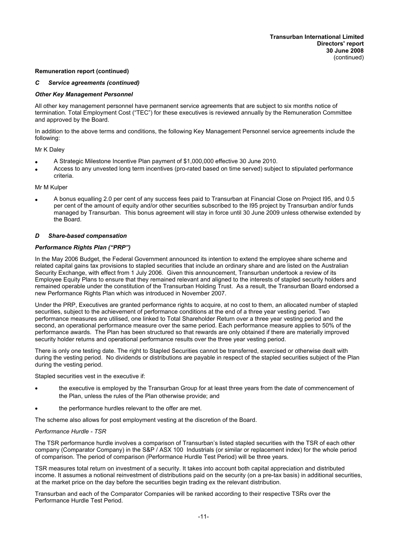#### *C Service agreements (continued)*

#### *Other Key Management Personnel*

All other key management personnel have permanent service agreements that are subject to six months notice of termination. Total Employment Cost ("TEC") for these executives is reviewed annually by the Remuneration Committee and approved by the Board.

In addition to the above terms and conditions, the following Key Management Personnel service agreements include the following:

#### Mr K Daley

- · A Strategic Milestone Incentive Plan payment of \$1,000,000 effective 30 June 2010.
- Access to any unvested long term incentives (pro-rated based on time served) subject to stipulated performance criteria.

#### Mr M Kulper

· A bonus equalling 2.0 per cent of any success fees paid to Transurban at Financial Close on Project I95, and 0.5 per cent of the amount of equity and/or other securities subscribed to the I95 project by Transurban and/or funds managed by Transurban. This bonus agreement will stay in force until 30 June 2009 unless otherwise extended by the Board.

#### *D Share-based compensation*

#### *Performance Rights Plan ("PRP")*

In the May 2006 Budget, the Federal Government announced its intention to extend the employee share scheme and related capital gains tax provisions to stapled securities that include an ordinary share and are listed on the Australian Security Exchange, with effect from 1 July 2006. Given this announcement, Transurban undertook a review of its Employee Equity Plans to ensure that they remained relevant and aligned to the interests of stapled security holders and remained operable under the constitution of the Transurban Holding Trust. As a result, the Transurban Board endorsed a new Performance Rights Plan which was introduced in November 2007.

Under the PRP, Executives are granted performance rights to acquire, at no cost to them, an allocated number of stapled securities, subject to the achievement of performance conditions at the end of a three year vesting period. Two performance measures are utilised, one linked to Total Shareholder Return over a three year vesting period and the second, an operational performance measure over the same period. Each performance measure applies to 50% of the performance awards. The Plan has been structured so that rewards are only obtained if there are materially improved security holder returns and operational performance results over the three year vesting period.

There is only one testing date. The right to Stapled Securities cannot be transferred, exercised or otherwise dealt with during the vesting period. No dividends or distributions are payable in respect of the stapled securities subject of the Plan during the vesting period.

Stapled securities vest in the executive if:

- the executive is employed by the Transurban Group for at least three years from the date of commencement of the Plan, unless the rules of the Plan otherwise provide; and
- the performance hurdles relevant to the offer are met.

The scheme also allows for post employment vesting at the discretion of the Board.

#### *Performance Hurdle - TSR*

The TSR performance hurdle involves a comparison of Transurban's listed stapled securities with the TSR of each other company (Comparator Company) in the S&P / ASX 100 Industrials (or similar or replacement index) for the whole period of comparison. The period of comparison (Performance Hurdle Test Period) will be three years.

TSR measures total return on investment of a security. It takes into account both capital appreciation and distributed income. It assumes a notional reinvestment of distributions paid on the security (on a pre-tax basis) in additional securities, at the market price on the day before the securities begin trading ex the relevant distribution.

Transurban and each of the Comparator Companies will be ranked according to their respective TSRs over the Performance Hurdle Test Period.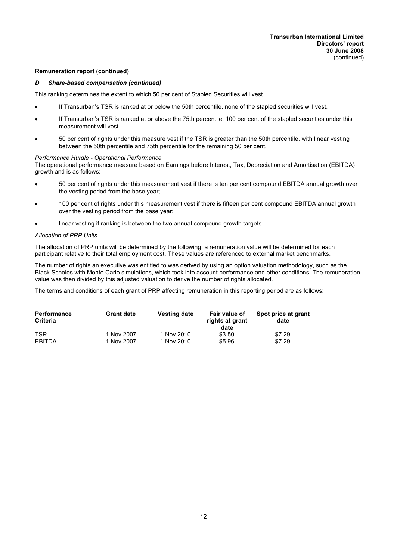#### *D Share-based compensation (continued)*

This ranking determines the extent to which 50 per cent of Stapled Securities will vest.

- If Transurban's TSR is ranked at or below the 50th percentile, none of the stapled securities will vest.
- If Transurban's TSR is ranked at or above the 75th percentile, 100 per cent of the stapled securities under this measurement will vest.
- · 50 per cent of rights under this measure vest if the TSR is greater than the 50th percentile, with linear vesting between the 50th percentile and 75th percentile for the remaining 50 per cent.

#### *Performance Hurdle - Operational Performance*

The operational performance measure based on Earnings before Interest, Tax, Depreciation and Amortisation (EBITDA) growth and is as follows:

- · 50 per cent of rights under this measurement vest if there is ten per cent compound EBITDA annual growth over the vesting period from the base year;
- · 100 per cent of rights under this measurement vest if there is fifteen per cent compound EBITDA annual growth over the vesting period from the base year;
- linear vesting if ranking is between the two annual compound growth targets.

#### *Allocation of PRP Units*

The allocation of PRP units will be determined by the following: a remuneration value will be determined for each participant relative to their total employment cost. These values are referenced to external market benchmarks.

The number of rights an executive was entitled to was derived by using an option valuation methodology, such as the Black Scholes with Monte Carlo simulations, which took into account performance and other conditions. The remuneration value was then divided by this adjusted valuation to derive the number of rights allocated.

The terms and conditions of each grant of PRP affecting remuneration in this reporting period are as follows:

| <b>Performance</b><br><b>Criteria</b> | <b>Grant date</b> | <b>Vesting date</b> | Fair value of<br>rights at grant<br>date | Spot price at grant<br>date |
|---------------------------------------|-------------------|---------------------|------------------------------------------|-----------------------------|
| <b>TSR</b>                            | 1 Nov 2007        | 1 Nov 2010          | \$3.50                                   | \$7.29                      |
| <b>EBITDA</b>                         | 1 Nov 2007        | 1 Nov 2010          | \$5.96                                   | \$7.29                      |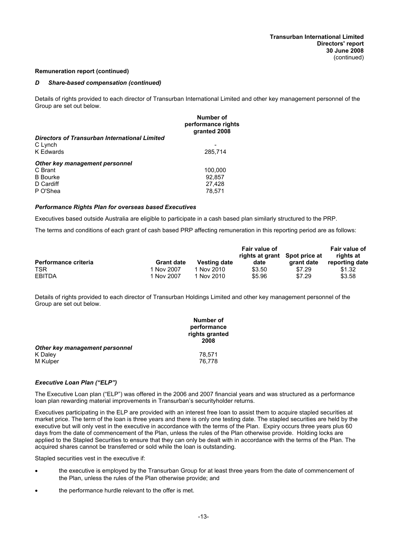#### *D Share-based compensation (continued)*

Details of rights provided to each director of Transurban International Limited and other key management personnel of the Group are set out below.

|                                               | Number of<br>performance rights<br>granted 2008 |
|-----------------------------------------------|-------------------------------------------------|
| Directors of Transurban International Limited |                                                 |
| C Lynch                                       |                                                 |
| <b>K</b> Edwards                              | 285,714                                         |
| Other key management personnel                |                                                 |
| C Brant                                       | 100,000                                         |
| <b>B</b> Bourke                               | 92,857                                          |
| D Cardiff                                     | 27,428                                          |
| P O'Shea                                      | 78.571                                          |
|                                               |                                                 |

#### *Performance Rights Plan for overseas based Executives*

Executives based outside Australia are eligible to participate in a cash based plan similarly structured to the PRP.

The terms and conditions of each grant of cash based PRP affecting remuneration in this reporting period are as follows:

|                             |                   |                     | Fair value of   |               | Fair value of  |
|-----------------------------|-------------------|---------------------|-----------------|---------------|----------------|
|                             |                   |                     | rights at grant | Spot price at | rights at      |
| <b>Performance criteria</b> | <b>Grant date</b> | <b>Vesting date</b> | date            | arant date    | reporting date |
| <b>TSR</b>                  | 1 Nov 2007        | 1 Nov 2010          | \$3.50          | \$7.29        | \$1.32         |
| EBITDA                      | 1 Nov 2007        | 1 Nov 2010          | \$5.96          | \$7.29        | \$3.58         |

Details of rights provided to each director of Transurban Holdings Limited and other key management personnel of the Group are set out below.

|                                | Number of<br>performance<br>rights granted<br>2008 |
|--------------------------------|----------------------------------------------------|
| Other key management personnel |                                                    |
| K Daley                        | 78.571                                             |
| M Kulper                       | 76.778                                             |

#### *Executive Loan Plan ("ELP")*

The Executive Loan plan ("ELP") was offered in the 2006 and 2007 financial years and was structured as a performance loan plan rewarding material improvements in Transurban's securityholder returns.

Executives participating in the ELP are provided with an interest free loan to assist them to acquire stapled securities at market price. The term of the loan is three years and there is only one testing date. The stapled securities are held by the executive but will only vest in the executive in accordance with the terms of the Plan. Expiry occurs three years plus 60 days from the date of commencement of the Plan, unless the rules of the Plan otherwise provide. Holding locks are applied to the Stapled Securities to ensure that they can only be dealt with in accordance with the terms of the Plan. The acquired shares cannot be transferred or sold while the loan is outstanding.

Stapled securities vest in the executive if:

- the executive is employed by the Transurban Group for at least three years from the date of commencement of the Plan, unless the rules of the Plan otherwise provide; and
- the performance hurdle relevant to the offer is met.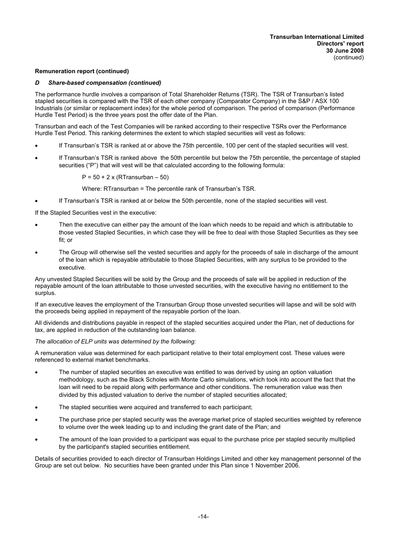## *D Share-based compensation (continued)*

The performance hurdle involves a comparison of Total Shareholder Returns (TSR). The TSR of Transurban's listed stapled securities is compared with the TSR of each other company (Comparator Company) in the S&P / ASX 100 Industrials (or similar or replacement index) for the whole period of comparison. The period of comparison (Performance Hurdle Test Period) is the three years post the offer date of the Plan.

Transurban and each of the Test Companies will be ranked according to their respective TSRs over the Performance Hurdle Test Period. This ranking determines the extent to which stapled securities will vest as follows:

- If Transurban's TSR is ranked at or above the 75th percentile, 100 per cent of the stapled securities will vest.
- If Transurban's TSR is ranked above the 50th percentile but below the 75th percentile, the percentage of stapled securities ("P") that will vest will be that calculated according to the following formula:

 $P = 50 + 2x$  (RTransurban – 50)

Where: RTransurban = The percentile rank of Transurban's TSR.

If Transurban's TSR is ranked at or below the 50th percentile, none of the stapled securities will vest.

If the Stapled Securities vest in the executive:

- Then the executive can either pay the amount of the loan which needs to be repaid and which is attributable to those vested Stapled Securities, in which case they will be free to deal with those Stapled Securities as they see fit; or
- The Group will otherwise sell the vested securities and apply for the proceeds of sale in discharge of the amount of the loan which is repayable attributable to those Stapled Securities, with any surplus to be provided to the executive.

Any unvested Stapled Securities will be sold by the Group and the proceeds of sale will be applied in reduction of the repayable amount of the loan attributable to those unvested securities, with the executive having no entitlement to the surplus.

If an executive leaves the employment of the Transurban Group those unvested securities will lapse and will be sold with the proceeds being applied in repayment of the repayable portion of the loan.

All dividends and distributions payable in respect of the stapled securities acquired under the Plan, net of deductions for tax, are applied in reduction of the outstanding loan balance.

*The allocation of ELP units was determined by the following:*

A remuneration value was determined for each participant relative to their total employment cost. These values were referenced to external market benchmarks.

- The number of stapled securities an executive was entitled to was derived by using an option valuation methodology, such as the Black Scholes with Monte Carlo simulations, which took into account the fact that the loan will need to be repaid along with performance and other conditions. The remuneration value was then divided by this adjusted valuation to derive the number of stapled securities allocated;
- The stapled securities were acquired and transferred to each participant;
- The purchase price per stapled security was the average market price of stapled securities weighted by reference to volume over the week leading up to and including the grant date of the Plan; and
- The amount of the loan provided to a participant was equal to the purchase price per stapled security multiplied by the participant's stapled securities entitlement.

Details of securities provided to each director of Transurban Holdings Limited and other key management personnel of the Group are set out below. No securities have been granted under this Plan since 1 November 2006.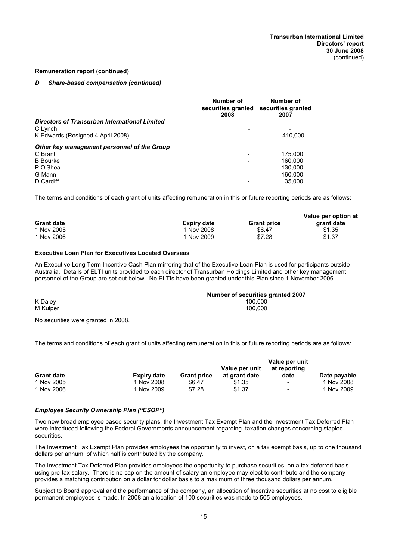#### *D Share-based compensation (continued)*

|                                               | Number of<br>securities granted<br>2008 | Number of<br>securities granted<br>2007 |
|-----------------------------------------------|-----------------------------------------|-----------------------------------------|
| Directors of Transurban International Limited |                                         |                                         |
| C Lynch                                       | $\overline{\phantom{0}}$                | $\overline{\phantom{a}}$                |
| K Edwards (Resigned 4 April 2008)             |                                         | 410,000                                 |
| Other key management personnel of the Group   |                                         |                                         |
| C Brant                                       |                                         | 175,000                                 |
| <b>B</b> Bourke                               |                                         | 160.000                                 |
| P O'Shea                                      |                                         | 130.000                                 |
| G Mann                                        |                                         | 160.000                                 |
| D Cardiff                                     |                                         | 35,000                                  |

The terms and conditions of each grant of units affecting remuneration in this or future reporting periods are as follows:

|                   |                    |                    | Value per option at |
|-------------------|--------------------|--------------------|---------------------|
| <b>Grant date</b> | <b>Expiry date</b> | <b>Grant price</b> | grant date          |
| 1 Nov 2005        | 1 Nov 2008         | \$6.47             | \$1.35              |
| 1 Nov 2006        | 1 Nov 2009         | \$7.28             | \$1.37              |

#### **Executive Loan Plan for Executives Located Overseas**

An Executive Long Term Incentive Cash Plan mirroring that of the Executive Loan Plan is used for participants outside Australia. Details of ELTI units provided to each director of Transurban Holdings Limited and other key management personnel of the Group are set out below. No ELTIs have been granted under this Plan since 1 November 2006.

|          | Number of securities granted 2007 |
|----------|-----------------------------------|
| K Daley  | 100.000                           |
| M Kulper | 100.000                           |

No securities were granted in 2008.

The terms and conditions of each grant of units affecting remuneration in this or future reporting periods are as follows:

|                   |                    |                    | Value per unit | Value per unit<br>at reporting |              |  |
|-------------------|--------------------|--------------------|----------------|--------------------------------|--------------|--|
| <b>Grant date</b> | <b>Expiry date</b> | <b>Grant price</b> | at grant date  | date                           | Date payable |  |
| 1 Nov 2005        | 1 Nov 2008         | \$6.47             | \$1.35         | $\sim$                         | 1 Nov 2008   |  |
| 1 Nov 2006        | 1 Nov 2009         | \$7.28             | \$1.37         | $\sim$                         | 1 Nov 2009   |  |

#### *Employee Security Ownership Plan ("ESOP")*

Two new broad employee based security plans, the Investment Tax Exempt Plan and the Investment Tax Deferred Plan were introduced following the Federal Governments announcement regarding taxation changes concerning stapled securities.

The Investment Tax Exempt Plan provides employees the opportunity to invest, on a tax exempt basis, up to one thousand dollars per annum, of which half is contributed by the company.

The Investment Tax Deferred Plan provides employees the opportunity to purchase securities, on a tax deferred basis using pre-tax salary. There is no cap on the amount of salary an employee may elect to contribute and the company provides a matching contribution on a dollar for dollar basis to a maximum of three thousand dollars per annum.

Subject to Board approval and the performance of the company, an allocation of Incentive securities at no cost to eligible permanent employees is made. In 2008 an allocation of 100 securities was made to 505 employees.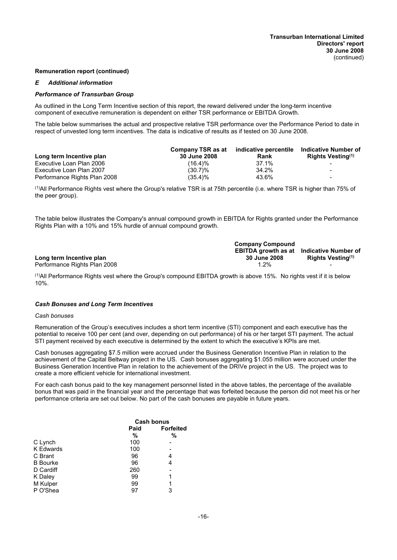#### *E Additional information*

#### *Performance of Transurban Group*

As outlined in the Long Term Incentive section of this report, the reward delivered under the long-term incentive component of executive remuneration is dependent on either TSR performance or EBITDA Growth.

The table below summarises the actual and prospective relative TSR performance over the Performance Period to date in respect of unvested long term incentives. The data is indicative of results as if tested on 30 June 2008.

|                              | Company TSR as at   | indicative percentile | Indicative Number of          |
|------------------------------|---------------------|-----------------------|-------------------------------|
| Long term Incentive plan     | <b>30 June 2008</b> | Rank                  | Rights Vesting <sup>(1)</sup> |
| Executive Loan Plan 2006     | $(16.4)\%$          | 37.1%                 |                               |
| Executive Loan Plan 2007     | $(30.7)\%$          | 34.2%                 | $\overline{\phantom{0}}$      |
| Performance Rights Plan 2008 | $(35.4)\%$          | 43.6%                 | $\overline{\phantom{0}}$      |

 $<sup>(1)</sup>$ All Performance Rights vest where the Group's relative TSR is at 75th percentile (i.e. where TSR is higher than 75% of</sup> the peer group).

The table below illustrates the Company's annual compound growth in EBITDA for Rights granted under the Performance Rights Plan with a 10% and 15% hurdle of annual compound growth.

|                              | <b>Company Compound</b>                         |                               |
|------------------------------|-------------------------------------------------|-------------------------------|
|                              | <b>EBITDA growth as at Indicative Number of</b> |                               |
| Long term Incentive plan     | 30 June 2008                                    | Rights Vesting <sup>(1)</sup> |
| Performance Rights Plan 2008 | $.2\%$                                          |                               |

 $<sup>(1)</sup>$ All Performance Rights vest where the Group's compound EBITDA growth is above 15%. No rights vest if it is below</sup> 10%.

#### *Cash Bonuses and Long Term Incentives*

#### *Cash bonuses*

Remuneration of the Group's executives includes a short term incentive (STI) component and each executive has the potential to receive 100 per cent (and over, depending on out performance) of his or her target STI payment. The actual STI payment received by each executive is determined by the extent to which the executive's KPIs are met.

Cash bonuses aggregating \$7.5 million were accrued under the Business Generation Incentive Plan in relation to the achievement of the Capital Beltway project in the US. Cash bonuses aggregating \$1.055 million were accrued under the Business Generation Incentive Plan in relation to the achievement of the DRIVe project in the US. The project was to create a more efficient vehicle for international investment.

For each cash bonus paid to the key management personnel listed in the above tables, the percentage of the available bonus that was paid in the financial year and the percentage that was forfeited because the person did not meet his or her performance criteria are set out below. No part of the cash bonuses are payable in future years.

|                  | <b>Cash bonus</b> |                  |  |
|------------------|-------------------|------------------|--|
|                  | Paid              | <b>Forfeited</b> |  |
|                  | %                 | %                |  |
| C Lynch          | 100               |                  |  |
| <b>K</b> Edwards | 100               |                  |  |
| C Brant          | 96                | 4                |  |
| <b>B</b> Bourke  | 96                | 4                |  |
| D Cardiff        | 260               |                  |  |
| K Daley          | 99                | 1                |  |
| M Kulper         | 99                | 1                |  |
| P O'Shea         | 97                | 3                |  |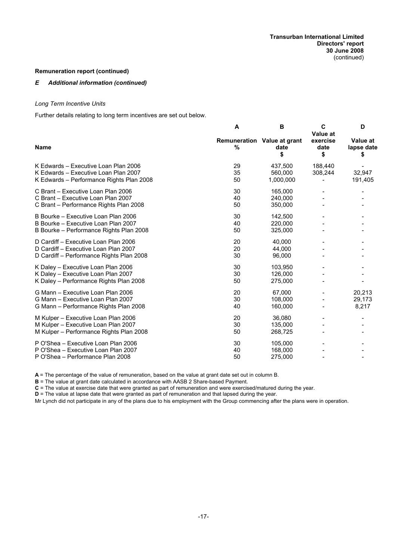#### *E Additional information (continued)*

#### *Long Term Incentive Units*

Further details relating to long term incentives are set out below.

|                                                                                                                          | A              | в                                         | C<br>Value at          | D                            |
|--------------------------------------------------------------------------------------------------------------------------|----------------|-------------------------------------------|------------------------|------------------------------|
| <b>Name</b>                                                                                                              | %              | Remuneration Value at grant<br>date<br>\$ | exercise<br>date<br>\$ | Value at<br>lapse date<br>æ. |
| K Edwards - Executive Loan Plan 2006<br>K Edwards - Executive Loan Plan 2007<br>K Edwards - Performance Rights Plan 2008 | 29<br>35<br>50 | 437,500<br>560,000<br>1,000,000           | 188,440<br>308,244     | 32,947<br>191,405            |
| C Brant - Executive Loan Plan 2006<br>C Brant - Executive Loan Plan 2007<br>C Brant - Performance Rights Plan 2008       | 30<br>40<br>50 | 165,000<br>240,000<br>350,000             |                        |                              |
| B Bourke - Executive Loan Plan 2006<br>B Bourke - Executive Loan Plan 2007<br>B Bourke - Performance Rights Plan 2008    | 30<br>40<br>50 | 142.500<br>220,000<br>325,000             |                        |                              |
| D Cardiff - Executive Loan Plan 2006<br>D Cardiff - Executive Loan Plan 2007<br>D Cardiff - Performance Rights Plan 2008 | 20<br>20<br>30 | 40.000<br>44,000<br>96,000                |                        |                              |
| K Daley - Executive Loan Plan 2006<br>K Daley - Executive Loan Plan 2007<br>K Daley - Performance Rights Plan 2008       | 30<br>30<br>50 | 103,950<br>126,000<br>275,000             |                        |                              |
| G Mann - Executive Loan Plan 2006<br>G Mann - Executive Loan Plan 2007<br>G Mann - Performance Rights Plan 2008          | 20<br>30<br>40 | 67.000<br>108,000<br>160,000              |                        | 20,213<br>29,173<br>8,217    |
| M Kulper - Executive Loan Plan 2006<br>M Kulper - Executive Loan Plan 2007<br>M Kulper - Performance Rights Plan 2008    | 20<br>30<br>50 | 36,080<br>135,000<br>268,725              |                        |                              |
| P O'Shea - Executive Loan Plan 2006<br>P O'Shea - Executive Loan Plan 2007<br>P O'Shea - Performance Plan 2008           | 30<br>40<br>50 | 105.000<br>168,000<br>275,000             |                        |                              |

**A** = The percentage of the value of remuneration, based on the value at grant date set out in column B.

**B** = The value at grant date calculated in accordance with AASB 2 Share-based Payment.

**C** = The value at exercise date that were granted as part of remuneration and were exercised/matured during the year.

**D** = The value at lapse date that were granted as part of remuneration and that lapsed during the year.

Mr Lynch did not participate in any of the plans due to his employment with the Group commencing after the plans were in operation.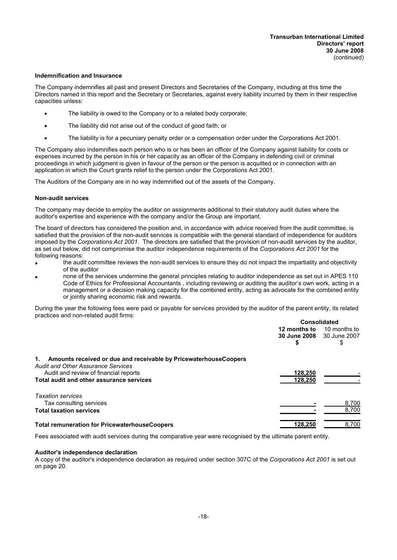#### **Indemnification and Insurance**

The Company indemnifies all past and present Directors and Secretaries of the Company, including at this time the Directors named in this report and the Secretary or Secretaries, against every liability incurred by them in their respective capacities unless:

- The liability is owed to the Company or to a related body corporate;
- · The liability did not arise out of the conduct of good faith; or
- · The liability is for a pecuniary penalty order or a compensation order under the Corporations Act 2001.

The Company also indemnifies each person who is or has been an officer of the Company against liability for costs or expenses incurred by the person in his or her capacity as an officer of the Company in defending civil or criminal proceedings in which judgment is given in favour of the person or the person is acquitted or in connection with an application in which the Court grants relief to the person under the Corporations Act 2001.

The Auditors of the Company are in no way indemnified out of the assets of the Company.

#### **Non-audit services**

The company may decide to employ the auditor on assignments additional to their statutory audit duties where the auditor's expertise and experience with the company and/or the Group are important.

The board of directors has considered the position and, in accordance with advice received from the audit committee, is satisfied that the provision of the non-audit services is compatible with the general standard of independence for auditors imposed by the *Corporations Act 2001.* The directors are satisfied that the provision of non-audit services by the auditor, as set out below, did not compromise the auditor independence requirements of the *Corporations Act 2001* for the following reasons:

- the audit committee reviews the non-audit services to ensure they do not impact the impartiality and objectivity of the auditor
- · none of the services undermine the general principles relating to auditor independence as set out in APES 110 Code of Ethics for Professional Accountants , including reviewing or auditing the auditor's own work, acting in a management or a decision making capacity for the combined entity, acting as advocate for the combined entity or jointly sharing economic risk and rewards.

During the year the following fees were paid or payable for services provided by the auditor of the parent entity, its related practices and non-related audit firms:

|                                                                                                                   | <b>Consolidated</b> |              |  |
|-------------------------------------------------------------------------------------------------------------------|---------------------|--------------|--|
|                                                                                                                   | 12 months to        | 10 months to |  |
|                                                                                                                   | <b>30 June 2008</b> | 30 June 2007 |  |
|                                                                                                                   | 5                   | \$           |  |
| 1. Amounts received or due and receivable by Pricewaterhouse Coopers<br><b>Audit and Other Assurance Services</b> |                     |              |  |
| Audit and review of financial reports                                                                             | 128.250             |              |  |
| Total audit and other assurance services                                                                          | 128.250             |              |  |
| <b>Taxation services</b>                                                                                          |                     |              |  |
| Tax consulting services                                                                                           |                     | 8,700        |  |
| <b>Total taxation services</b>                                                                                    |                     | 8.700        |  |
| <b>Total remuneration for PricewaterhouseCoopers</b>                                                              | 128.250             | 8.700        |  |

Fees associated with audit services during the comparative year were recognised by the ultimate parent entity.

#### **Auditor's independence declaration**

A copy of the auditor's independence declaration as required under section 307C of the *Corporations Act 2001* is set out on page 20.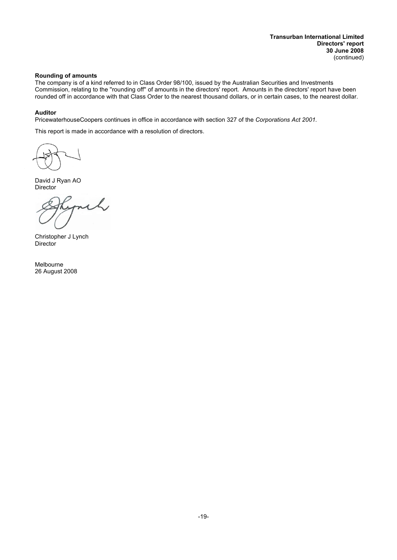#### **Rounding of amounts**

The company is of a kind referred to in Class Order 98/100, issued by the Australian Securities and Investments Commission, relating to the ''rounding off'' of amounts in the directors' report. Amounts in the directors' report have been rounded off in accordance with that Class Order to the nearest thousand dollars, or in certain cases, to the nearest dollar.

#### **Auditor**

PricewaterhouseCoopers continues in office in accordance with section 327 of the *Corporations Act 2001.*

This report is made in accordance with a resolution of directors.

David J Ryan AO Director

 $\mathcal{L}_{I}$ 

Christopher J Lynch **Director** 

Melbourne 26 August 2008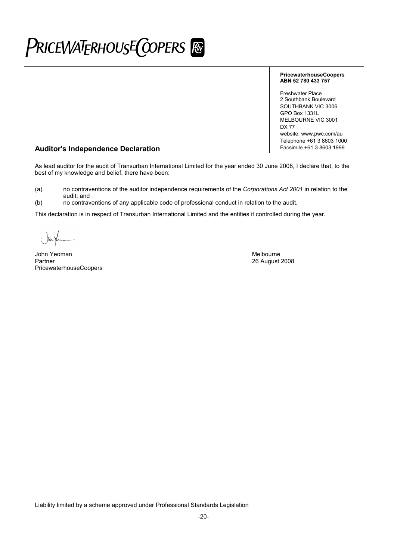# PriceWaTERHOUSE COPERS FO

#### **PricewaterhouseCoopers ABN 52 780 433 757**

Freshwater Place 2 Southbank Boulevard SOUTHBANK VIC 3006 GPO Box 1331L MELBOURNE VIC 3001 DX 77 website: www.pwc.com/au Telephone +61 3 8603 1000<br>Facsimile +61 3 8603 1999

## **Auditor's Independence Declaration**

As lead auditor for the audit of Transurban International Limited for the year ended 30 June 2008, I declare that, to the best of my knowledge and belief, there have been:

(a) no contraventions of the auditor independence requirements of the *Corporations Act 2001* in relation to the audit; and

(b) no contraventions of any applicable code of professional conduct in relation to the audit.

This declaration is in respect of Transurban International Limited and the entities it controlled during the year.

John Yeoman Melbourne (1999) and the state of the state of the state of the Melbourne Melbourne (1999) and the state of the Melbourne (1999) and the Melbourne of the Melbourne of the Melbourne (1999) and the Melbourne of t PricewaterhouseCoopers

26 August 2008

Liability limited by a scheme approved under Professional Standards Legislation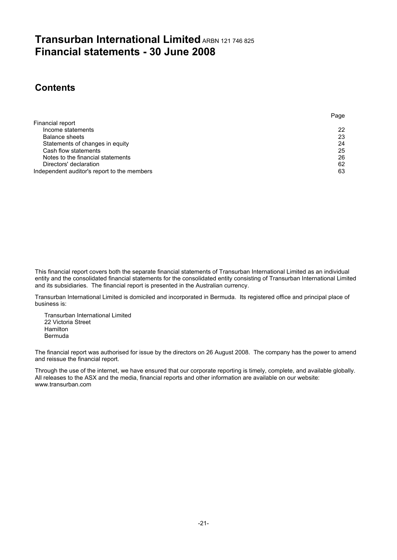## **Transurban International Limited ARBN 121 746 825 Financial statements - 30 June 2008**

## **Contents**

|                                             | . ugu |
|---------------------------------------------|-------|
| Financial report                            |       |
| Income statements                           | 22    |
| Balance sheets                              | 23    |
| Statements of changes in equity             | 24    |
| Cash flow statements                        | 25    |
| Notes to the financial statements           | 26    |
| Directors' declaration                      | 62    |
| Independent auditor's report to the members | 63    |
|                                             |       |

Page

This financial report covers both the separate financial statements of Transurban International Limited as an individual entity and the consolidated financial statements for the consolidated entity consisting of Transurban International Limited and its subsidiaries. The financial report is presented in the Australian currency.

Transurban International Limited is domiciled and incorporated in Bermuda. Its registered office and principal place of business is:

Transurban International Limited 22 Victoria Street Hamilton Bermuda

The financial report was authorised for issue by the directors on 26 August 2008. The company has the power to amend and reissue the financial report.

Through the use of the internet, we have ensured that our corporate reporting is timely, complete, and available globally. All releases to the ASX and the media, financial reports and other information are available on our website: www.transurban.com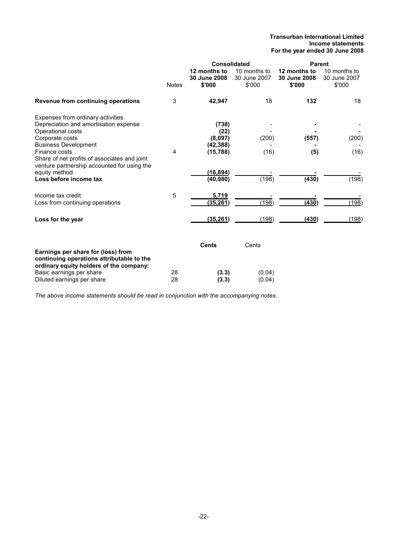#### **Transurban International Limited Income statements For the year ended 30 June 2008**

|                                                                                                                                             |              | <b>Consolidated</b>                    |                                        | <b>Parent</b>                          |                                        |
|---------------------------------------------------------------------------------------------------------------------------------------------|--------------|----------------------------------------|----------------------------------------|----------------------------------------|----------------------------------------|
|                                                                                                                                             | <b>Notes</b> | 12 months to<br>30 June 2008<br>\$'000 | 10 months to<br>30 June 2007<br>\$'000 | 12 months to<br>30 June 2008<br>\$'000 | 10 months to<br>30 June 2007<br>\$'000 |
| Revenue from continuing operations                                                                                                          | 3            | 42,947                                 | 18                                     | 132                                    | 18                                     |
| Expenses from ordinary activities<br>Depreciation and amortisation expense<br>Operational costs<br>Corporate costs                          |              | (738)<br>(22)<br>(8,097)               | (200)                                  | (557)                                  | (200)                                  |
| <b>Business Development</b><br>Finance costs<br>Share of net profits of associates and joint<br>venture partnership accounted for using the | 4            | (42, 388)<br>(15, 788)                 | (16)                                   | (5)                                    | (16)                                   |
| equity method<br>Loss before income tax                                                                                                     |              | (16, 894)<br>(40, 980)                 | (198)                                  | (430)                                  | (198)                                  |
| Income tax credit<br>Loss from continuing operations                                                                                        | 5            | 5,719<br>(35, 261)                     | (198)                                  | (430)                                  | (198)                                  |
| Loss for the year                                                                                                                           |              | (35, 261)                              | (198)                                  | (430)                                  | (198)                                  |
| Earnings per share for (loss) from<br>continuing operations attributable to the                                                             |              | <b>Cents</b>                           | Cents                                  |                                        |                                        |
| ordinary equity holders of the company:<br>Basic earnings per share<br>Diluted earnings per share                                           | 28<br>28     | (3.3)<br>(3.3)                         | (0.04)<br>(0.04)                       |                                        |                                        |

*The above income statements should be read in conjunction with the accompanying notes.*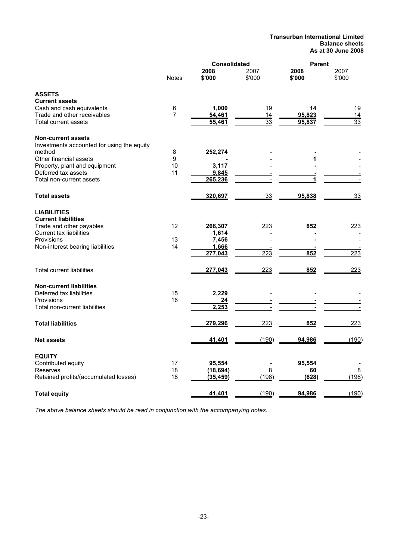#### **Transurban International Limited Balance sheets As at 30 June 2008**

|                                            |                | <b>Consolidated</b> |                | <b>Parent</b>  |                |  |
|--------------------------------------------|----------------|---------------------|----------------|----------------|----------------|--|
|                                            | <b>Notes</b>   | 2008<br>\$'000      | 2007<br>\$'000 | 2008<br>\$'000 | 2007<br>\$'000 |  |
| <b>ASSETS</b>                              |                |                     |                |                |                |  |
| <b>Current assets</b>                      |                |                     |                |                |                |  |
| Cash and cash equivalents                  | 6              | 1,000               | 19             | 14             | 19             |  |
| Trade and other receivables                | $\overline{7}$ | 54,461              | 14             | 95,823         | 14             |  |
| Total current assets                       |                | 55,461              | 33             | 95,837         | 33             |  |
| <b>Non-current assets</b>                  |                |                     |                |                |                |  |
| Investments accounted for using the equity |                |                     |                |                |                |  |
| method                                     | 8              | 252,274             |                |                |                |  |
| Other financial assets                     | 9              |                     |                | 1              |                |  |
| Property, plant and equipment              | 10             | 3,117               |                |                |                |  |
| Deferred tax assets                        | 11             | 9,845               |                |                |                |  |
| Total non-current assets                   |                | 265,236             |                | 1              |                |  |
| <b>Total assets</b>                        |                | 320,697             | 33             | 95,838         | 33             |  |
| <b>LIABILITIES</b>                         |                |                     |                |                |                |  |
| <b>Current liabilities</b>                 |                |                     |                |                |                |  |
| Trade and other payables                   | 12             | 266,307             | 223            | 852            | 223            |  |
| Current tax liabilities                    |                | 1,614               |                |                |                |  |
| Provisions                                 | 13             | 7,456               |                |                |                |  |
| Non-interest bearing liabilities           | 14             | 1,666               |                |                |                |  |
|                                            |                | 277,043             | 223            | 852            | 223            |  |
| <b>Total current liabilities</b>           |                | 277,043             | 223            | 852            | 223            |  |
| <b>Non-current liabilities</b>             |                |                     |                |                |                |  |
| Deferred tax liabilities                   | 15             | 2,229               |                |                |                |  |
| Provisions                                 | 16             | 24                  |                |                |                |  |
| Total non-current liabilities              |                | 2,253               |                |                |                |  |
| <b>Total liabilities</b>                   |                | 279,296             | 223            | 852            | 223            |  |
| <b>Net assets</b>                          |                | 41,401              | (190)          | 94,986         | (190)          |  |
| <b>EQUITY</b>                              |                |                     |                |                |                |  |
| Contributed equity                         | 17             | 95,554              |                | 95,554         |                |  |
| Reserves                                   | 18             | (18, 694)           | 8              | 60             | 8              |  |
| Retained profits/(accumulated losses)      | 18             | (35, 459)           | (198)          | (628)          | (198)          |  |
|                                            |                | 41,401              | (190)          | 94,986         | (190)          |  |
| <b>Total equity</b>                        |                |                     |                |                |                |  |

*The above balance sheets should be read in conjunction with the accompanying notes.*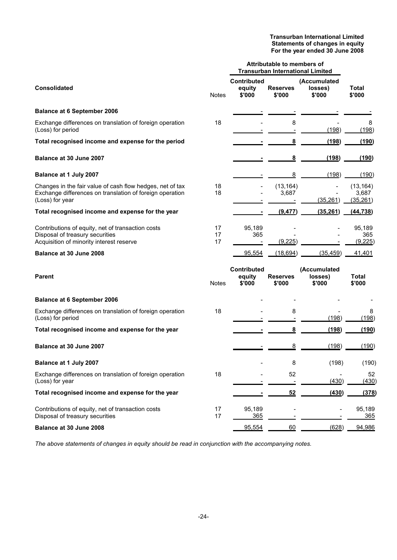#### **Transurban International Limited Statements of changes in equity For the year ended 30 June 2008**

|                                                                                                                                          |                | Attributable to members of<br><b>Transurban International Limited</b> |                           |                                   |                                 |
|------------------------------------------------------------------------------------------------------------------------------------------|----------------|-----------------------------------------------------------------------|---------------------------|-----------------------------------|---------------------------------|
| <b>Consolidated</b>                                                                                                                      | <b>Notes</b>   | <b>Contributed</b><br>equity<br>\$'000                                | <b>Reserves</b><br>\$'000 | (Accumulated<br>losses)<br>\$'000 | Total<br>\$'000                 |
| <b>Balance at 6 September 2006</b>                                                                                                       |                |                                                                       |                           |                                   |                                 |
| Exchange differences on translation of foreign operation<br>(Loss) for period                                                            | 18             |                                                                       | 8                         | (198)                             | 8<br>(198)                      |
| Total recognised income and expense for the period                                                                                       |                |                                                                       | $\overline{\mathbf{8}}$   | (198)                             | (190)                           |
| Balance at 30 June 2007                                                                                                                  |                |                                                                       | 8                         | (198)                             | (190)                           |
| Balance at 1 July 2007                                                                                                                   |                |                                                                       | 8                         | (198)                             | (190)                           |
| Changes in the fair value of cash flow hedges, net of tax<br>Exchange differences on translation of foreign operation<br>(Loss) for year | 18<br>18       |                                                                       | (13, 164)<br>3,687        | (35, 261)                         | (13, 164)<br>3,687<br>(35, 261) |
| Total recognised income and expense for the year                                                                                         |                |                                                                       | (9, 477)                  | (35, 261)                         | (44, 738)                       |
| Contributions of equity, net of transaction costs<br>Disposal of treasury securities<br>Acquisition of minority interest reserve         | 17<br>17<br>17 | 95,189<br>365                                                         | (9,225)                   |                                   | 95,189<br>365<br>(9,225)        |
| Balance at 30 June 2008                                                                                                                  |                | 95,554                                                                | (18, 694)                 | (35, 459)                         | 41,401                          |
| <b>Parent</b>                                                                                                                            | <b>Notes</b>   | <b>Contributed</b><br>equity<br>\$'000                                | <b>Reserves</b><br>\$'000 | (Accumulated<br>losses)<br>\$'000 | Total<br>\$'000                 |
| <b>Balance at 6 September 2006</b>                                                                                                       |                |                                                                       |                           |                                   |                                 |
| Exchange differences on translation of foreign operation<br>(Loss) for period                                                            | 18             |                                                                       | 8                         | (198)                             | 8<br>(198)                      |
| Total recognised income and expense for the year                                                                                         |                |                                                                       | 8                         | (198)                             | (190)                           |
| Balance at 30 June 2007                                                                                                                  |                |                                                                       | 8                         | (198)                             | (190)                           |
| Balance at 1 July 2007                                                                                                                   |                |                                                                       | 8                         | (198)                             | (190)                           |
| Exchange differences on translation of foreign operation<br>(Loss) for year                                                              | 18             |                                                                       | 52                        | (430)                             | 52<br>(430)                     |
| Total recognised income and expense for the year                                                                                         |                |                                                                       | 52                        | (430)                             | (378)                           |
| Contributions of equity, net of transaction costs<br>Disposal of treasury securities                                                     | 17<br>17       | 95,189<br>365                                                         |                           |                                   | 95,189<br>365                   |
| Balance at 30 June 2008                                                                                                                  |                | 95,554                                                                | 60                        | (628)                             | 94,986                          |

*The above statements of changes in equity should be read in conjunction with the accompanying notes.*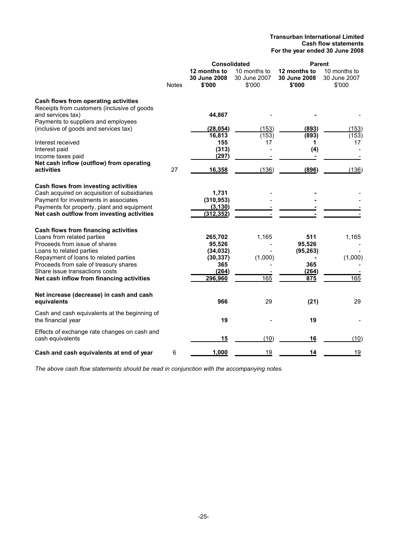#### **Transurban International Limited Cash flow statements For the year ended 30 June 2008**

|                                                                                            |              | <b>Consolidated</b>                    |                                        | <b>Parent</b>                          |                                        |  |
|--------------------------------------------------------------------------------------------|--------------|----------------------------------------|----------------------------------------|----------------------------------------|----------------------------------------|--|
|                                                                                            | <b>Notes</b> | 12 months to<br>30 June 2008<br>\$'000 | 10 months to<br>30 June 2007<br>\$'000 | 12 months to<br>30 June 2008<br>\$'000 | 10 months to<br>30 June 2007<br>\$'000 |  |
| <b>Cash flows from operating activities</b><br>Receipts from customers (inclusive of goods |              |                                        |                                        |                                        |                                        |  |
| and services tax)                                                                          |              | 44,867                                 |                                        |                                        |                                        |  |
| Payments to suppliers and employees<br>(inclusive of goods and services tax)               |              | (28, 054)                              | (153)                                  | (893)                                  | (153)                                  |  |
|                                                                                            |              | 16,813                                 | (153)                                  | (893)                                  | (153)                                  |  |
| Interest received                                                                          |              | 155                                    | 17                                     | 1                                      | 17                                     |  |
| Interest paid<br>Income taxes paid                                                         |              | (313)<br>(297)                         |                                        | (4)                                    |                                        |  |
| Net cash inflow (outflow) from operating                                                   |              |                                        |                                        |                                        |                                        |  |
| activities                                                                                 | 27           | 16,358                                 | (136)                                  | (896)                                  | (136)                                  |  |
| Cash flows from investing activities                                                       |              |                                        |                                        |                                        |                                        |  |
| Cash acquired on acquisition of subsidiaries                                               |              | 1,731                                  |                                        |                                        |                                        |  |
| Payment for investments in associates<br>Payments for property, plant and equipment        |              | (310, 953)<br>(3, 130)                 |                                        |                                        |                                        |  |
| Net cash outflow from investing activities                                                 |              | (312, 352)                             |                                        |                                        |                                        |  |
| Cash flows from financing activities                                                       |              |                                        |                                        |                                        |                                        |  |
| Loans from related parties                                                                 |              | 265,702                                | 1,165                                  | 511                                    | 1,165                                  |  |
| Proceeds from issue of shares<br>Loans to related parties                                  |              | 95,526<br>(34, 032)                    |                                        | 95,526<br>(95, 263)                    |                                        |  |
| Repayment of loans to related parties                                                      |              | (30, 337)                              | (1,000)                                |                                        | (1,000)                                |  |
| Proceeds from sale of treasury shares<br>Share issue transactions costs                    |              | 365<br>(264)                           |                                        | 365<br>(264)                           |                                        |  |
| Net cash inflow from financing activities                                                  |              | 296,960                                | 165                                    | 875                                    | 165                                    |  |
| Net increase (decrease) in cash and cash                                                   |              |                                        |                                        |                                        |                                        |  |
| equivalents                                                                                |              | 966                                    | 29                                     | (21)                                   | 29                                     |  |
| Cash and cash equivalents at the beginning of<br>the financial year                        |              | 19                                     |                                        | 19                                     |                                        |  |
| Effects of exchange rate changes on cash and                                               |              |                                        |                                        |                                        |                                        |  |
| cash equivalents                                                                           |              | 15                                     | (10)                                   | 16                                     | (10)                                   |  |
| Cash and cash equivalents at end of year                                                   | 6            | 1,000                                  | 19                                     | 14                                     | 19                                     |  |

*The above cash flow statements should be read in conjunction with the accompanying notes.*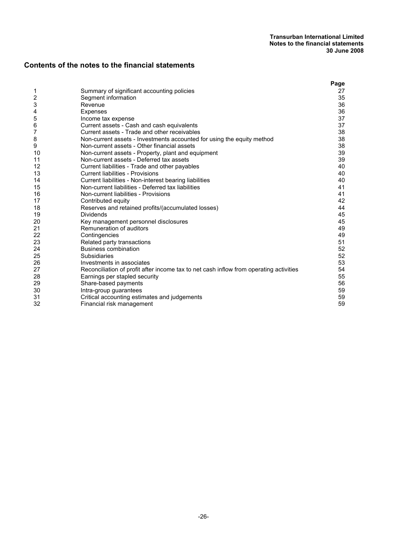## **Contents of the notes to the financial statements**

|    |                                                                                        | Page |
|----|----------------------------------------------------------------------------------------|------|
| 1  | Summary of significant accounting policies                                             | 27   |
| 2  | Segment information                                                                    | 35   |
| 3  | Revenue                                                                                | 36   |
| 4  | Expenses                                                                               | 36   |
| 5  | Income tax expense                                                                     | 37   |
| 6  | Current assets - Cash and cash equivalents                                             | 37   |
| 7  | Current assets - Trade and other receivables                                           | 38   |
| 8  | Non-current assets - Investments accounted for using the equity method                 | 38   |
| 9  | Non-current assets - Other financial assets                                            | 38   |
| 10 | Non-current assets - Property, plant and equipment                                     | 39   |
| 11 | Non-current assets - Deferred tax assets                                               | 39   |
| 12 | Current liabilities - Trade and other payables                                         | 40   |
| 13 | <b>Current liabilities - Provisions</b>                                                | 40   |
| 14 | Current liabilities - Non-interest bearing liabilities                                 | 40   |
| 15 | Non-current liabilities - Deferred tax liabilities                                     | 41   |
| 16 | Non-current liabilities - Provisions                                                   | 41   |
| 17 | Contributed equity                                                                     | 42   |
| 18 | Reserves and retained profits/(accumulated losses)                                     | 44   |
| 19 | <b>Dividends</b>                                                                       | 45   |
| 20 | Key management personnel disclosures                                                   | 45   |
| 21 | Remuneration of auditors                                                               | 49   |
| 22 | Contingencies                                                                          | 49   |
| 23 | Related party transactions                                                             | 51   |
| 24 | <b>Business combination</b>                                                            | 52   |
| 25 | Subsidiaries                                                                           | 52   |
| 26 | Investments in associates                                                              | 53   |
| 27 | Reconciliation of profit after income tax to net cash inflow from operating activities | 54   |
| 28 | Earnings per stapled security                                                          | 55   |
| 29 | Share-based payments                                                                   | 56   |
| 30 | Intra-group guarantees                                                                 | 59   |
| 31 | Critical accounting estimates and judgements                                           | 59   |
| 32 | Financial risk management                                                              | 59   |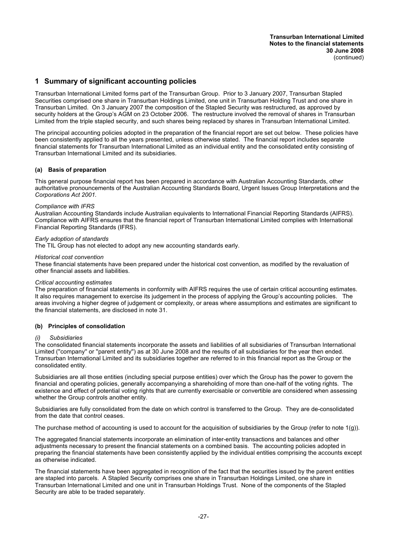## **1 Summary of significant accounting policies**

Transurban International Limited forms part of the Transurban Group. Prior to 3 January 2007, Transurban Stapled Securities comprised one share in Transurban Holdings Limited, one unit in Transurban Holding Trust and one share in Transurban Limited. On 3 January 2007 the composition of the Stapled Security was restructured, as approved by security holders at the Group's AGM on 23 October 2006. The restructure involved the removal of shares in Transurban Limited from the triple stapled security, and such shares being replaced by shares in Transurban International Limited.

The principal accounting policies adopted in the preparation of the financial report are set out below. These policies have been consistently applied to all the years presented, unless otherwise stated. The financial report includes separate financial statements for Transurban International Limited as an individual entity and the consolidated entity consisting of Transurban International Limited and its subsidiaries.

#### **(a) Basis of preparation**

This general purpose financial report has been prepared in accordance with Australian Accounting Standards, other authoritative pronouncements of the Australian Accounting Standards Board, Urgent Issues Group Interpretations and the *Corporations Act 2001.*

#### *Compliance with IFRS*

Australian Accounting Standards include Australian equivalents to International Financial Reporting Standards (AIFRS). Compliance with AIFRS ensures that the financial report of Transurban International Limited complies with International Financial Reporting Standards (IFRS).

#### *Early adoption of standards*

The TIL Group has not elected to adopt any new accounting standards early.

#### *Historical cost convention*

These financial statements have been prepared under the historical cost convention, as modified by the revaluation of other financial assets and liabilities.

#### *Critical accounting estimates*

The preparation of financial statements in conformity with AIFRS requires the use of certain critical accounting estimates. It also requires management to exercise its judgement in the process of applying the Group's accounting policies. The areas involving a higher degree of judgement or complexity, or areas where assumptions and estimates are significant to the financial statements, are disclosed in note 31.

#### **(b) Principles of consolidation**

#### *(i) Subsidiaries*

The consolidated financial statements incorporate the assets and liabilities of all subsidiaries of Transurban International Limited (''company'' or ''parent entity'') as at 30 June 2008 and the results of all subsidiaries for the year then ended. Transurban International Limited and its subsidiaries together are referred to in this financial report as the Group or the consolidated entity.

Subsidiaries are all those entities (including special purpose entities) over which the Group has the power to govern the financial and operating policies, generally accompanying a shareholding of more than one-half of the voting rights. The existence and effect of potential voting rights that are currently exercisable or convertible are considered when assessing whether the Group controls another entity.

Subsidiaries are fully consolidated from the date on which control is transferred to the Group. They are de-consolidated from the date that control ceases.

The purchase method of accounting is used to account for the acquisition of subsidiaries by the Group (refer to note  $1(g)$ ).

The aggregated financial statements incorporate an elimination of inter-entity transactions and balances and other adjustments necessary to present the financial statements on a combined basis. The accounting policies adopted in preparing the financial statements have been consistently applied by the individual entities comprising the accounts except as otherwise indicated.

The financial statements have been aggregated in recognition of the fact that the securities issued by the parent entities are stapled into parcels. A Stapled Security comprises one share in Transurban Holdings Limited, one share in Transurban International Limited and one unit in Transurban Holdings Trust. None of the components of the Stapled Security are able to be traded separately.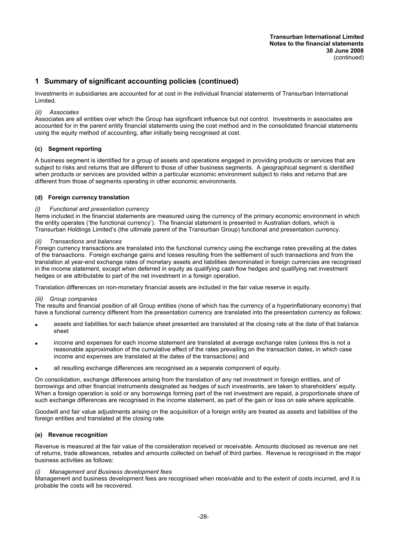Investments in subsidiaries are accounted for at cost in the individual financial statements of Transurban International Limited.

#### *(ii) Associates*

Associates are all entities over which the Group has significant influence but not control. Investments in associates are accounted for in the parent entity financial statements using the cost method and in the consolidated financial statements using the equity method of accounting, after initially being recognised at cost.

#### **(c) Segment reporting**

A business segment is identified for a group of assets and operations engaged in providing products or services that are subject to risks and returns that are different to those of other business segments. A geographical segment is identified when products or services are provided within a particular economic environment subject to risks and returns that are different from those of segments operating in other economic environments.

#### **(d) Foreign currency translation**

#### *(i) Functional and presentation currency*

Items included in the financial statements are measured using the currency of the primary economic environment in which the entity operates ('the functional currency'). The financial statement is presented in Australian dollars, which is Transurban Holdings Limited's (the ultimate parent of the Transurban Group) functional and presentation currency.

#### *(ii) Transactions and balances*

Foreign currency transactions are translated into the functional currency using the exchange rates prevailing at the dates of the transactions. Foreign exchange gains and losses resulting from the settlement of such transactions and from the translation at year-end exchange rates of monetary assets and liabilities denominated in foreign currencies are recognised in the income statement, except when deferred in equity as qualifying cash flow hedges and qualifying net investment hedges or are attributable to part of the net investment in a foreign operation.

Translation differences on non-monetary financial assets are included in the fair value reserve in equity.

#### *(iii) Group companies*

The results and financial position of all Group entities (none of which has the currency of a hyperinflationary economy) that have a functional currency different from the presentation currency are translated into the presentation currency as follows:

- assets and liabilities for each balance sheet presented are translated at the closing rate at the date of that balance sheet
- income and expenses for each income statement are translated at average exchange rates (unless this is not a reasonable approximation of the cumulative effect of the rates prevailing on the transaction dates, in which case income and expenses are translated at the dates of the transactions) and
- all resulting exchange differences are recognised as a separate component of equity.

On consolidation, exchange differences arising from the translation of any net investment in foreign entities, and of borrowings and other financial instruments designated as hedges of such investments, are taken to shareholders' equity. When a foreign operation is sold or any borrowings forming part of the net investment are repaid, a proportionate share of such exchange differences are recognised in the income statement, as part of the gain or loss on sale where applicable.

Goodwill and fair value adjustments arising on the acquisition of a foreign entity are treated as assets and liabilities of the foreign entities and translated at the closing rate.

#### **(e) Revenue recognition**

Revenue is measured at the fair value of the consideration received or receivable. Amounts disclosed as revenue are net of returns, trade allowances, rebates and amounts collected on behalf of third parties. Revenue is recognised in the major business activities as follows:

#### *(i) Management and Business development fees*

Management and business development fees are recognised when receivable and to the extent of costs incurred, and it is probable the costs will be recovered.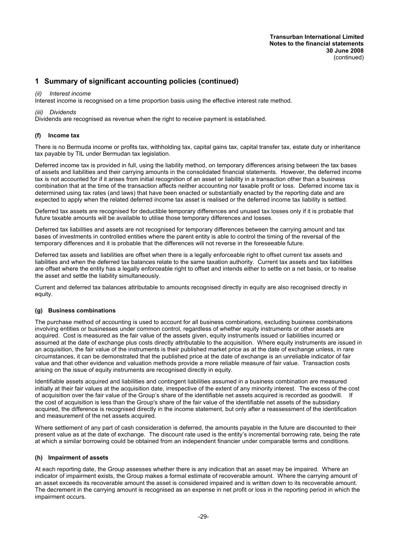#### *(ii) Interest income*

Interest income is recognised on a time proportion basis using the effective interest rate method.

#### *(iii) Dividends*

Dividends are recognised as revenue when the right to receive payment is established.

#### **(f) Income tax**

There is no Bermuda income or profits tax, withholding tax, capital gains tax, capital transfer tax, estate duty or inheritance tax payable by TIL under Bermudan tax legislation.

Deferred income tax is provided in full, using the liability method, on temporary differences arising between the tax bases of assets and liabilities and their carrying amounts in the consolidated financial statements. However, the deferred income tax is not accounted for if it arises from initial recognition of an asset or liability in a transaction other than a business combination that at the time of the transaction affects neither accounting nor taxable profit or loss. Deferred income tax is determined using tax rates (and laws) that have been enacted or substantially enacted by the reporting date and are expected to apply when the related deferred income tax asset is realised or the deferred income tax liability is settled.

Deferred tax assets are recognised for deductible temporary differences and unused tax losses only if it is probable that future taxable amounts will be available to utilise those temporary differences and losses.

Deferred tax liabilities and assets are not recognised for temporary differences between the carrying amount and tax bases of investments in controlled entities where the parent entity is able to control the timing of the reversal of the temporary differences and it is probable that the differences will not reverse in the foreseeable future.

Deferred tax assets and liabilities are offset when there is a legally enforceable right to offset current tax assets and liabilities and when the deferred tax balances relate to the same taxation authority. Current tax assets and tax liabilities are offset where the entity has a legally enforceable right to offset and intends either to settle on a net basis, or to realise the asset and settle the liability simultaneously.

Current and deferred tax balances attributable to amounts recognised directly in equity are also recognised directly in equity.

#### **(g) Business combinations**

The purchase method of accounting is used to account for all business combinations, excluding business combinations involving entities or businesses under common control, regardless of whether equity instruments or other assets are acquired. Cost is measured as the fair value of the assets given, equity instruments issued or liabilities incurred or assumed at the date of exchange plus costs directly attributable to the acquisition. Where equity instruments are issued in an acquisition, the fair value of the instruments is their published market price as at the date of exchange unless, in rare circumstances, it can be demonstrated that the published price at the date of exchange is an unreliable indicator of fair value and that other evidence and valuation methods provide a more reliable measure of fair value. Transaction costs arising on the issue of equity instruments are recognised directly in equity.

Identifiable assets acquired and liabilities and contingent liabilities assumed in a business combination are measured initially at their fair values at the acquisition date, irrespective of the extent of any minority interest. The excess of the cost of acquisition over the fair value of the Group's share of the identifiable net assets acquired is recorded as goodwill. If the cost of acquisition is less than the Group's share of the fair value of the identifiable net assets of the subsidiary acquired, the difference is recognised directly in the income statement, but only after a reassessment of the identification and measurement of the net assets acquired.

Where settlement of any part of cash consideration is deferred, the amounts payable in the future are discounted to their present value as at the date of exchange. The discount rate used is the entity's incremental borrowing rate, being the rate at which a similar borrowing could be obtained from an independent financier under comparable terms and conditions.

#### **(h) Impairment of assets**

At each reporting date, the Group assesses whether there is any indication that an asset may be impaired. Where an indicator of impairment exists, the Group makes a formal estimate of recoverable amount. Where the carrying amount of an asset exceeds its recoverable amount the asset is considered impaired and is written down to its recoverable amount. The decrement in the carrying amount is recognised as an expense in net profit or loss in the reporting period in which the impairment occurs.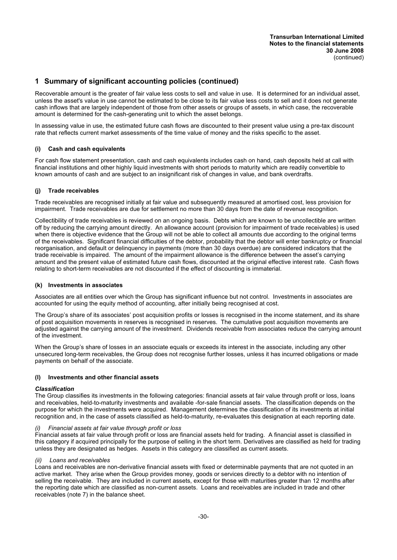Recoverable amount is the greater of fair value less costs to sell and value in use. It is determined for an individual asset, unless the asset's value in use cannot be estimated to be close to its fair value less costs to sell and it does not generate cash inflows that are largely independent of those from other assets or groups of assets, in which case, the recoverable amount is determined for the cash-generating unit to which the asset belongs.

In assessing value in use, the estimated future cash flows are discounted to their present value using a pre-tax discount rate that reflects current market assessments of the time value of money and the risks specific to the asset.

#### **(i) Cash and cash equivalents**

For cash flow statement presentation, cash and cash equivalents includes cash on hand, cash deposits held at call with financial institutions and other highly liquid investments with short periods to maturity which are readily convertible to known amounts of cash and are subject to an insignificant risk of changes in value, and bank overdrafts.

#### **(j) Trade receivables**

Trade receivables are recognised initially at fair value and subsequently measured at amortised cost, less provision for impairment. Trade receivables are due for settlement no more than 30 days from the date of revenue recognition.

Collectibility of trade receivables is reviewed on an ongoing basis. Debts which are known to be uncollectible are written off by reducing the carrying amount directly. An allowance account (provision for impairment of trade receivables) is used when there is objective evidence that the Group will not be able to collect all amounts due according to the original terms of the receivables. Significant financial difficulties of the debtor, probability that the debtor will enter bankruptcy or financial reorganisation, and default or delinquency in payments (more than 30 days overdue) are considered indicators that the trade receivable is impaired. The amount of the impairment allowance is the difference between the asset's carrying amount and the present value of estimated future cash flows, discounted at the original effective interest rate. Cash flows relating to short-term receivables are not discounted if the effect of discounting is immaterial.

#### **(k) Investments in associates**

Associates are all entities over which the Group has significant influence but not control. Investments in associates are accounted for using the equity method of accounting, after initially being recognised at cost.

The Group's share of its associates' post acquisition profits or losses is recognised in the income statement, and its share of post acquisition movements in reserves is recognised in reserves. The cumulative post acquisition movements are adjusted against the carrying amount of the investment. Dividends receivable from associates reduce the carrying amount of the investment.

When the Group's share of losses in an associate equals or exceeds its interest in the associate, including any other unsecured long-term receivables, the Group does not recognise further losses, unless it has incurred obligations or made payments on behalf of the associate.

#### **(l) Investments and other financial assets**

#### *Classification*

The Group classifies its investments in the following categories: financial assets at fair value through profit or loss, loans and receivables, held-to-maturity investments and available -for-sale financial assets. The classification depends on the purpose for which the investments were acquired. Management determines the classification of its investments at initial recognition and, in the case of assets classified as held-to-maturity, re-evaluates this designation at each reporting date.

#### *(i) Financial assets at fair value through profit or loss*

Financial assets at fair value through profit or loss are financial assets held for trading. A financial asset is classified in this category if acquired principally for the purpose of selling in the short term. Derivatives are classified as held for trading unless they are designated as hedges. Assets in this category are classified as current assets.

#### *(ii) Loans and receivables*

Loans and receivables are non-derivative financial assets with fixed or determinable payments that are not quoted in an active market. They arise when the Group provides money, goods or services directly to a debtor with no intention of selling the receivable. They are included in current assets, except for those with maturities greater than 12 months after the reporting date which are classified as non-current assets. Loans and receivables are included in trade and other receivables (note 7) in the balance sheet.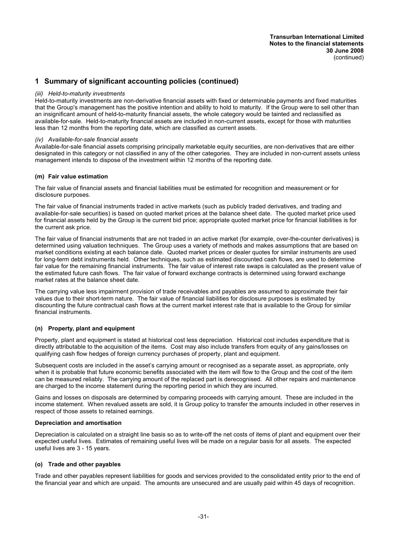#### *(iii) Held-to-maturity investments*

Held-to-maturity investments are non-derivative financial assets with fixed or determinable payments and fixed maturities that the Group's management has the positive intention and ability to hold to maturity. If the Group were to sell other than an insignificant amount of held-to-maturity financial assets, the whole category would be tainted and reclassified as available-for-sale. Held-to-maturity financial assets are included in non-current assets, except for those with maturities less than 12 months from the reporting date, which are classified as current assets.

#### *(iv) Available-for-sale financial assets*

Available-for-sale financial assets comprising principally marketable equity securities, are non-derivatives that are either designated in this category or not classified in any of the other categories. They are included in non-current assets unless management intends to dispose of the investment within 12 months of the reporting date.

#### **(m) Fair value estimation**

The fair value of financial assets and financial liabilities must be estimated for recognition and measurement or for disclosure purposes.

The fair value of financial instruments traded in active markets (such as publicly traded derivatives, and trading and available-for-sale securities) is based on quoted market prices at the balance sheet date. The quoted market price used for financial assets held by the Group is the current bid price; appropriate quoted market price for financial liabilities is for the current ask price.

The fair value of financial instruments that are not traded in an active market (for example, over-the-counter derivatives) is determined using valuation techniques. The Group uses a variety of methods and makes assumptions that are based on market conditions existing at each balance date. Quoted market prices or dealer quotes for similar instruments are used for long-term debt instruments held. Other techniques, such as estimated discounted cash flows, are used to determine fair value for the remaining financial instruments. The fair value of interest rate swaps is calculated as the present value of the estimated future cash flows. The fair value of forward exchange contracts is determined using forward exchange market rates at the balance sheet date.

The carrying value less impairment provision of trade receivables and payables are assumed to approximate their fair values due to their short-term nature. The fair value of financial liabilities for disclosure purposes is estimated by discounting the future contractual cash flows at the current market interest rate that is available to the Group for similar financial instruments.

#### **(n) Property, plant and equipment**

Property, plant and equipment is stated at historical cost less depreciation. Historical cost includes expenditure that is directly attributable to the acquisition of the items. Cost may also include transfers from equity of any gains/losses on qualifying cash flow hedges of foreign currency purchases of property, plant and equipment.

Subsequent costs are included in the asset's carrying amount or recognised as a separate asset, as appropriate, only when it is probable that future economic benefits associated with the item will flow to the Group and the cost of the item can be measured reliably. The carrying amount of the replaced part is derecognised. All other repairs and maintenance are charged to the income statement during the reporting period in which they are incurred.

Gains and losses on disposals are determined by comparing proceeds with carrying amount. These are included in the income statement. When revalued assets are sold, it is Group policy to transfer the amounts included in other reserves in respect of those assets to retained earnings.

#### **Depreciation and amortisation**

Depreciation is calculated on a straight line basis so as to write-off the net costs of items of plant and equipment over their expected useful lives. Estimates of remaining useful lives will be made on a regular basis for all assets. The expected useful lives are 3 - 15 years.

#### **(o) Trade and other payables**

Trade and other payables represent liabilities for goods and services provided to the consolidated entity prior to the end of the financial year and which are unpaid. The amounts are unsecured and are usually paid within 45 days of recognition.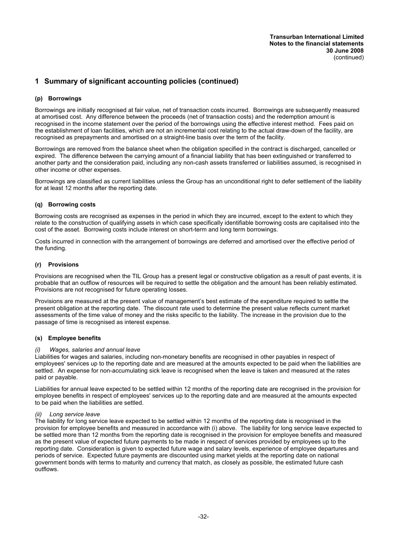#### **(p) Borrowings**

Borrowings are initially recognised at fair value, net of transaction costs incurred. Borrowings are subsequently measured at amortised cost. Any difference between the proceeds (net of transaction costs) and the redemption amount is recognised in the income statement over the period of the borrowings using the effective interest method. Fees paid on the establishment of loan facilities, which are not an incremental cost relating to the actual draw-down of the facility, are recognised as prepayments and amortised on a straight-line basis over the term of the facility.

Borrowings are removed from the balance sheet when the obligation specified in the contract is discharged, cancelled or expired. The difference between the carrying amount of a financial liability that has been extinguished or transferred to another party and the consideration paid, including any non-cash assets transferred or liabilities assumed, is recognised in other income or other expenses.

Borrowings are classified as current liabilities unless the Group has an unconditional right to defer settlement of the liability for at least 12 months after the reporting date.

#### **(q) Borrowing costs**

Borrowing costs are recognised as expenses in the period in which they are incurred, except to the extent to which they relate to the construction of qualifying assets in which case specifically identifiable borrowing costs are capitalised into the cost of the asset. Borrowing costs include interest on short-term and long term borrowings.

Costs incurred in connection with the arrangement of borrowings are deferred and amortised over the effective period of the funding.

#### **(r) Provisions**

Provisions are recognised when the TIL Group has a present legal or constructive obligation as a result of past events, it is probable that an outflow of resources will be required to settle the obligation and the amount has been reliably estimated. Provisions are not recognised for future operating losses.

Provisions are measured at the present value of management's best estimate of the expenditure required to settle the present obligation at the reporting date. The discount rate used to determine the present value reflects current market assessments of the time value of money and the risks specific to the liability. The increase in the provision due to the passage of time is recognised as interest expense.

#### **(s) Employee benefits**

#### *(i) Wages, salaries and annual leave*

Liabilities for wages and salaries, including non-monetary benefits are recognised in other payables in respect of employees' services up to the reporting date and are measured at the amounts expected to be paid when the liabilities are settled. An expense for non-accumulating sick leave is recognised when the leave is taken and measured at the rates paid or payable.

Liabilities for annual leave expected to be settled within 12 months of the reporting date are recognised in the provision for employee benefits in respect of employees' services up to the reporting date and are measured at the amounts expected to be paid when the liabilities are settled.

#### *(ii) Long service leave*

The liability for long service leave expected to be settled within 12 months of the reporting date is recognised in the provision for employee benefits and measured in accordance with (i) above. The liability for long service leave expected to be settled more than 12 months from the reporting date is recognised in the provision for employee benefits and measured as the present value of expected future payments to be made in respect of services provided by employees up to the reporting date. Consideration is given to expected future wage and salary levels, experience of employee departures and periods of service. Expected future payments are discounted using market yields at the reporting date on national government bonds with terms to maturity and currency that match, as closely as possible, the estimated future cash outflows.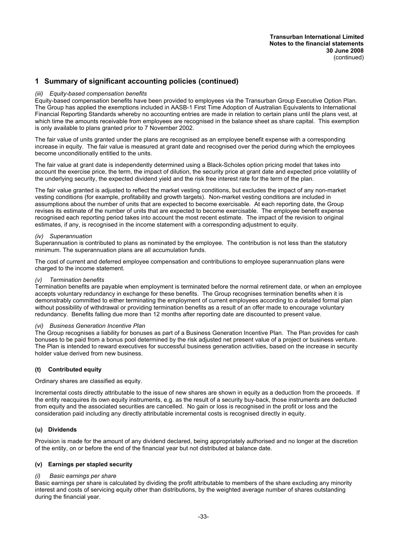#### *(iii) Equity-based compensation benefits*

Equity-based compensation benefits have been provided to employees via the Transurban Group Executive Option Plan. The Group has applied the exemptions included in AASB-1 First Time Adoption of Australian Equivalents to International Financial Reporting Standards whereby no accounting entries are made in relation to certain plans until the plans vest, at which time the amounts receivable from employees are recognised in the balance sheet as share capital. This exemption is only available to plans granted prior to 7 November 2002.

The fair value of units granted under the plans are recognised as an employee benefit expense with a corresponding increase in equity. The fair value is measured at grant date and recognised over the period during which the employees become unconditionally entitled to the units.

The fair value at grant date is independently determined using a Black-Scholes option pricing model that takes into account the exercise price, the term, the impact of dilution, the security price at grant date and expected price volatility of the underlying security, the expected dividend yield and the risk free interest rate for the term of the plan.

The fair value granted is adjusted to reflect the market vesting conditions, but excludes the impact of any non-market vesting conditions (for example, profitability and growth targets). Non-market vesting conditions are included in assumptions about the number of units that are expected to become exercisable. At each reporting date, the Group revises its estimate of the number of units that are expected to become exercisable. The employee benefit expense recognised each reporting period takes into account the most recent estimate. The impact of the revision to original estimates, if any, is recognised in the income statement with a corresponding adjustment to equity.

#### *(iv) Superannuation*

Superannuation is contributed to plans as nominated by the employee. The contribution is not less than the statutory minimum. The superannuation plans are all accumulation funds.

The cost of current and deferred employee compensation and contributions to employee superannuation plans were charged to the income statement.

#### *(v) Termination benefits*

Termination benefits are payable when employment is terminated before the normal retirement date, or when an employee accepts voluntary redundancy in exchange for these benefits. The Group recognises termination benefits when it is demonstrably committed to either terminating the employment of current employees according to a detailed formal plan without possibility of withdrawal or providing termination benefits as a result of an offer made to encourage voluntary redundancy. Benefits falling due more than 12 months after reporting date are discounted to present value.

#### *(vi) Business Generation Incentive Plan*

The Group recognises a liability for bonuses as part of a Business Generation Incentive Plan. The Plan provides for cash bonuses to be paid from a bonus pool determined by the risk adjusted net present value of a project or business venture. The Plan is intended to reward executives for successful business generation activities, based on the increase in security holder value derived from new business.

#### **(t) Contributed equity**

Ordinary shares are classified as equity.

Incremental costs directly attributable to the issue of new shares are shown in equity as a deduction from the proceeds. If the entity reacquires its own equity instruments, e.g. as the result of a security buy-back, those instruments are deducted from equity and the associated securities are cancelled. No gain or loss is recognised in the profit or loss and the consideration paid including any directly attributable incremental costs is recognised directly in equity.

#### **(u) Dividends**

Provision is made for the amount of any dividend declared, being appropriately authorised and no longer at the discretion of the entity, on or before the end of the financial year but not distributed at balance date.

#### **(v) Earnings per stapled security**

#### *(i) Basic earnings per share*

Basic earnings per share is calculated by dividing the profit attributable to members of the share excluding any minority interest and costs of servicing equity other than distributions, by the weighted average number of shares outstanding during the financial year.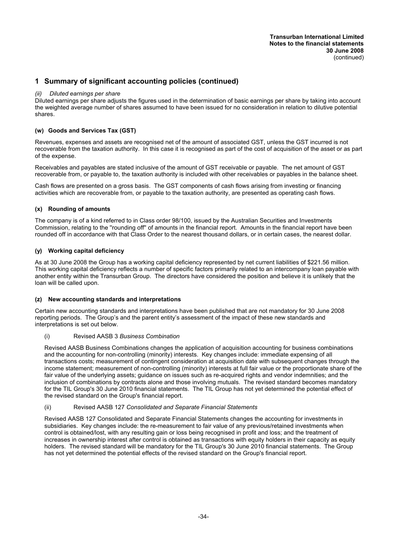#### *(ii) Diluted earnings per share*

Diluted earnings per share adjusts the figures used in the determination of basic earnings per share by taking into account the weighted average number of shares assumed to have been issued for no consideration in relation to dilutive potential shares.

#### **(w) Goods and Services Tax (GST)**

Revenues, expenses and assets are recognised net of the amount of associated GST, unless the GST incurred is not recoverable from the taxation authority. In this case it is recognised as part of the cost of acquisition of the asset or as part of the expense.

Receivables and payables are stated inclusive of the amount of GST receivable or payable. The net amount of GST recoverable from, or payable to, the taxation authority is included with other receivables or payables in the balance sheet.

Cash flows are presented on a gross basis. The GST components of cash flows arising from investing or financing activities which are recoverable from, or payable to the taxation authority, are presented as operating cash flows.

#### **(x) Rounding of amounts**

The company is of a kind referred to in Class order 98/100, issued by the Australian Securities and Investments Commission, relating to the ''rounding off'' of amounts in the financial report. Amounts in the financial report have been rounded off in accordance with that Class Order to the nearest thousand dollars, or in certain cases, the nearest dollar.

#### **(y) Working capital deficiency**

As at 30 June 2008 the Group has a working capital deficiency represented by net current liabilities of \$221.56 million. This working capital deficiency reflects a number of specific factors primarily related to an intercompany loan payable with another entity within the Transurban Group. The directors have considered the position and believe it is unlikely that the loan will be called upon.

#### **(z) New accounting standards and interpretations**

Certain new accounting standards and interpretations have been published that are not mandatory for 30 June 2008 reporting periods. The Group's and the parent entity's assessment of the impact of these new standards and interpretations is set out below.

#### (i) Revised AASB 3 *Business Combination*

Revised AASB Business Combinations changes the application of acquisition accounting for business combinations and the accounting for non-controlling (minority) interests. Key changes include: immediate expensing of all transactions costs; measurement of contingent consideration at acquisition date with subsequent changes through the income statement; measurement of non-controlling (minority) interests at full fair value or the proportionate share of the fair value of the underlying assets; guidance on issues such as re-acquired rights and vendor indemnities; and the inclusion of combinations by contracts alone and those involving mutuals. The revised standard becomes mandatory for the TIL Group's 30 June 2010 financial statements. The TIL Group has not yet determined the potential effect of the revised standard on the Group's financial report.

#### (ii) Revised AASB 127 *Consolidated and Separate Financial Statements*

Revised AASB 127 Consolidated and Separate Financial Statements changes the accounting for investments in subsidiaries. Key changes include: the re-measurement to fair value of any previous/retained investments when control is obtained/lost, with any resulting gain or loss being recognised in profit and loss; and the treatment of increases in ownership interest after control is obtained as transactions with equity holders in their capacity as equity holders. The revised standard will be mandatory for the TIL Group's 30 June 2010 financial statements. The Group has not yet determined the potential effects of the revised standard on the Group's financial report.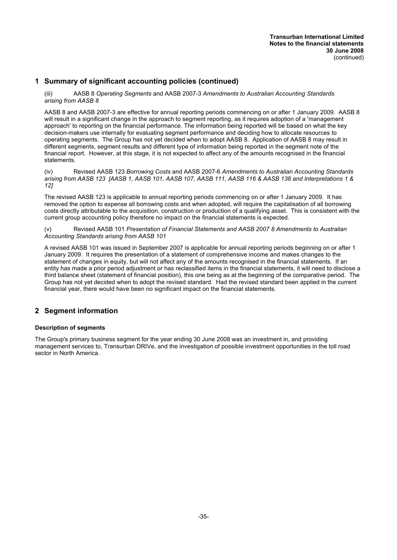(iii) AASB 8 *Operating Segments* and AASB 2007-3 *Amendments to Australian Accounting Standards arising from AASB 8*

AASB 8 and AASB 2007-3 are effective for annual reporting periods commencing on or after 1 January 2009. AASB 8 will result in a significant change in the approach to segment reporting, as it requires adoption of a 'management approach' to reporting on the financial performance. The information being reported will be based on what the key decision-makers use internally for evaluating segment performance and deciding how to allocate resources to operating segments. The Group has not yet decided when to adopt AASB 8. Application of AASB 8 may result in different segments, segment results and different type of information being reported in the segment note of the financial report. However, at this stage, it is not expected to affect any of the amounts recognised in the financial statements.

(iv) Revised AASB 123 *Borrowing Costs* and AASB 2007-6 *Amendments to Australian Accounting Standards arising from AASB 123 [AASB 1, AASB 101, AASB 107, AASB 111, AASB 116 & AASB 138 and Interpretations 1 & 12]*

The revised AASB 123 is applicable to annual reporting periods commencing on or after 1 January 2009. It has removed the option to expense all borrowing costs and when adopted, will require the capitalisation of all borrowing costs directly attributable to the acquisition, construction or production of a qualifying asset. This is consistent with the current group accounting policy therefore no impact on the financial statements is expected.

(v) Revised AASB 101 *Presentation of Financial Statements and AASB 2007 8 Amendments to Australian Accounting Standards arising from AASB 101*

A revised AASB 101 was issued in September 2007 is applicable for annual reporting periods beginning on or after 1 January 2009. It requires the presentation of a statement of comprehensive income and makes changes to the statement of changes in equity, but will not affect any of the amounts recognised in the financial statements. If an entity has made a prior period adjustment or has reclassified items in the financial statements, it will need to disclose a third balance sheet (statement of financial position), this one being as at the beginning of the comparative period. The Group has not yet decided when to adopt the revised standard. Had the revised standard been applied in the current financial year, there would have been no significant impact on the financial statements.

## **2 Segment information**

#### **Description of segments**

The Group's primary business segment for the year ending 30 June 2008 was an investment in, and providing management services to, Transurban DRIVe, and the investigation of possible investment opportunities in the toll road sector in North America.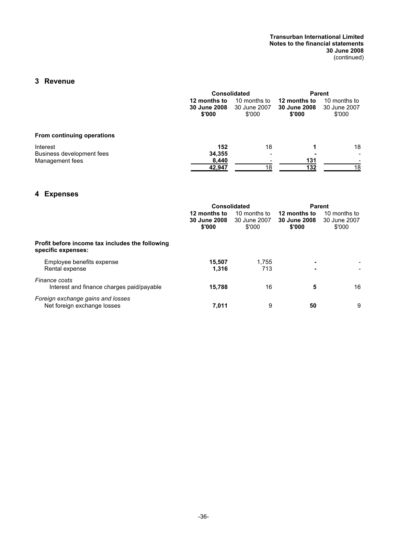#### **Transurban International Limited Notes to the financial statements 30 June 2008** (continued)

## **3 Revenue**

|                                       |                                        | <b>Consolidated</b>                    |                                        | Parent                                 |  |  |
|---------------------------------------|----------------------------------------|----------------------------------------|----------------------------------------|----------------------------------------|--|--|
|                                       | 12 months to<br>30 June 2008<br>\$'000 | 10 months to<br>30 June 2007<br>\$'000 | 12 months to<br>30 June 2008<br>\$'000 | 10 months to<br>30 June 2007<br>\$'000 |  |  |
| From continuing operations            |                                        |                                        |                                        |                                        |  |  |
| Interest<br>Business development fees | 152<br>34.355                          | 18                                     |                                        | 18<br>$\overline{\phantom{a}}$         |  |  |
| Management fees                       | 8,440<br>42,947                        | 18                                     | 131<br>132                             | 18                                     |  |  |

## **4 Expenses**

|                                                                       | <b>Consolidated</b>                           |                                        | <b>Parent</b>                          |                                        |  |
|-----------------------------------------------------------------------|-----------------------------------------------|----------------------------------------|----------------------------------------|----------------------------------------|--|
|                                                                       | 12 months to<br><b>30 June 2008</b><br>\$'000 | 10 months to<br>30 June 2007<br>\$'000 | 12 months to<br>30 June 2008<br>\$'000 | 10 months to<br>30 June 2007<br>\$'000 |  |
| Profit before income tax includes the following<br>specific expenses: |                                               |                                        |                                        |                                        |  |
| Employee benefits expense<br>Rental expense                           | 15.507<br>1,316                               | 1.755<br>713                           | $\blacksquare$                         |                                        |  |
| Finance costs<br>Interest and finance charges paid/payable            | 15,788                                        | 16                                     | 5                                      | 16                                     |  |
| Foreign exchange gains and losses<br>Net foreign exchange losses      | 7.011                                         | 9                                      | 50                                     | 9                                      |  |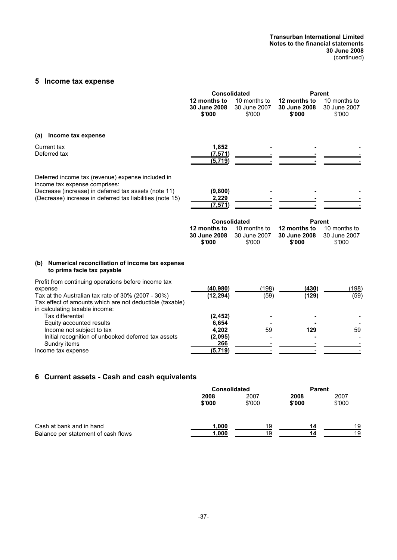#### **Transurban International Limited Notes to the financial statements 30 June 2008** (continued)

## **5 Income tax expense**

|                                                                                                                                                                                                                    | <b>Consolidated</b>                                           |                                        | <b>Parent</b>                                           |                                        |
|--------------------------------------------------------------------------------------------------------------------------------------------------------------------------------------------------------------------|---------------------------------------------------------------|----------------------------------------|---------------------------------------------------------|----------------------------------------|
|                                                                                                                                                                                                                    | 12 months to<br>30 June 2008<br>\$'000                        | 10 months to<br>30 June 2007<br>\$'000 | 12 months to<br>30 June 2008<br>\$'000                  | 10 months to<br>30 June 2007<br>\$'000 |
| Income tax expense<br>(a)                                                                                                                                                                                          |                                                               |                                        |                                                         |                                        |
| Current tax<br>Deferred tax                                                                                                                                                                                        | 1,852<br>(7,571)<br>(5,719)                                   |                                        |                                                         |                                        |
| Deferred income tax (revenue) expense included in<br>income tax expense comprises:<br>Decrease (increase) in deferred tax assets (note 11)<br>(Decrease) increase in deferred tax liabilities (note 15)            | (9,800)<br>2,229<br>(7, 571)                                  |                                        |                                                         |                                        |
|                                                                                                                                                                                                                    | <b>Consolidated</b><br>12 months to<br>30 June 2008<br>\$'000 | 10 months to<br>30 June 2007<br>\$'000 | <b>Parent</b><br>12 months to<br>30 June 2008<br>\$'000 | 10 months to<br>30 June 2007<br>\$'000 |
| Numerical reconciliation of income tax expense<br>(b)<br>to prima facie tax payable                                                                                                                                |                                                               |                                        |                                                         |                                        |
| Profit from continuing operations before income tax<br>expense<br>Tax at the Australian tax rate of 30% (2007 - 30%)<br>Tax effect of amounts which are not deductible (taxable)<br>in calculating taxable income: | (40, 980)<br>(12, 294)                                        | (198)<br>(59)                          | (430)<br>(129)                                          | (198)<br>(59)                          |
| Tax differential<br>Equity accounted results<br>Income not subject to tax<br>Initial recognition of unbooked deferred tax assets<br>Sundry items                                                                   | (2, 452)<br>6,654<br>4,202<br>(2,095)<br>266                  | 59                                     | 129                                                     | 59                                     |
| Income tax expense                                                                                                                                                                                                 | (5,719)                                                       |                                        |                                                         |                                        |

## **6 Current assets - Cash and cash equivalents**

|                                     | <b>Consolidated</b> |                | <b>Parent</b>  |                |
|-------------------------------------|---------------------|----------------|----------------|----------------|
|                                     | 2008<br>\$'000      | 2007<br>\$'000 | 2008<br>\$'000 | 2007<br>\$'000 |
| Cash at bank and in hand            | 1,000               | 19             | 14             | 19             |
| Balance per statement of cash flows | 1,000               | 19             | 14             | 19             |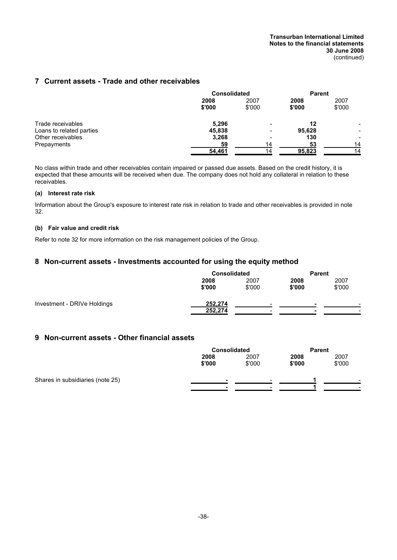## **7 Current assets - Trade and other receivables**

|                          | <b>Consolidated</b> |        | <b>Parent</b> |        |
|--------------------------|---------------------|--------|---------------|--------|
|                          | 2008                | 2007   | 2008          | 2007   |
|                          | \$'000              | \$'000 | \$'000        | \$'000 |
| Trade receivables        | 5,296               |        | 12            |        |
| Loans to related parties | 45,838              |        | 95,628        |        |
| Other receivables        | 3,268               | -      | 130           | -      |
| Prepayments              | 59                  | 14     | 53            | 14     |
|                          | 54,461              | 14     | 95,823        | 14     |

No class within trade and other receivables contain impaired or passed due assets. Based on the credit history, it is expected that these amounts will be received when due. The company does not hold any collateral in relation to these receivables.

#### **(a) Interest rate risk**

Information about the Group's exposure to interest rate risk in relation to trade and other receivables is provided in note 32.

#### **(b) Fair value and credit risk**

Refer to note 32 for more information on the risk management policies of the Group.

## **8 Non-current assets - Investments accounted for using the equity method**

|                             | <b>Consolidated</b> |        | <b>Parent</b> |        |
|-----------------------------|---------------------|--------|---------------|--------|
|                             | 2008                | 2007   | 2008          | 2007   |
|                             | \$'000              | \$'000 | \$'000        | \$'000 |
| Investment - DRIVe Holdings | 252,274             |        |               |        |
|                             | 252,274             |        |               |        |

## **9 Non-current assets - Other financial assets**

|                                  | <b>Consolidated</b> |        |        | <b>Parent</b> |  |  |
|----------------------------------|---------------------|--------|--------|---------------|--|--|
|                                  | 2008                | 2007   | 2008   | 2007          |  |  |
|                                  | \$'000              | \$'000 | \$'000 | \$'000        |  |  |
| Shares in subsidiaries (note 25) |                     |        |        | -             |  |  |
|                                  |                     |        |        |               |  |  |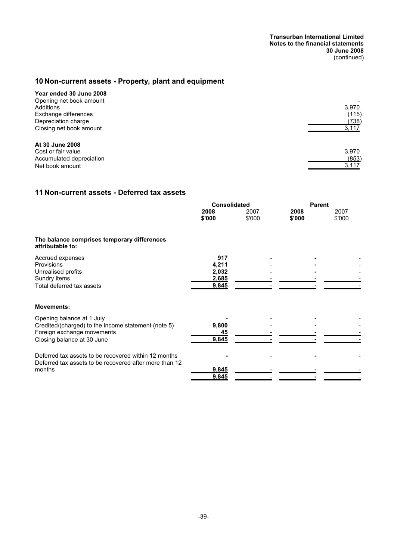## **10 Non-current assets - Property, plant and equipment**

| Year ended 30 June 2008  |       |
|--------------------------|-------|
| Opening net book amount  |       |
| Additions                | 3.970 |
| Exchange differences     | (115) |
| Depreciation charge      | (738) |
| Closing net book amount  | 3,117 |
| At 30 June 2008          |       |
| Cost or fair value       | 3,970 |
| Accumulated depreciation | (853) |
| Net book amount          | 3,117 |

## **11 Non-current assets - Deferred tax assets**

|                                                                                                                                              | <b>Consolidated</b>                     |                | <b>Parent</b>  |                |  |
|----------------------------------------------------------------------------------------------------------------------------------------------|-----------------------------------------|----------------|----------------|----------------|--|
|                                                                                                                                              | 2008<br>\$'000                          | 2007<br>\$'000 | 2008<br>\$'000 | 2007<br>\$'000 |  |
| The balance comprises temporary differences<br>attributable to:                                                                              |                                         |                |                |                |  |
| Accrued expenses<br><b>Provisions</b><br>Unrealised profits<br>Sundry items<br>Total deferred tax assets                                     | 917<br>4,211<br>2,032<br>2,685<br>9,845 |                |                |                |  |
| <b>Movements:</b>                                                                                                                            |                                         |                |                |                |  |
| Opening balance at 1 July<br>Credited/(charged) to the income statement (note 5)<br>Foreign exchange movements<br>Closing balance at 30 June | 9,800<br><u>45</u><br>9,845             |                |                |                |  |
| Deferred tax assets to be recovered within 12 months<br>Deferred tax assets to be recovered after more than 12<br>months                     | 9,845<br>9,845                          |                |                |                |  |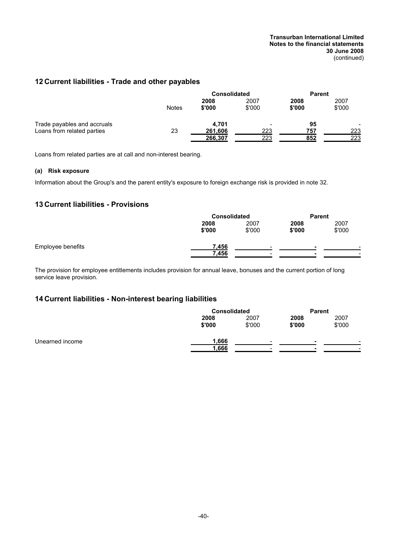#### **Transurban International Limited Notes to the financial statements 30 June 2008** (continued)

## **12 Current liabilities - Trade and other payables**

|                             | <b>Consolidated</b> |                | <b>Parent</b>  |                |                          |
|-----------------------------|---------------------|----------------|----------------|----------------|--------------------------|
|                             | Notes               | 2008<br>\$'000 | 2007<br>\$'000 | 2008<br>\$'000 | 2007<br>\$'000           |
| Trade payables and accruals |                     | 4.701          |                | 95             | $\overline{\phantom{0}}$ |
| Loans from related parties  | 23                  | 261,606        | 223            | 757            | 223                      |
|                             |                     | 266,307        | 223            | 852            | 223                      |

Loans from related parties are at call and non-interest bearing.

## **(a) Risk exposure**

Information about the Group's and the parent entity's exposure to foreign exchange risk is provided in note 32.

## **13 Current liabilities - Provisions**

|                   | <b>Consolidated</b> |        |        | <b>Parent</b> |  |  |
|-------------------|---------------------|--------|--------|---------------|--|--|
|                   | 2008                | 2007   | 2008   | 2007          |  |  |
|                   | \$'000              | \$'000 | \$'000 | \$'000        |  |  |
| Employee benefits | 7,456               | -      | -      |               |  |  |
|                   | 7,456               | -      |        |               |  |  |

The provision for employee entitlements includes provision for annual leave, bonuses and the current portion of long service leave provision.

## **14 Current liabilities - Non-interest bearing liabilities**

|                 |        | <b>Consolidated</b> |        | <b>Parent</b> |  |
|-----------------|--------|---------------------|--------|---------------|--|
|                 | 2008   | 2007                | 2008   | 2007          |  |
|                 | \$'000 | \$'000              | \$'000 | \$'000        |  |
| Unearned income | 1,666  |                     |        |               |  |
|                 | 1,666  | -                   | -      |               |  |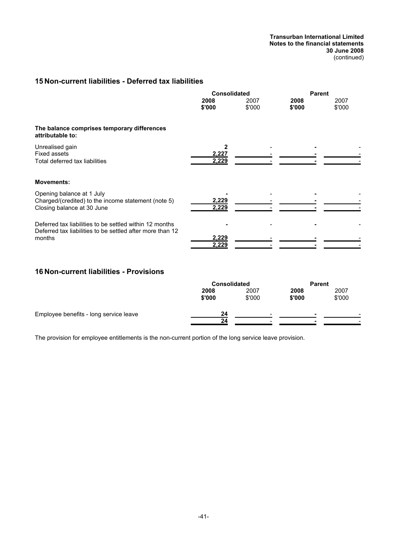**Transurban International Limited Notes to the financial statements 30 June 2008** (continued)

## **15 Non-current liabilities - Deferred tax liabilities**

|                                                                                                                                | <b>Consolidated</b> |                | <b>Parent</b>  |                |
|--------------------------------------------------------------------------------------------------------------------------------|---------------------|----------------|----------------|----------------|
|                                                                                                                                | 2008<br>\$'000      | 2007<br>\$'000 | 2008<br>\$'000 | 2007<br>\$'000 |
| The balance comprises temporary differences<br>attributable to:                                                                |                     |                |                |                |
| Unrealised gain<br><b>Fixed assets</b><br>Total deferred tax liabilities                                                       | 2,227<br>2,229      |                |                |                |
| <b>Movements:</b>                                                                                                              |                     |                |                |                |
| Opening balance at 1 July<br>Charged/(credited) to the income statement (note 5)<br>Closing balance at 30 June                 | 2,229<br>2,229      |                |                |                |
| Deferred tax liabilities to be settled within 12 months<br>Deferred tax liabilities to be settled after more than 12<br>months | 2,229<br>2,229      |                |                |                |

## **16 Non-current liabilities - Provisions**

|                                        | <b>Consolidated</b> |        | <b>Parent</b> |        |  |
|----------------------------------------|---------------------|--------|---------------|--------|--|
|                                        | 2008                | 2007   | 2008          | 2007   |  |
|                                        | \$'000              | \$'000 | \$'000        | \$'000 |  |
| Employee benefits - long service leave | 24                  |        |               |        |  |
|                                        | 24                  | -      |               | -      |  |

The provision for employee entitlements is the non-current portion of the long service leave provision.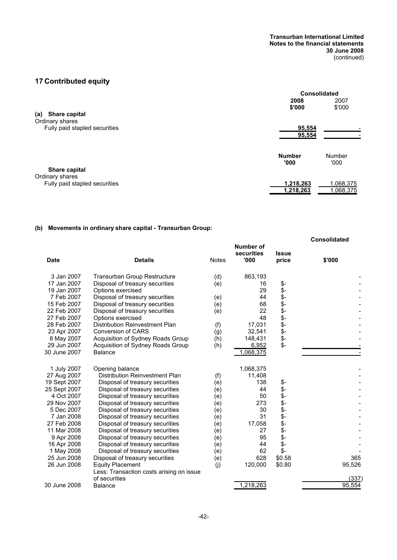## **17 Contributed equity**

|                               | Consolidated     |           |  |
|-------------------------------|------------------|-----------|--|
|                               | 2008             | 2007      |  |
|                               | \$'000           | \$'000    |  |
| Share capital<br>(a)          |                  |           |  |
| Ordinary shares               |                  |           |  |
| Fully paid stapled securities | 95,554           |           |  |
|                               | 95,554           |           |  |
|                               |                  |           |  |
|                               | <b>Number</b>    | Number    |  |
|                               | '000'            | '000'     |  |
| Share capital                 |                  |           |  |
| Ordinary shares               |                  |           |  |
| Fully paid stapled securities | <u>1,218,263</u> | 1,068,375 |  |
|                               |                  |           |  |
|                               | <u>1,218,263</u> | 1,068,375 |  |

## **(b) Movements in ordinary share capital - Transurban Group:**

|              |                                          |              |                                 |                       | <b>Consolidated</b> |
|--------------|------------------------------------------|--------------|---------------------------------|-----------------------|---------------------|
| <b>Date</b>  | <b>Details</b>                           | <b>Notes</b> | Number of<br>securities<br>'000 | <b>Issue</b><br>price | \$'000              |
| 3 Jan 2007   | <b>Transurban Group Restructure</b>      | (d)          | 863,193                         |                       |                     |
| 17 Jan 2007  | Disposal of treasury securities          | (e)          | 16                              | \$-                   |                     |
| 19 Jan 2007  | Options exercised                        |              | 29                              | \$-                   |                     |
| 7 Feb 2007   | Disposal of treasury securities          | (e)          | 44                              |                       |                     |
| 15 Feb 2007  | Disposal of treasury securities          | (e)          | 68                              | \$\$\$\$\$\$\$\$      |                     |
| 22 Feb 2007  | Disposal of treasury securities          | (e)          | 22                              |                       |                     |
| 27 Feb 2007  | Options exercised                        |              | 48                              |                       |                     |
| 28 Feb 2007  | Distribution Reinvestment Plan           | (f)          | 17.031                          |                       |                     |
| 23 Apr 2007  | <b>Conversion of CARS</b>                | (g)          | 32,541                          |                       |                     |
| 8 May 2007   | Acquisition of Sydney Roads Group        | (h)          | 148,431                         |                       |                     |
| 29 Jun 2007  | Acquisition of Sydney Roads Group        | (h)          | 6,952                           | $\ddot{\text{s}}$ -   |                     |
| 30 June 2007 | <b>Balance</b>                           |              | 1,068,375                       |                       |                     |
| 1 July 2007  | Opening balance                          |              | 1,068,375                       |                       |                     |
| 27 Aug 2007  | <b>Distribution Reinvestment Plan</b>    | (f)          | 11,408                          |                       |                     |
| 19 Sept 2007 | Disposal of treasury securities          | (e)          | 138                             | \$-                   |                     |
| 25 Sept 2007 | Disposal of treasury securities          | (e)          | 44                              | \$-                   |                     |
| 4 Oct 2007   | Disposal of treasury securities          | (e)          | 50                              | \$-                   |                     |
| 29 Nov 2007  | Disposal of treasury securities          | (e)          | 273                             | \$-                   |                     |
| 5 Dec 2007   | Disposal of treasury securities          | (e)          | 30                              | \$-                   |                     |
| 7 Jan 2008   | Disposal of treasury securities          | (e)          | 31                              | \$-                   |                     |
| 27 Feb 2008  | Disposal of treasury securities          | (e)          | 17,058                          | \$-                   |                     |
| 11 Mar 2008  | Disposal of treasury securities          | (e)          | 27                              | \$-                   |                     |
| 9 Apr 2008   | Disposal of treasury securities          | (e)          | 95                              | \$-                   |                     |
| 16 Apr 2008  | Disposal of treasury securities          | (e)          | 44                              | \$-                   |                     |
| 1 May 2008   | Disposal of treasury securities          | (e)          | 62                              | $$-$                  |                     |
| 25 Jun 2008  | Disposal of treasury securities          | (e)          | 628                             | \$0.58                | 365                 |
| 26 Jun 2008  | <b>Equity Placement</b>                  | (i)          | 120,000                         | \$0.80                | 95,526              |
|              | Less: Transaction costs arising on issue |              |                                 |                       |                     |
|              | of securities                            |              |                                 |                       | (337)               |
| 30 June 2008 | Balance                                  |              | 1,218,263                       |                       | 95,554              |
|              |                                          |              |                                 |                       |                     |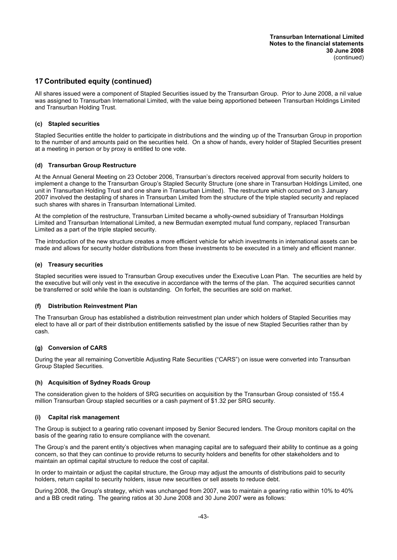## **17 Contributed equity (continued)**

All shares issued were a component of Stapled Securities issued by the Transurban Group. Prior to June 2008, a nil value was assigned to Transurban International Limited, with the value being apportioned between Transurban Holdings Limited and Transurban Holding Trust.

#### **(c) Stapled securities**

Stapled Securities entitle the holder to participate in distributions and the winding up of the Transurban Group in proportion to the number of and amounts paid on the securities held. On a show of hands, every holder of Stapled Securities present at a meeting in person or by proxy is entitled to one vote.

#### **(d) Transurban Group Restructure**

At the Annual General Meeting on 23 October 2006, Transurban's directors received approval from security holders to implement a change to the Transurban Group's Stapled Security Structure (one share in Transurban Holdings Limited, one unit in Transurban Holding Trust and one share in Transurban Limited). The restructure which occurred on 3 January 2007 involved the destapling of shares in Transurban Limited from the structure of the triple stapled security and replaced such shares with shares in Transurban International Limited.

At the completion of the restructure, Transurban Limited became a wholly-owned subsidiary of Transurban Holdings Limited and Transurban International Limited, a new Bermudan exempted mutual fund company, replaced Transurban Limited as a part of the triple stapled security.

The introduction of the new structure creates a more efficient vehicle for which investments in international assets can be made and allows for security holder distributions from these investments to be executed in a timely and efficient manner.

#### **(e) Treasury securities**

Stapled securities were issued to Transurban Group executives under the Executive Loan Plan. The securities are held by the executive but will only vest in the executive in accordance with the terms of the plan. The acquired securities cannot be transferred or sold while the loan is outstanding. On forfeit, the securities are sold on market.

#### **(f) Distribution Reinvestment Plan**

The Transurban Group has established a distribution reinvestment plan under which holders of Stapled Securities may elect to have all or part of their distribution entitlements satisfied by the issue of new Stapled Securities rather than by cash.

## **(g) Conversion of CARS**

During the year all remaining Convertible Adjusting Rate Securities ("CARS") on issue were converted into Transurban Group Stapled Securities.

#### **(h) Acquisition of Sydney Roads Group**

The consideration given to the holders of SRG securities on acquisition by the Transurban Group consisted of 155.4 million Transurban Group stapled securities or a cash payment of \$1.32 per SRG security.

#### **(i) Capital risk management**

The Group is subject to a gearing ratio covenant imposed by Senior Secured lenders. The Group monitors capital on the basis of the gearing ratio to ensure compliance with the covenant.

The Group's and the parent entity's objectives when managing capital are to safeguard their ability to continue as a going concern, so that they can continue to provide returns to security holders and benefits for other stakeholders and to maintain an optimal capital structure to reduce the cost of capital.

In order to maintain or adjust the capital structure, the Group may adjust the amounts of distributions paid to security holders, return capital to security holders, issue new securities or sell assets to reduce debt.

During 2008, the Group's strategy, which was unchanged from 2007, was to maintain a gearing ratio within 10% to 40% and a BB credit rating. The gearing ratios at 30 June 2008 and 30 June 2007 were as follows: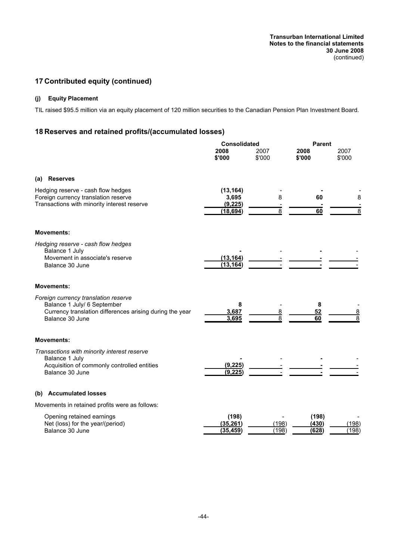## **17 Contributed equity (continued)**

## **(j) Equity Placement**

TIL raised \$95.5 million via an equity placement of 120 million securities to the Canadian Pension Plan Investment Board.

## **18 Reserves and retained profits/(accumulated losses)**

|                                                                                                                                                    | <b>Consolidated</b>             |                | <b>Parent</b>           |                |
|----------------------------------------------------------------------------------------------------------------------------------------------------|---------------------------------|----------------|-------------------------|----------------|
|                                                                                                                                                    | 2008<br>\$'000                  | 2007<br>\$'000 | 2008<br>\$'000          | 2007<br>\$'000 |
| <b>Reserves</b><br>(a)                                                                                                                             |                                 |                |                         |                |
| Hedging reserve - cash flow hedges<br>Foreign currency translation reserve<br>Transactions with minority interest reserve                          | (13, 164)<br>3,695<br>(9, 225)  | 8              | 60                      | 8              |
|                                                                                                                                                    | (18, 694)                       | 8              | 60                      |                |
| <b>Movements:</b>                                                                                                                                  |                                 |                |                         |                |
| Hedging reserve - cash flow hedges<br>Balance 1 July<br>Movement in associate's reserve<br>Balance 30 June                                         | (13, 164)                       |                |                         |                |
|                                                                                                                                                    | (13, 164)                       |                |                         |                |
| <b>Movements:</b>                                                                                                                                  |                                 |                |                         |                |
| Foreign currency translation reserve<br>Balance 1 July/ 6 September<br>Currency translation differences arising during the year<br>Balance 30 June | 8<br>3,687<br>3,695             | <u>8</u><br>8  | 8<br>52<br>60           | 8<br>8         |
| <b>Movements:</b>                                                                                                                                  |                                 |                |                         |                |
| Transactions with minority interest reserve<br>Balance 1 July<br>Acquisition of commonly controlled entities<br>Balance 30 June                    | (9, 225)<br>(9, 225)            |                |                         |                |
| (b) Accumulated losses                                                                                                                             |                                 |                |                         |                |
| Movements in retained profits were as follows:                                                                                                     |                                 |                |                         |                |
| Opening retained earnings<br>Net (loss) for the year/(period)<br>Balance 30 June                                                                   | (198)<br>(35, 261)<br>(35, 459) | (198)<br>(198) | (198)<br>(430)<br>(628) | (198)<br>(198) |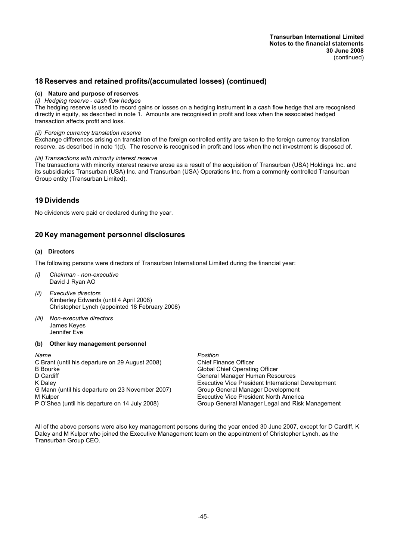## **18 Reserves and retained profits/(accumulated losses) (continued)**

#### **(c) Nature and purpose of reserves**

#### *(i) Hedging reserve - cash flow hedges*

The hedging reserve is used to record gains or losses on a hedging instrument in a cash flow hedge that are recognised directly in equity, as described in note 1. Amounts are recognised in profit and loss when the associated hedged transaction affects profit and loss.

#### *(ii) Foreign currency translation reserve*

Exchange differences arising on translation of the foreign controlled entity are taken to the foreign currency translation reserve, as described in note 1(d). The reserve is recognised in profit and loss when the net investment is disposed of.

#### *(iii) Transactions with minority interest reserve*

The transactions with minority interest reserve arose as a result of the acquisition of Transurban (USA) Holdings Inc. and its subsidiaries Transurban (USA) Inc. and Transurban (USA) Operations Inc. from a commonly controlled Transurban Group entity (Transurban Limited).

## **19 Dividends**

No dividends were paid or declared during the year.

## **20 Key management personnel disclosures**

#### **(a) Directors**

The following persons were directors of Transurban International Limited during the financial year:

- *(i) Chairman non-executive* David J Ryan AO
- *(ii) Executive directors* Kimberley Edwards (until 4 April 2008) Christopher Lynch (appointed 18 February 2008)
- *(iii) Non-executive directors* James Keyes Jennifer Eve
- **(b) Other key management personnel**

- *Name Position* C Brant (until his departure on 29 August 2008) Chief Finance Officer<br>B Bourke Chief Operatin D Cardiff **General Manager Human Resources General Manager Human Resources** K Daley Executive Vice President International Development G Mann (until his departure on 23 November 2007) Group General Manager Development
- 

**Global Chief Operating Officer** M Kulper Executive Vice President North America P O'Shea (until his departure on 14 July 2008) Group General Manager Legal and Risk Management

All of the above persons were also key management persons during the year ended 30 June 2007, except for D Cardiff, K Daley and M Kulper who joined the Executive Management team on the appointment of Christopher Lynch, as the Transurban Group CEO.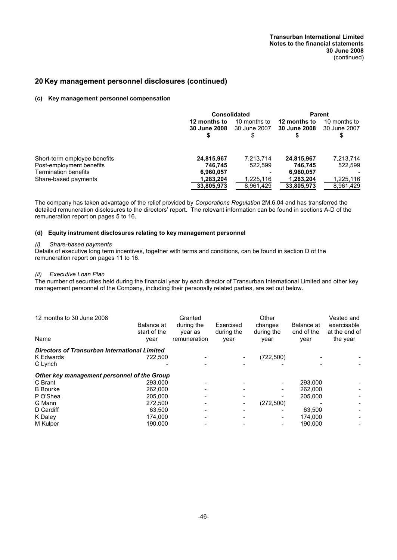## **20 Key management personnel disclosures (continued)**

#### **(c) Key management personnel compensation**

|                                                         | <b>Consolidated</b>          |                                   | Parent                              |                                    |
|---------------------------------------------------------|------------------------------|-----------------------------------|-------------------------------------|------------------------------------|
|                                                         | 12 months to<br>30 June 2008 | 10 months to<br>30 June 2007<br>S | 12 months to<br><b>30 June 2008</b> | 10 months to<br>30 June 2007<br>\$ |
| Short-term employee benefits                            | 24,815,967                   | 7,213,714                         | 24,815,967                          | 7,213,714                          |
| Post-employment benefits<br><b>Termination benefits</b> | 746.745<br>6,960,057         | 522.599                           | 746.745<br>6,960,057                | 522.599                            |
| Share-based payments                                    | 1.283.204<br>33,805,973      | 1,225,116<br>8,961,429            | 1,283,204<br>33,805,973             | 1,225,116<br>8,961,429             |

The company has taken advantage of the relief provided by *Corporations Regulation* 2M.6.04 and has transferred the detailed remuneration disclosures to the directors' report. The relevant information can be found in sections A-D of the remuneration report on pages 5 to 16.

#### **(d) Equity instrument disclosures relating to key management personnel**

#### *(i) Share-based payments*

Details of executive long term incentives, together with terms and conditions, can be found in section D of the remuneration report on pages 11 to 16.

#### *(ii) Executive Loan Plan*

The number of securities held during the financial year by each director of Transurban International Limited and other key management personnel of the Company, including their personally related parties, are set out below.

| 12 months to 30 June 2008<br>Name                    | Balance at<br>start of the<br>year | Granted<br>during the<br>year as<br>remuneration | Exercised<br>during the<br>year | Other<br>changes<br>during the<br>year | Balance at<br>end of the<br>year | Vested and<br>exercisable<br>at the end of<br>the year |
|------------------------------------------------------|------------------------------------|--------------------------------------------------|---------------------------------|----------------------------------------|----------------------------------|--------------------------------------------------------|
| <b>Directors of Transurban International Limited</b> |                                    |                                                  |                                 |                                        |                                  |                                                        |
| K Edwards<br>C Lynch                                 | 722,500                            |                                                  |                                 | (722,500)                              |                                  |                                                        |
| Other key management personnel of the Group          |                                    |                                                  |                                 |                                        |                                  |                                                        |
| C Brant                                              | 293,000                            |                                                  |                                 | $\overline{\phantom{a}}$               | 293.000                          |                                                        |
| <b>B</b> Bourke                                      | 262.000                            |                                                  |                                 |                                        | 262,000                          |                                                        |
| P O'Shea                                             | 205.000                            |                                                  |                                 |                                        | 205.000                          |                                                        |
| G Mann                                               | 272.500                            |                                                  |                                 | (272, 500)                             |                                  |                                                        |
| D Cardiff                                            | 63.500                             |                                                  |                                 |                                        | 63.500                           |                                                        |
| K Daley                                              | 174.000                            |                                                  |                                 |                                        | 174.000                          |                                                        |
| M Kulper                                             | 190.000                            |                                                  |                                 |                                        | 190.000                          |                                                        |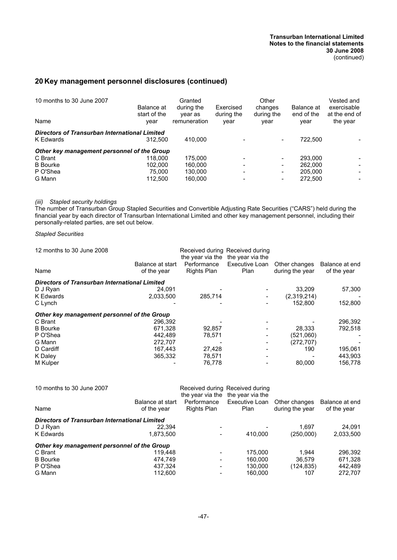## **20 Key management personnel disclosures (continued)**

| 10 months to 30 June 2007<br>Name                                 | Balance at<br>start of the<br>year | Granted<br>during the<br>year as<br>remuneration | Exercised<br>during the<br>year | Other<br>changes<br>during the<br>year | Balance at<br>end of the<br>year | Vested and<br>exercisable<br>at the end of<br>the year |
|-------------------------------------------------------------------|------------------------------------|--------------------------------------------------|---------------------------------|----------------------------------------|----------------------------------|--------------------------------------------------------|
| <b>Directors of Transurban International Limited</b><br>K Edwards | 312.500                            | 410.000                                          |                                 | $\qquad \qquad \blacksquare$           | 722,500                          |                                                        |
| Other key management personnel of the Group                       |                                    |                                                  |                                 |                                        |                                  |                                                        |
| C Brant                                                           | 118,000                            | 175.000                                          |                                 | $\overline{\phantom{a}}$               | 293.000                          |                                                        |
| <b>B</b> Bourke                                                   | 102.000                            | 160.000                                          |                                 | -                                      | 262,000                          |                                                        |
| P O'Shea                                                          | 75.000                             | 130.000                                          |                                 | -                                      | 205.000                          | $\overline{\phantom{0}}$                               |
| G Mann                                                            | 112,500                            | 160.000                                          |                                 | -                                      | 272,500                          | $\overline{\phantom{0}}$                               |

#### *(iii) Stapled security holdings*

The number of Transurban Group Stapled Securities and Convertible Adjusting Rate Securities ("CARS") held during the financial year by each director of Transurban International Limited and other key management personnel, including their personally-related parties, are set out below.

*Stapled Securities*

| 12 months to 30 June 2008<br>Name                    | Balance at start<br>of the year | the year via the<br>Performance<br>Rights Plan | Received during Received during<br>the year via the<br>Executive Loan<br>Plan | Other changes<br>during the year | Balance at end<br>of the year |
|------------------------------------------------------|---------------------------------|------------------------------------------------|-------------------------------------------------------------------------------|----------------------------------|-------------------------------|
|                                                      |                                 |                                                |                                                                               |                                  |                               |
| <b>Directors of Transurban International Limited</b> |                                 |                                                |                                                                               |                                  |                               |
| D J Ryan                                             | 24.091                          |                                                |                                                                               | 33.209                           | 57,300                        |
| <b>K</b> Edwards                                     | 2.033.500                       | 285.714                                        |                                                                               | (2,319,214)                      |                               |
| C Lynch                                              |                                 |                                                |                                                                               | 152,800                          | 152,800                       |
| Other key management personnel of the Group          |                                 |                                                |                                                                               |                                  |                               |
| C Brant                                              | 296.392                         |                                                |                                                                               |                                  | 296,392                       |
| <b>B</b> Bourke                                      | 671.328                         | 92.857                                         |                                                                               | 28.333                           | 792.518                       |
| P O'Shea                                             | 442,489                         | 78,571                                         |                                                                               | (521,060)                        |                               |
| G Mann                                               | 272,707                         |                                                |                                                                               | (272, 707)                       |                               |
| D Cardiff                                            | 167.443                         | 27,428                                         |                                                                               | 190                              | 195,061                       |
| K Daley                                              | 365,332                         | 78,571                                         |                                                                               |                                  | 443,903                       |
| M Kulper                                             |                                 | 76,778                                         |                                                                               | 80,000                           | 156.778                       |

| 10 months to 30 June 2007<br>Name                    | Balance at start<br>of the year | Received during Received during<br>Performance<br>Rights Plan | the year via the the year via the<br>Executive Loan<br>Plan | Other changes<br>during the year | Balance at end<br>of the year |
|------------------------------------------------------|---------------------------------|---------------------------------------------------------------|-------------------------------------------------------------|----------------------------------|-------------------------------|
| <b>Directors of Transurban International Limited</b> |                                 |                                                               |                                                             |                                  |                               |
| D J Ryan                                             | 22.394                          |                                                               |                                                             | 1.697                            | 24.091                        |
| K Edwards                                            | 1.873.500                       |                                                               | 410.000                                                     | (250.000)                        | 2,033,500                     |
| Other key management personnel of the Group          |                                 |                                                               |                                                             |                                  |                               |
| C Brant                                              | 119.448                         |                                                               | 175,000                                                     | 1.944                            | 296,392                       |
| <b>B</b> Bourke                                      | 474.749                         |                                                               | 160.000                                                     | 36.579                           | 671,328                       |
| P O'Shea                                             | 437.324                         | $\overline{\phantom{a}}$                                      | 130.000                                                     | (124, 835)                       | 442.489                       |
| G Mann                                               | 112.600                         |                                                               | 160.000                                                     | 107                              | 272.707                       |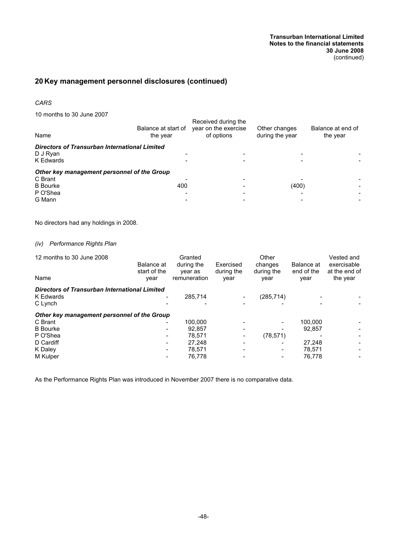## **20 Key management personnel disclosures (continued)**

#### *CARS*

10 months to 30 June 2007

| Name                                                                                            | Balance at start of<br>the year | Received during the<br>year on the exercise<br>of options | Other changes<br>during the year | Balance at end of<br>the year |
|-------------------------------------------------------------------------------------------------|---------------------------------|-----------------------------------------------------------|----------------------------------|-------------------------------|
| Directors of Transurban International Limited<br>D J Ryan<br><b>K</b> Edwards                   |                                 |                                                           |                                  |                               |
| Other key management personnel of the Group<br>C Brant<br><b>B</b> Bourke<br>P O'Shea<br>G Mann | 400                             |                                                           | (400)                            |                               |

No directors had any holdings in 2008.

## *(iv) Performance Rights Plan*

| 12 months to 30 June 2008<br>Name                                            | Balance at<br>start of the<br>year | Granted<br>during the<br>year as<br>remuneration | Exercised<br>during the<br>year | Other<br>changes<br>during the<br>year | Balance at<br>end of the<br>year | Vested and<br>exercisable<br>at the end of<br>the year |
|------------------------------------------------------------------------------|------------------------------------|--------------------------------------------------|---------------------------------|----------------------------------------|----------------------------------|--------------------------------------------------------|
| <b>Directors of Transurban International Limited</b><br>K Edwards<br>C Lynch | $\overline{\phantom{0}}$           | 285,714                                          |                                 | (285, 714)                             |                                  |                                                        |
| Other key management personnel of the Group                                  |                                    |                                                  |                                 |                                        |                                  |                                                        |
| C Brant                                                                      | $\overline{\phantom{0}}$           | 100.000                                          |                                 |                                        | 100.000                          |                                                        |
| <b>B</b> Bourke                                                              | $\overline{\phantom{a}}$           | 92.857                                           |                                 |                                        | 92.857                           |                                                        |
| P O'Shea                                                                     | ۰.                                 | 78.571                                           |                                 | (78, 571)                              |                                  |                                                        |
| D Cardiff                                                                    | $\overline{\phantom{a}}$           | 27.248                                           |                                 |                                        | 27.248                           |                                                        |
| K Daley                                                                      | ۰.                                 | 78.571                                           |                                 |                                        | 78.571                           |                                                        |
| M Kulper                                                                     |                                    | 76.778                                           |                                 |                                        | 76.778                           |                                                        |

As the Performance Rights Plan was introduced in November 2007 there is no comparative data.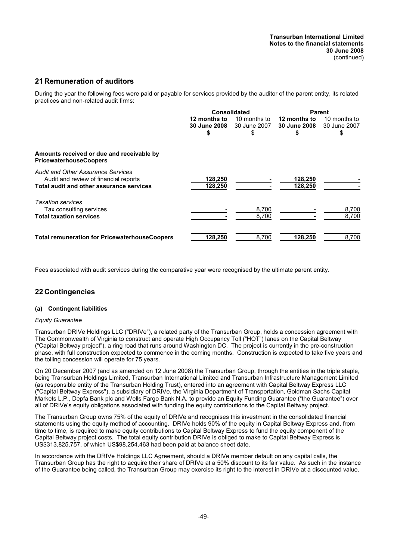## **21 Remuneration of auditors**

During the year the following fees were paid or payable for services provided by the auditor of the parent entity, its related practices and non-related audit firms:

|                                                                                                                                |                                    | <b>Consolidated</b>                |                                     | <b>Parent</b>                      |  |
|--------------------------------------------------------------------------------------------------------------------------------|------------------------------------|------------------------------------|-------------------------------------|------------------------------------|--|
|                                                                                                                                | 12 months to<br>30 June 2008<br>\$ | 10 months to<br>30 June 2007<br>\$ | 12 months to<br><b>30 June 2008</b> | 10 months to<br>30 June 2007<br>\$ |  |
| Amounts received or due and receivable by<br><b>PricewaterhouseCoopers</b>                                                     |                                    |                                    |                                     |                                    |  |
| <b>Audit and Other Assurance Services</b><br>Audit and review of financial reports<br>Total audit and other assurance services | 128,250<br>128,250                 |                                    | 128,250<br>128,250                  |                                    |  |
| <b>Taxation services</b><br>Tax consulting services<br><b>Total taxation services</b>                                          |                                    | 8,700<br>8,700                     |                                     | 8,700<br>8,700                     |  |
| <b>Total remuneration for PricewaterhouseCoopers</b>                                                                           | 128,250                            | 8.700                              | 128,250                             | 8,700                              |  |

Fees associated with audit services during the comparative year were recognised by the ultimate parent entity.

## **22 Contingencies**

#### **(a) Contingent liabilities**

#### *Equity Guarantee*

Transurban DRIVe Holdings LLC ("DRIVe"), a related party of the Transurban Group, holds a concession agreement with The Commonwealth of Virginia to construct and operate High Occupancy Toll ("HOT") lanes on the Capital Beltway ("Capital Beltway project"), a ring road that runs around Washington DC. The project is currently in the pre-construction phase, with full construction expected to commence in the coming months. Construction is expected to take five years and the tolling concession will operate for 75 years.

On 20 December 2007 (and as amended on 12 June 2008) the Transurban Group, through the entities in the triple staple, being Transurban Holdings Limited, Transurban International Limited and Transurban Infrastructure Management Limited (as responsible entity of the Transurban Holding Trust), entered into an agreement with Capital Beltway Express LLC ("Capital Beltway Express"), a subsidiary of DRIVe, the Virginia Department of Transportation, Goldman Sachs Capital Markets L.P., Depfa Bank plc and Wells Fargo Bank N.A. to provide an Equity Funding Guarantee ("the Guarantee") over all of DRIVe's equity obligations associated with funding the equity contributions to the Capital Beltway project.

The Transurban Group owns 75% of the equity of DRIVe and recognises this investment in the consolidated financial statements using the equity method of accounting. DRIVe holds 90% of the equity in Capital Beltway Express and, from time to time, is required to make equity contributions to Capital Beltway Express to fund the equity component of the Capital Beltway project costs. The total equity contribution DRIVe is obliged to make to Capital Beltway Express is US\$313,825,757, of which US\$98,254,463 had been paid at balance sheet date.

In accordance with the DRIVe Holdings LLC Agreement, should a DRIVe member default on any capital calls, the Transurban Group has the right to acquire their share of DRIVe at a 50% discount to its fair value. As such in the instance of the Guarantee being called, the Transurban Group may exercise its right to the interest in DRIVe at a discounted value.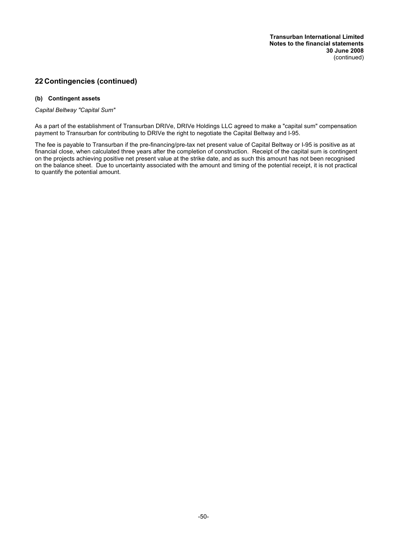## **22 Contingencies (continued)**

#### **(b) Contingent assets**

*Capital Beltway "Capital Sum"*

As a part of the establishment of Transurban DRIVe, DRIVe Holdings LLC agreed to make a "capital sum" compensation payment to Transurban for contributing to DRIVe the right to negotiate the Capital Beltway and I-95.

The fee is payable to Transurban if the pre-financing/pre-tax net present value of Capital Beltway or I-95 is positive as at financial close, when calculated three years after the completion of construction. Receipt of the capital sum is contingent on the projects achieving positive net present value at the strike date, and as such this amount has not been recognised on the balance sheet. Due to uncertainty associated with the amount and timing of the potential receipt, it is not practical to quantify the potential amount.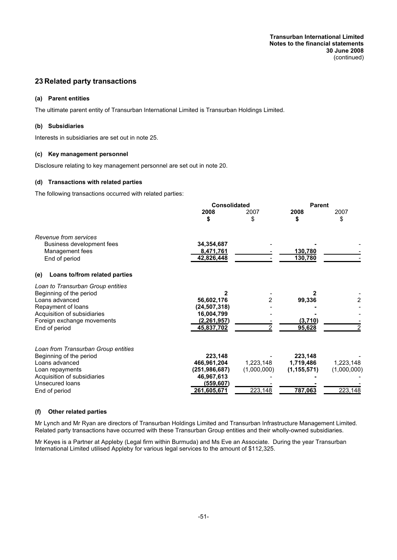**Transurban International Limited Notes to the financial statements 30 June 2008** (continued)

## **23 Related party transactions**

#### **(a) Parent entities**

The ultimate parent entity of Transurban International Limited is Transurban Holdings Limited.

#### **(b) Subsidiaries**

Interests in subsidiaries are set out in note 25.

#### **(c) Key management personnel**

Disclosure relating to key management personnel are set out in note 20.

#### **(d) Transactions with related parties**

The following transactions occurred with related parties:

|                                      | <b>Consolidated</b>          |             |               | <b>Parent</b> |  |
|--------------------------------------|------------------------------|-------------|---------------|---------------|--|
|                                      | 2008<br>\$                   | 2007<br>\$  | 2008<br>\$    | 2007<br>\$    |  |
| Revenue from services                |                              |             |               |               |  |
| Business development fees            | 34,354,687                   |             |               |               |  |
| Management fees                      | 8,471,761                    |             | 130,780       |               |  |
| End of period                        | 42,826,448                   |             | 130,780       |               |  |
| Loans to/from related parties<br>(e) |                              |             |               |               |  |
| Loan to Transurban Group entities    |                              |             |               |               |  |
| Beginning of the period              |                              |             |               |               |  |
| Loans advanced<br>Repayment of loans | 56,602,176<br>(24, 507, 318) |             | 99,336        | 2             |  |
| Acquisition of subsidiaries          | 16,004,799                   |             |               |               |  |
| Foreign exchange movements           | (2, 261, 957)                |             | (3,710)       |               |  |
| End of period                        | 45,837,702                   |             | 95,628        |               |  |
| Loan from Transurban Group entities  |                              |             |               |               |  |
| Beginning of the period              | 223,148                      |             | 223,148       |               |  |
| Loans advanced                       | 466,961,204                  | 1,223,148   | 1,719,486     | 1,223,148     |  |
| Loan repayments                      | (251,986,687)                | (1,000,000) | (1, 155, 571) | (1,000,000)   |  |
| Acquisition of subsidiaries          | 46,967,613                   |             |               |               |  |
| Unsecured loans                      | (559, 607)                   |             |               |               |  |
| End of period                        | 261,605,671                  | 223,148     | 787,063       | 223,148       |  |

#### **(f) Other related parties**

Mr Lynch and Mr Ryan are directors of Transurban Holdings Limited and Transurban Infrastructure Management Limited. Related party transactions have occurred with these Transurban Group entities and their wholly-owned subsidiaries.

Mr Keyes is a Partner at Appleby (Legal firm within Burmuda) and Ms Eve an Associate. During the year Transurban International Limited utilised Appleby for various legal services to the amount of \$112,325.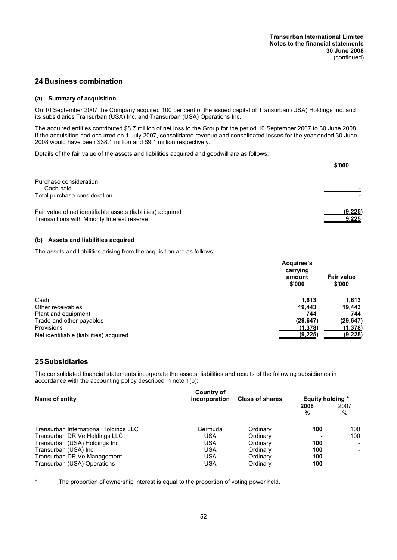## **24 Business combination**

#### **(a) Summary of acquisition**

On 10 September 2007 the Company acquired 100 per cent of the issued capital of Transurban (USA) Holdings Inc. and its subsidiaries Transurban (USA) Inc. and Transurban (USA) Operations Inc.

The acquired entities contributed \$8.7 million of net loss to the Group for the period 10 September 2007 to 30 June 2008. If the acquisition had occurred on 1 July 2007, consolidated revenue and consolidated losses for the year ended 30 June 2008 would have been \$38.1 million and \$9.1 million respectively.

Details of the fair value of the assets and liabilities acquired and goodwill are as follows:

|                                                              | \$'000  |
|--------------------------------------------------------------|---------|
| Purchase consideration                                       |         |
| Cash paid                                                    |         |
| Total purchase consideration                                 |         |
| Fair value of net identifiable assets (liabilities) acquired | (9,225) |
| Transactions with Minority Interest reserve                  | 9.225   |

#### **(b) Assets and liabilities acquired**

The assets and liabilities arising from the acquisition are as follows:

|                                         | Acquiree's<br>carrying |                             |
|-----------------------------------------|------------------------|-----------------------------|
|                                         | amount<br>\$'000       | <b>Fair value</b><br>\$'000 |
| Cash                                    | 1.613                  | 1,613                       |
| Other receivables                       | 19.443                 | 19.443                      |
| Plant and equipment                     | 744                    | 744                         |
| Trade and other payables                | (29, 647)              | (29, 647)                   |
| Provisions                              | (1,378)                | (1,378)                     |
| Net identifiable (liabilities) acquired | (9,225)                | (9, 225)                    |

#### **25 Subsidiaries**

The consolidated financial statements incorporate the assets, liabilities and results of the following subsidiaries in accordance with the accounting policy described in note 1(b):

| Name of entity                        | Country of<br>incorporation | <b>Class of shares</b> | <b>Equity holding *</b> |                          |
|---------------------------------------|-----------------------------|------------------------|-------------------------|--------------------------|
|                                       |                             |                        | 2008<br>%               | 2007<br>$\%$             |
| Transurban International Holdings LLC | Bermuda                     | Ordinary               | 100                     | 100                      |
| Transurban DRIVe Holdings LLC         | <b>USA</b>                  | Ordinary               |                         | 100                      |
| Transurban (USA) Holdings Inc         | <b>USA</b>                  | Ordinary               | 100                     | $\blacksquare$           |
| Transurban (USA) Inc                  | <b>USA</b>                  | Ordinary               | 100                     | $\overline{\phantom{0}}$ |
| Transurban DRIVe Management           | <b>USA</b>                  | Ordinary               | 100                     | $\overline{\phantom{0}}$ |
| Transurban (USA) Operations           | <b>USA</b>                  | Ordinary               | 100                     | $\blacksquare$           |

The proportion of ownership interest is equal to the proportion of voting power held.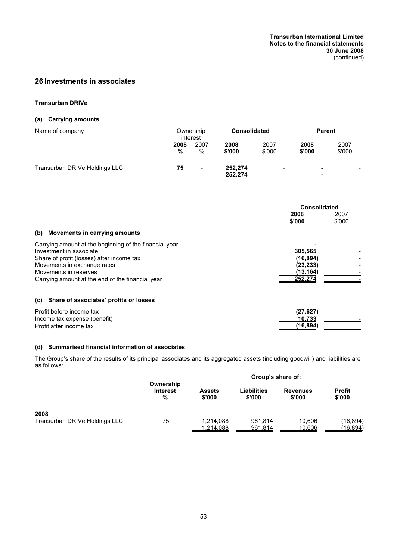## **26 Investments in associates**

#### **Transurban DRIVe**

## **(a) Carrying amounts**

| Name of company               | Ownership<br>interest |           |                    | <b>Consolidated</b> |                | <b>Parent</b>  |  |
|-------------------------------|-----------------------|-----------|--------------------|---------------------|----------------|----------------|--|
|                               | 2008<br>%             | 2007<br>% | 2008<br>\$'000     | 2007<br>\$'000      | 2008<br>\$'000 | 2007<br>\$'000 |  |
| Transurban DRIVe Holdings LLC | 75                    | -         | 252,274<br>252,274 |                     |                |                |  |

|                                                                                   | <b>Consolidated</b>              |  |
|-----------------------------------------------------------------------------------|----------------------------------|--|
|                                                                                   | 2008<br>2007<br>\$'000<br>\$'000 |  |
| Movements in carrying amounts<br>(b)                                              |                                  |  |
| Carrying amount at the beginning of the financial year<br>Investment in associate | 305.565                          |  |
| Share of profit (losses) after income tax<br>Movements in exchange rates          | (16, 894)<br>(23, 233)           |  |
| Movements in reserves<br>Carrying amount at the end of the financial year         | (13, 164)<br>252,274             |  |
|                                                                                   |                                  |  |
| Share of associates' profits or losses<br>(c)                                     |                                  |  |

| Profit before income tax     | (27, 627) |  |
|------------------------------|-----------|--|
| Income tax expense (benefit) | 10.733    |  |
| Profit after income tax      | (16.894)  |  |

#### **(d) Summarised financial information of associates**

The Group's share of the results of its principal associates and its aggregated assets (including goodwill) and liabilities are as follows:

|                               |                                   |                         | Group's share of:     |                           |                         |  |
|-------------------------------|-----------------------------------|-------------------------|-----------------------|---------------------------|-------------------------|--|
|                               | Ownership<br><b>Interest</b><br>% | <b>Assets</b><br>\$'000 | Liabilities<br>\$'000 | <b>Revenues</b><br>\$'000 | <b>Profit</b><br>\$'000 |  |
| 2008                          |                                   |                         |                       |                           |                         |  |
| Transurban DRIVe Holdings LLC | 75                                | 1,214,088               | 961,814               | 10.606                    | (16, 894)               |  |
|                               |                                   | 1,214,088               | 961,814               | 10,606                    | (16, 894)               |  |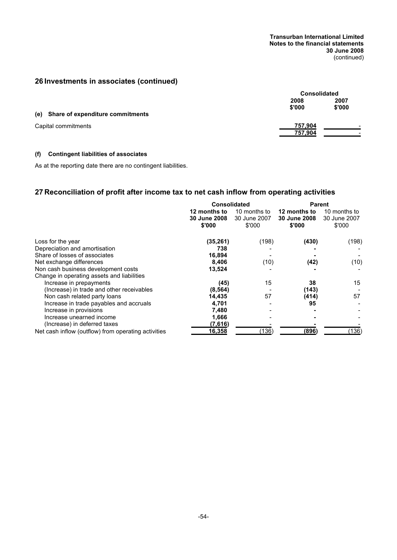**Transurban International Limited Notes to the financial statements 30 June 2008** (continued)

## **26 Investments in associates (continued)**

|                                      | <b>Consolidated</b> |                                                      |
|--------------------------------------|---------------------|------------------------------------------------------|
|                                      | 2008<br>\$'000      | 2007<br>\$'000                                       |
| (e) Share of expenditure commitments |                     |                                                      |
| Capital commitments                  | 757,904<br>757,904  | $\overline{\phantom{a}}$<br>$\overline{\phantom{a}}$ |

## **(f) Contingent liabilities of associates**

As at the reporting date there are no contingent liabilities.

## **27 Reconciliation of profit after income tax to net cash inflow from operating activities**

|                                                     | <b>Consolidated</b>                           |                                        | <b>Parent</b>                                 |                                        |
|-----------------------------------------------------|-----------------------------------------------|----------------------------------------|-----------------------------------------------|----------------------------------------|
|                                                     | 12 months to<br><b>30 June 2008</b><br>\$'000 | 10 months to<br>30 June 2007<br>\$'000 | 12 months to<br><b>30 June 2008</b><br>\$'000 | 10 months to<br>30 June 2007<br>\$'000 |
| Loss for the year                                   | (35, 261)                                     | (198)                                  | (430)                                         | (198)                                  |
| Depreciation and amortisation                       | 738                                           |                                        |                                               |                                        |
| Share of losses of associates                       | 16,894                                        |                                        |                                               |                                        |
| Net exchange differences                            | 8,406                                         | (10)                                   | (42)                                          | (10)                                   |
| Non cash business development costs                 | 13,524                                        |                                        |                                               |                                        |
| Change in operating assets and liabilities          |                                               |                                        |                                               |                                        |
| Increase in prepayments                             | (45)                                          | 15                                     | 38                                            | 15                                     |
| (Increase) in trade and other receivables           | (8, 564)                                      |                                        | (143)                                         |                                        |
| Non cash related party loans                        | 14,435                                        | 57                                     | (414)                                         | 57                                     |
| Increase in trade payables and accruals             | 4,701                                         |                                        | 95                                            |                                        |
| Increase in provisions                              | 7,480                                         |                                        |                                               |                                        |
| Increase unearned income                            | 1,666                                         |                                        |                                               |                                        |
| (Increase) in deferred taxes                        | (7,616)                                       |                                        |                                               |                                        |
| Net cash inflow (outflow) from operating activities | <u>16,358</u>                                 | (136)                                  | (896)                                         | (136)                                  |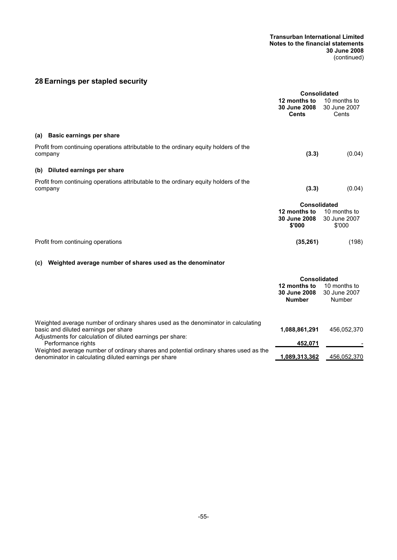#### **Transurban International Limited Notes to the financial statements 30 June 2008** (continued)

## **28 Earnings per stapled security**

|                                                                                                                           | <b>Consolidated</b>                                           |                                        |
|---------------------------------------------------------------------------------------------------------------------------|---------------------------------------------------------------|----------------------------------------|
|                                                                                                                           | 12 months to<br>30 June 2008<br><b>Cents</b>                  | 10 months to<br>30 June 2007<br>Cents  |
| (a) Basic earnings per share                                                                                              |                                                               |                                        |
| Profit from continuing operations attributable to the ordinary equity holders of the<br>company                           | (3.3)                                                         | (0.04)                                 |
| (b) Diluted earnings per share                                                                                            |                                                               |                                        |
| Profit from continuing operations attributable to the ordinary equity holders of the<br>company                           | (3.3)                                                         | (0.04)                                 |
|                                                                                                                           | Consolidated<br>12 months to<br>30 June 2008<br>\$'000        | 10 months to<br>30 June 2007<br>\$'000 |
| Profit from continuing operations                                                                                         | (35, 261)                                                     | (198)                                  |
| Weighted average number of shares used as the denominator<br>(c)                                                          |                                                               |                                        |
|                                                                                                                           | Consolidated<br>12 months to<br>30 June 2008<br><b>Number</b> | 10 months to<br>30 June 2007<br>Number |
| Weighted average number of ordinary shares used as the denominator in calculating<br>basic and diluted earnings per share | 1,088,861,291                                                 | 456,052,370                            |

Adjustments for calculation of diluted earnings per share: Performance rights **452,071** - Weighted average number of ordinary shares and potential ordinary shares used as the denominator in calculating diluted earnings per share **1,089,313,362** 456,052,370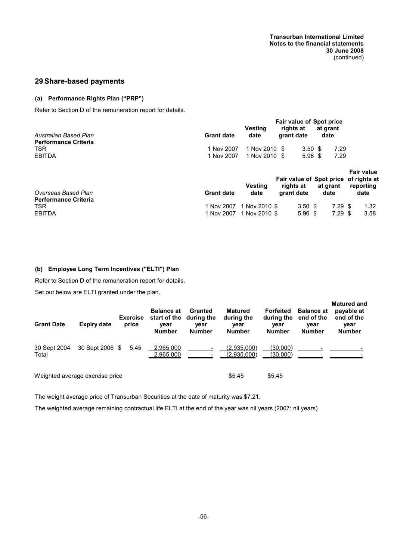## **29 Share-based payments**

#### **(a) Performance Rights Plan ("PRP")**

Refer to Section D of the remuneration report for details.

| Australian Based Plan<br><b>Performance Criteria</b> | <b>Grant date</b> | <b>Vesting</b><br>date   | <b>Fair value of Spot price</b><br>rights at<br>grant date | at grant<br>date |                                                |
|------------------------------------------------------|-------------------|--------------------------|------------------------------------------------------------|------------------|------------------------------------------------|
| <b>TSR</b>                                           | 1 Nov 2007        | 1 Nov 2010 \$            | 3.50 <sup>5</sup>                                          | 7.29             |                                                |
| <b>EBITDA</b>                                        | 1 Nov 2007        | 1 Nov 2010 \$            | $5.96$ \$                                                  | 7.29             |                                                |
|                                                      |                   | <b>Vesting</b>           | Fair value of Spot price<br>rights at                      | at grant         | <b>Fair value</b><br>of rights at<br>reporting |
| Overseas Based Plan                                  | <b>Grant date</b> | date                     | grant date                                                 | date             | date                                           |
| <b>Performance Criteria</b>                          |                   |                          |                                                            |                  |                                                |
| TSR.                                                 | 1 Nov 2007        | 1 Nov 2010 \$            | 3.50 <sup>5</sup>                                          | $7.29$ \$        | 1.32 <sub>1</sub>                              |
| <b>EBITDA</b>                                        |                   | 1 Nov 2007 1 Nov 2010 \$ | $5.96$ \$                                                  | $7.29$ \$        | 3.58                                           |

**(b) Employee Long Term Incentives ("ELTI") Plan**

Refer to Section D of the remuneration report for details.

Set out below are ELTI granted under the plan.

| <b>Grant Date</b>     | Expiry date                     | <b>Exercise</b><br>price | <b>Balance at</b><br>start of the<br>year<br><b>Number</b> | Granted<br>during the<br>year<br><b>Number</b> | <b>Matured</b><br>during the<br>year<br><b>Number</b> | <b>Forfeited</b><br>year<br><b>Number</b> | <b>Balance at</b><br>during the end of the<br>vear<br><b>Number</b> | <b>Matured and</b><br>payable at<br>end of the<br>year<br><b>Number</b> |
|-----------------------|---------------------------------|--------------------------|------------------------------------------------------------|------------------------------------------------|-------------------------------------------------------|-------------------------------------------|---------------------------------------------------------------------|-------------------------------------------------------------------------|
| 30 Sept 2004<br>Total | 30 Sept 2006 \$                 | 5.45                     | 2,965,000<br>2,965,000                                     |                                                | (2,935,000)<br>(2,935,000)                            | (30,000)<br>(30,000)                      |                                                                     |                                                                         |
|                       | Weighted average exercise price |                          |                                                            |                                                | \$5.45                                                | \$5.45                                    |                                                                     |                                                                         |

The weight average price of Transurban Securities at the date of maturity was \$7.21.

The weighted average remaining contractual life ELTI at the end of the year was nil years (2007: nil years)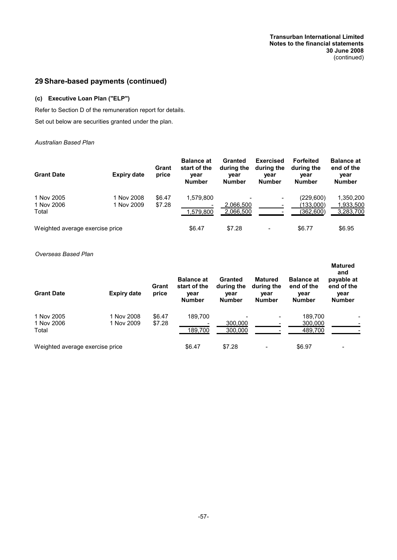## **29 Share-based payments (continued)**

## **(c) Executive Loan Plan ("ELP")**

Refer to Section D of the remuneration report for details. Set out below are securities granted under the plan.

#### *Australian Based Plan*

| <b>Grant Date</b>                 | <b>Expiry date</b>       | Grant<br>price   | <b>Balance at</b><br>start of the<br>year<br><b>Number</b> | Granted<br>during the<br>year<br><b>Number</b> | <b>Exercised</b><br>during the<br>year<br><b>Number</b> | <b>Forfeited</b><br>during the<br>year<br><b>Number</b> | <b>Balance at</b><br>end of the<br>year<br><b>Number</b> |
|-----------------------------------|--------------------------|------------------|------------------------------------------------------------|------------------------------------------------|---------------------------------------------------------|---------------------------------------------------------|----------------------------------------------------------|
| 1 Nov 2005<br>1 Nov 2006<br>Total | 1 Nov 2008<br>1 Nov 2009 | \$6.47<br>\$7.28 | 1,579,800<br>1,579,800                                     | 2.066.500<br>2,066,500                         | -                                                       | (229,600)<br>(133,000)<br>(362,600)                     | 1,350,200<br>1,933,500<br>3,283,700                      |
| Weighted average exercise price   |                          |                  | \$6.47                                                     | \$7.28                                         |                                                         | \$6.77                                                  | \$6.95                                                   |

#### *Overseas Based Plan*

| <b>Grant Date</b>                 | <b>Expiry date</b>       | Grant<br>price   | <b>Balance at</b><br>start of the<br>year<br><b>Number</b> | Granted<br>during the<br>year<br><b>Number</b> | <b>Matured</b><br>during the<br>year<br><b>Number</b> | <b>Balance at</b><br>end of the<br>year<br><b>Number</b> | <b>Matured</b><br>and<br>payable at<br>end of the<br>year<br><b>Number</b> |
|-----------------------------------|--------------------------|------------------|------------------------------------------------------------|------------------------------------------------|-------------------------------------------------------|----------------------------------------------------------|----------------------------------------------------------------------------|
| 1 Nov 2005<br>1 Nov 2006<br>Total | 1 Nov 2008<br>1 Nov 2009 | \$6.47<br>\$7.28 | 189.700<br>189,700                                         | 300,000<br>300,000                             |                                                       | 189,700<br>300,000<br>489,700                            |                                                                            |
| Weighted average exercise price   |                          |                  | \$6.47                                                     | \$7.28                                         |                                                       | \$6.97                                                   |                                                                            |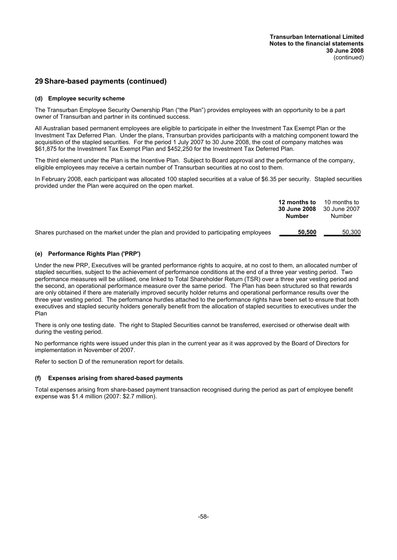## **29 Share-based payments (continued)**

#### **(d) Employee security scheme**

The Transurban Employee Security Ownership Plan ("the Plan") provides employees with an opportunity to be a part owner of Transurban and partner in its continued success.

All Australian based permanent employees are eligible to participate in either the Investment Tax Exempt Plan or the Investment Tax Deferred Plan. Under the plans, Transurban provides participants with a matching component toward the acquisition of the stapled securities. For the period 1 July 2007 to 30 June 2008, the cost of company matches was \$61,875 for the Investment Tax Exempt Plan and \$452,250 for the Investment Tax Deferred Plan.

The third element under the Plan is the Incentive Plan. Subject to Board approval and the performance of the company, eligible employees may receive a certain number of Transurban securities at no cost to them.

In February 2008, each participant was allocated 100 stapled securities at a value of \$6.35 per security. Stapled securities provided under the Plan were acquired on the open market.

|                                                                                       | 12 months to<br>30 June 2008<br>Number | 10 months to<br>30 June 2007<br>Number |
|---------------------------------------------------------------------------------------|----------------------------------------|----------------------------------------|
| Shares purchased on the market under the plan and provided to participating employees | 50.500                                 | 50.300                                 |

#### **(e) Performance Rights Plan ('PRP')**

Under the new PRP, Executives will be granted performance rights to acquire, at no cost to them, an allocated number of stapled securities, subject to the achievement of performance conditions at the end of a three year vesting period. Two performance measures will be utilised, one linked to Total Shareholder Return (TSR) over a three year vesting period and the second, an operational performance measure over the same period. The Plan has been structured so that rewards are only obtained if there are materially improved security holder returns and operational performance results over the three year vesting period. The performance hurdles attached to the performance rights have been set to ensure that both executives and stapled security holders generally benefit from the allocation of stapled securities to executives under the Plan

There is only one testing date. The right to Stapled Securities cannot be transferred, exercised or otherwise dealt with during the vesting period.

No performance rights were issued under this plan in the current year as it was approved by the Board of Directors for implementation in November of 2007.

Refer to section D of the remuneration report for details.

#### **(f) Expenses arising from shared-based payments**

Total expenses arising from share-based payment transaction recognised during the period as part of employee benefit expense was \$1.4 million (2007: \$2.7 million).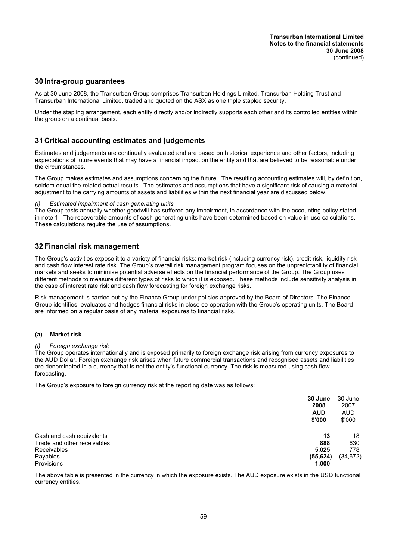## **30 Intra-group guarantees**

As at 30 June 2008, the Transurban Group comprises Transurban Holdings Limited, Transurban Holding Trust and Transurban International Limited, traded and quoted on the ASX as one triple stapled security.

Under the stapling arrangement, each entity directly and/or indirectly supports each other and its controlled entities within the group on a continual basis.

## **31 Critical accounting estimates and judgements**

Estimates and judgements are continually evaluated and are based on historical experience and other factors, including expectations of future events that may have a financial impact on the entity and that are believed to be reasonable under the circumstances.

The Group makes estimates and assumptions concerning the future. The resulting accounting estimates will, by definition, seldom equal the related actual results. The estimates and assumptions that have a significant risk of causing a material adjustment to the carrying amounts of assets and liabilities within the next financial year are discussed below.

#### *Estimated impairment of cash generating units*

The Group tests annually whether goodwill has suffered any impairment, in accordance with the accounting policy stated in note 1. The recoverable amounts of cash-generating units have been determined based on value-in-use calculations. These calculations require the use of assumptions.

## **32 Financial risk management**

The Group's activities expose it to a variety of financial risks: market risk (including currency risk), credit risk, liquidity risk and cash flow interest rate risk. The Group's overall risk management program focuses on the unpredictability of financial markets and seeks to minimise potential adverse effects on the financial performance of the Group. The Group uses different methods to measure different types of risks to which it is exposed. These methods include sensitivity analysis in the case of interest rate risk and cash flow forecasting for foreign exchange risks.

Risk management is carried out by the Finance Group under policies approved by the Board of Directors. The Finance Group identifies, evaluates and hedges financial risks in close co-operation with the Group's operating units. The Board are informed on a regular basis of any material exposures to financial risks.

#### **(a) Market risk**

#### *(i) Foreign exchange risk*

The Group operates internationally and is exposed primarily to foreign exchange risk arising from currency exposures to the AUD Dollar. Foreign exchange risk arises when future commercial transactions and recognised assets and liabilities are denominated in a currency that is not the entity's functional currency. The risk is measured using cash flow forecasting.

The Group's exposure to foreign currency risk at the reporting date was as follows:

|                             | 30 June<br>2008<br><b>AUD</b><br>\$'000 | 30 June<br>2007<br><b>AUD</b><br>\$'000 |
|-----------------------------|-----------------------------------------|-----------------------------------------|
| Cash and cash equivalents   | 13                                      | 18                                      |
| Trade and other receivables | 888                                     | 630                                     |
| <b>Receivables</b>          | 5,025                                   | 778                                     |
| Payables                    | (55, 624)                               | (34, 672)                               |
| Provisions                  | 1,000                                   |                                         |

The above table is presented in the currency in which the exposure exists. The AUD exposure exists in the USD functional currency entities.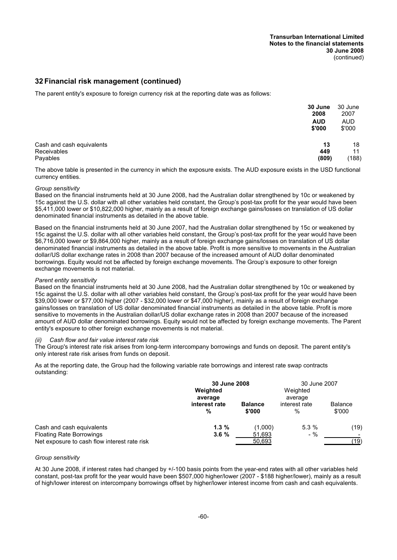## **32 Financial risk management (continued)**

The parent entity's exposure to foreign currency risk at the reporting date was as follows:

|                                                      | 30 June<br>2008      | 30 June<br>2007      |
|------------------------------------------------------|----------------------|----------------------|
|                                                      | <b>AUD</b><br>\$'000 | <b>AUD</b><br>\$'000 |
| Cash and cash equivalents<br>Receivables<br>Payables | 13<br>449<br>(809)   | 18<br>11<br>(188)    |

The above table is presented in the currency in which the exposure exists. The AUD exposure exists in the USD functional currency entities.

#### *Group sensitivity*

Based on the financial instruments held at 30 June 2008, had the Australian dollar strengthened by 10c or weakened by 15c against the U.S. dollar with all other variables held constant, the Group's post-tax profit for the year would have been \$5,411,000 lower or \$10,822,000 higher, mainly as a result of foreign exchange gains/losses on translation of US dollar denominated financial instruments as detailed in the above table.

Based on the financial instruments held at 30 June 2007, had the Australian dollar strengthened by 15c or weakened by 15c against the U.S. dollar with all other variables held constant, the Group's post-tax profit for the year would have been \$6,716,000 lower or \$9,864,000 higher, mainly as a result of foreign exchange gains/losses on translation of US dollar denominated financial instruments as detailed in the above table. Profit is more sensitive to movements in the Australian dollar/US dollar exchange rates in 2008 than 2007 because of the increased amount of AUD dollar denominated borrowings. Equity would not be affected by foreign exchange movements. The Group's exposure to other foreign exchange movements is not material.

#### *Parent entity sensitivity*

Based on the financial instruments held at 30 June 2008, had the Australian dollar strengthened by 10c or weakened by 15c against the U.S. dollar with all other variables held constant, the Group's post-tax profit for the year would have been \$39,000 lower or \$77,000 higher (2007 - \$32,000 lower or \$47,000 higher), mainly as a result of foreign exchange gains/losses on translation of US dollar denominated financial instruments as detailed in the above table. Profit is more sensitive to movements in the Australian dollar/US dollar exchange rates in 2008 than 2007 because of the increased amount of AUD dollar denominated borrowings. Equity would not be affected by foreign exchange movements. The Parent entity's exposure to other foreign exchange movements is not material.

#### *(ii) Cash flow and fair value interest rate risk*

The Group's interest rate risk arises from long-term intercompany borrowings and funds on deposit. The parent entity's only interest rate risk arises from funds on deposit.

As at the reporting date, the Group had the following variable rate borrowings and interest rate swap contracts outstanding:

|                                              | 30 June 2008       |                          | 30 June 2007          |                          |  |
|----------------------------------------------|--------------------|--------------------------|-----------------------|--------------------------|--|
|                                              | Weighted           |                          | Weighted              |                          |  |
|                                              | average            |                          | average               |                          |  |
|                                              | interest rate<br>% | <b>Balance</b><br>\$'000 | interest rate<br>$\%$ | <b>Balance</b><br>\$'000 |  |
| Cash and cash equivalents                    | $1.3\%$            | (1,000)                  | 5.3%                  | (19)                     |  |
| <b>Floating Rate Borrowings</b>              | 3.6%               | 51,693                   | $-$ %                 |                          |  |
| Net exposure to cash flow interest rate risk |                    | 50,693                   |                       | (19)                     |  |

#### *Group sensitivity*

At 30 June 2008, if interest rates had changed by +/-100 basis points from the year-end rates with all other variables held constant, post-tax profit for the year would have been \$507,000 higher/lower (2007 - \$188 higher/lower), mainly as a result of high/lower interest on intercompany borrowings offset by higher/lower interest income from cash and cash equivalents.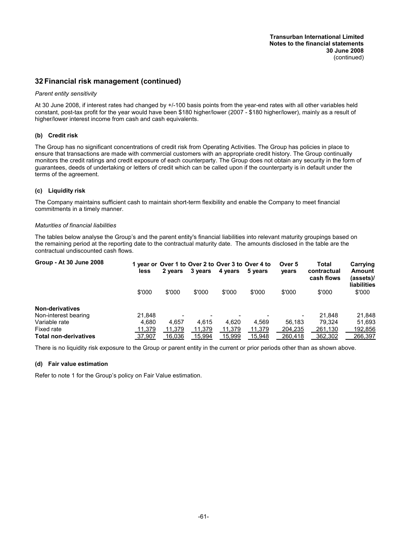## **32 Financial risk management (continued)**

#### *Parent entity sensitivity*

At 30 June 2008, if interest rates had changed by +/-100 basis points from the year-end rates with all other variables held constant, post-tax profit for the year would have been \$180 higher/lower (2007 - \$180 higher/lower), mainly as a result of higher/lower interest income from cash and cash equivalents.

#### **(b) Credit risk**

The Group has no significant concentrations of credit risk from Operating Activities. The Group has policies in place to ensure that transactions are made with commercial customers with an appropriate credit history. The Group continually monitors the credit ratings and credit exposure of each counterparty. The Group does not obtain any security in the form of guarantees, deeds of undertaking or letters of credit which can be called upon if the counterparty is in default under the terms of the agreement.

#### **(c) Liquidity risk**

The Company maintains sufficient cash to maintain short-term flexibility and enable the Company to meet financial commitments in a timely manner.

#### *Maturities of financial liabilities*

The tables below analyse the Group's and the parent entity's financial liabilities into relevant maturity groupings based on the remaining period at the reporting date to the contractual maturity date. The amounts disclosed in the table are the contractual undiscounted cash flows.

| Group - At 30 June 2008      | less   | 2 years                  | 3 years | 4 years | 1 year or Over 1 to Over 2 to Over 3 to Over 4 to<br>5 years | Over 5<br>years | Total<br>contractual<br>cash flows | Carrying<br>Amount<br>(assets)/<br><b>liabilities</b> |
|------------------------------|--------|--------------------------|---------|---------|--------------------------------------------------------------|-----------------|------------------------------------|-------------------------------------------------------|
|                              | \$'000 | \$'000                   | \$'000  | \$'000  | \$'000                                                       | \$'000          | \$'000                             | \$'000                                                |
| <b>Non-derivatives</b>       |        |                          |         |         |                                                              |                 |                                    |                                                       |
| Non-interest bearing         | 21.848 | $\overline{\phantom{0}}$ |         |         |                                                              |                 | 21.848                             | 21,848                                                |
| Variable rate                | 4.680  | 4.657                    | 4.615   | 4.620   | 4.569                                                        | 56.183          | 79.324                             | 51,693                                                |
| Fixed rate                   | 11,379 | 11,379                   | 11,379  | 11,379  | 11,379                                                       | 204,235         | 261,130                            | 192,856                                               |
| <b>Total non-derivatives</b> | 37,907 | 16,036                   | 15,994  | 15,999  | 15,948                                                       | 260,418         | 362,302                            | 266,397                                               |

There is no liquidity risk exposure to the Group or parent entity in the current or prior periods other than as shown above.

## **(d) Fair value estimation**

Refer to note 1 for the Group's policy on Fair Value estimation.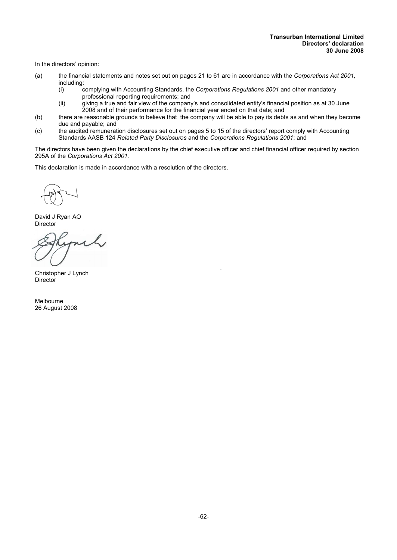In the directors' opinion:

- (a) the financial statements and notes set out on pages 21 to 61 are in accordance with the *Corporations Act 2001,* including:<br>(i)
	- (i) complying with Accounting Standards, the *Corporations Regulations 2001* and other mandatory professional reporting requirements; and
	- (ii) giving a true and fair view of the company's and consolidated entity's financial position as at 30 June 2008 and of their performance for the financial year ended on that date; and
- (b) there are reasonable grounds to believe that the company will be able to pay its debts as and when they become due and payable; and
- (c) the audited remuneration disclosures set out on pages 5 to 15 of the directors' report comply with Accounting Standards AASB 124 *Related Party Disclosures* and the *Corporations Regulations 2001*; and

The directors have been given the declarations by the chief executive officer and chief financial officer required by section 295A of the *Corporations Act 2001.*

This declaration is made in accordance with a resolution of the directors.

David J Ryan AO Director

Christopher J Lynch Director

Melbourne 26 August 2008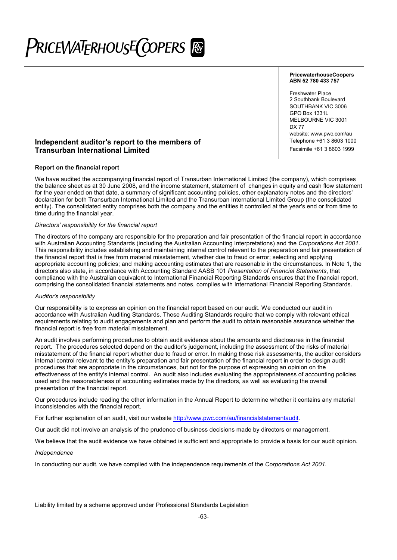# PriceWaT<sub>E</sub>RhousE(copers [@

#### **PricewaterhouseCoopers ABN 52 780 433 757**

Freshwater Place 2 Southbank Boulevard SOUTHBANK VIC 3006 GPO Box 1331L MELBOURNE VIC 3001 DX 77 website: www.pwc.com/au<br>Telephone +61 3 8603 1000

## **Independent auditor's report to the members of** Transmuck Telephone +61 3 8603 1000<br> **Transurban International Limited** Transmuck Transurban International Limited **Transurban International Limited**

#### **Report on the financial report**

We have audited the accompanying financial report of Transurban International Limited (the company), which comprises the balance sheet as at 30 June 2008, and the income statement, statement of changes in equity and cash flow statement for the year ended on that date, a summary of significant accounting policies, other explanatory notes and the directors' declaration for both Transurban International Limited and the Transurban International Limited Group (the consolidated entity). The consolidated entity comprises both the company and the entities it controlled at the year's end or from time to time during the financial year.

#### *Directors' responsibility for the financial report*

The directors of the company are responsible for the preparation and fair presentation of the financial report in accordance with Australian Accounting Standards (including the Australian Accounting Interpretations) and the *Corporations Act 2001*. This responsibility includes establishing and maintaining internal control relevant to the preparation and fair presentation of the financial report that is free from material misstatement, whether due to fraud or error; selecting and applying appropriate accounting policies; and making accounting estimates that are reasonable in the circumstances. In Note 1, the directors also state, in accordance with Accounting Standard AASB 101 *Presentation of Financial Statements*, that compliance with the Australian equivalent to International Financial Reporting Standards ensures that the financial report, comprising the consolidated financial statements and notes, complies with International Financial Reporting Standards.

#### *Auditor's responsibility*

Our responsibility is to express an opinion on the financial report based on our audit. We conducted our audit in accordance with Australian Auditing Standards. These Auditing Standards require that we comply with relevant ethical requirements relating to audit engagements and plan and perform the audit to obtain reasonable assurance whether the financial report is free from material misstatement.

An audit involves performing procedures to obtain audit evidence about the amounts and disclosures in the financial report. The procedures selected depend on the auditor's judgement, including the assessment of the risks of material misstatement of the financial report whether due to fraud or error. In making those risk assessments, the auditor considers internal control relevant to the entity's preparation and fair presentation of the financial report in order to design audit procedures that are appropriate in the circumstances, but not for the purpose of expressing an opinion on the effectiveness of the entity's internal control. An audit also includes evaluating the appropriateness of accounting policies used and the reasonableness of accounting estimates made by the directors, as well as evaluating the overall presentation of the financial report.

Our procedures include reading the other information in the Annual Report to determine whether it contains any material inconsistencies with the financial report.

For further explanation of an audit, visit our website http://www.pwc.com/au/financialstatementaudit.

Our audit did not involve an analysis of the prudence of business decisions made by directors or management.

We believe that the audit evidence we have obtained is sufficient and appropriate to provide a basis for our audit opinion.

#### *Independence*

In conducting our audit, we have complied with the independence requirements of the *Corporations Act 2001.*

Liability limited by a scheme approved under Professional Standards Legislation